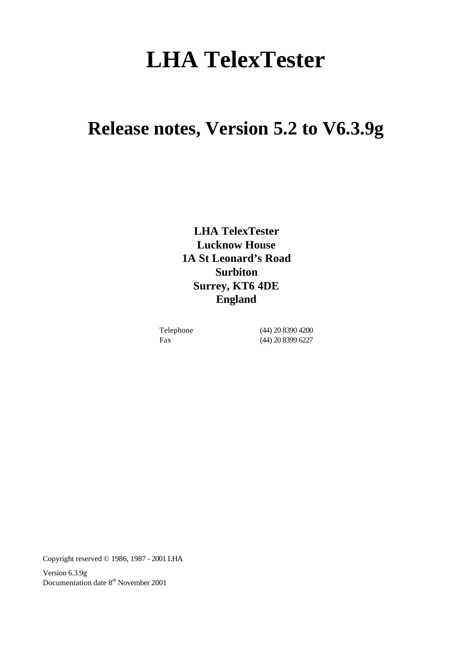# **LHA TelexTester**

# **Release notes, Version 5.2 to V6.3.9g**

**LHA TelexTester Lucknow House 1A St Leonard's Road Surbiton Surrey, KT6 4DE England**

Telephone (44) 20 8390 4200 Fax (44) 20 8399 6227

Copyright reserved © 1986, 1987 - 2001 LHA

Version 6.3.9g Documentation date  $8<sup>th</sup>$  November 2001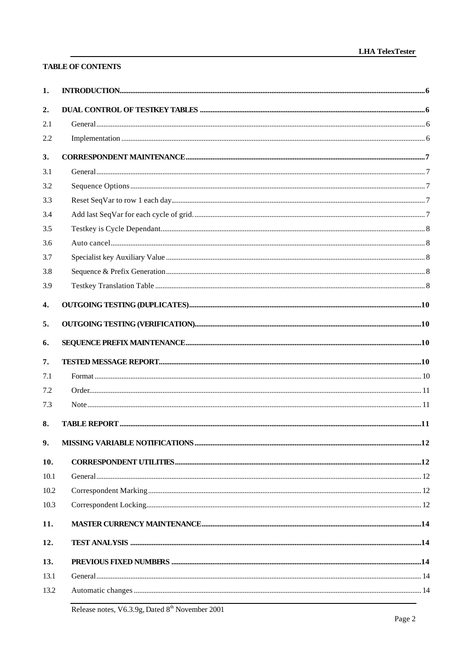# **TABLE OF CONTENTS**

| 1.   |  |
|------|--|
| 2.   |  |
| 2.1  |  |
| 2.2  |  |
| 3.   |  |
| 3.1  |  |
| 3.2  |  |
| 3.3  |  |
| 3.4  |  |
| 3.5  |  |
| 3.6  |  |
| 3.7  |  |
| 3.8  |  |
| 3.9  |  |
| 4.   |  |
| 5.   |  |
| 6.   |  |
| 7.   |  |
| 7.1  |  |
| 7.2  |  |
| 7.3  |  |
| 8.   |  |
| 9.   |  |
| 10.  |  |
| 10.1 |  |
| 10.2 |  |
| 10.3 |  |
| 11.  |  |
| 12.  |  |
| 13.  |  |
| 13.1 |  |
| 13.2 |  |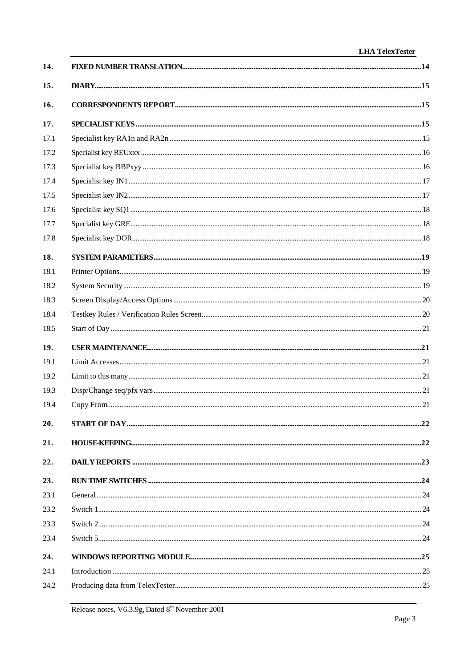| 14.  |  |
|------|--|
| 15.  |  |
| 16.  |  |
| 17.  |  |
| 17.1 |  |
| 17.2 |  |
| 17.3 |  |
| 17.4 |  |
| 17.5 |  |
| 17.6 |  |
| 17.7 |  |
| 17.8 |  |
| 18.  |  |
| 18.1 |  |
| 18.2 |  |
| 18.3 |  |
| 18.4 |  |
| 18.5 |  |
| 19.  |  |
| 19.1 |  |
| 19.2 |  |
| 19.3 |  |
| 19.4 |  |
| 20.  |  |
| 21.  |  |
| 22.  |  |
| 23.  |  |
| 23.1 |  |
| 23.2 |  |
| 23.3 |  |
| 23.4 |  |
| 24.  |  |
| 24.1 |  |
| 24.2 |  |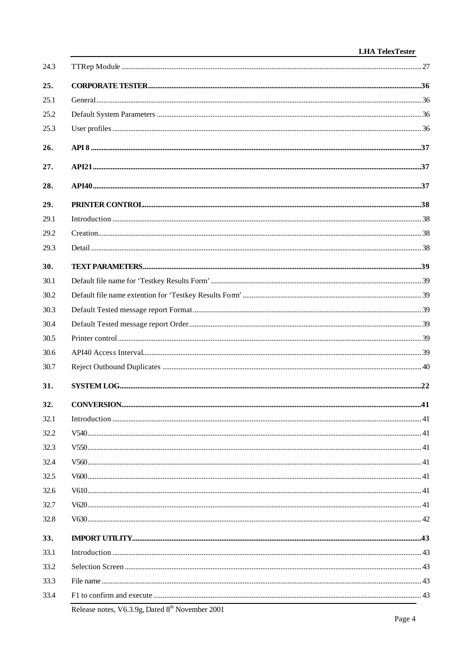| 24.3 |                                           |  |
|------|-------------------------------------------|--|
| 25.  |                                           |  |
| 25.1 |                                           |  |
| 25.2 |                                           |  |
| 25.3 |                                           |  |
| 26.  |                                           |  |
| 27.  |                                           |  |
| 28.  |                                           |  |
| 29.  |                                           |  |
| 29.1 |                                           |  |
| 29.2 |                                           |  |
| 29.3 |                                           |  |
| 30.  |                                           |  |
| 30.1 |                                           |  |
| 30.2 |                                           |  |
| 30.3 |                                           |  |
| 30.4 |                                           |  |
| 30.5 |                                           |  |
| 30.6 |                                           |  |
| 30.7 |                                           |  |
| 31.  |                                           |  |
| 32.  |                                           |  |
| 32.1 |                                           |  |
| 32.2 |                                           |  |
| 32.3 |                                           |  |
| 32.4 |                                           |  |
| 32.5 |                                           |  |
| 32.6 |                                           |  |
| 32.7 |                                           |  |
| 32.8 |                                           |  |
| 33.  |                                           |  |
| 33.1 |                                           |  |
| 33.2 |                                           |  |
| 33.3 |                                           |  |
| 33.4 |                                           |  |
|      | $(20.5 \times 10^{11} \text{m})$ $1.2001$ |  |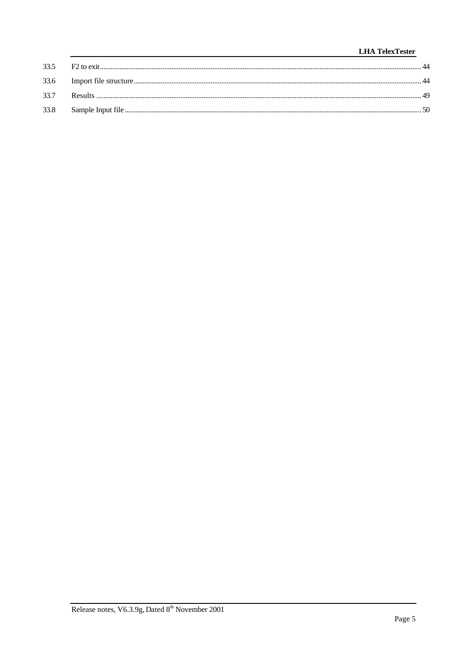# **LHA** TelexTester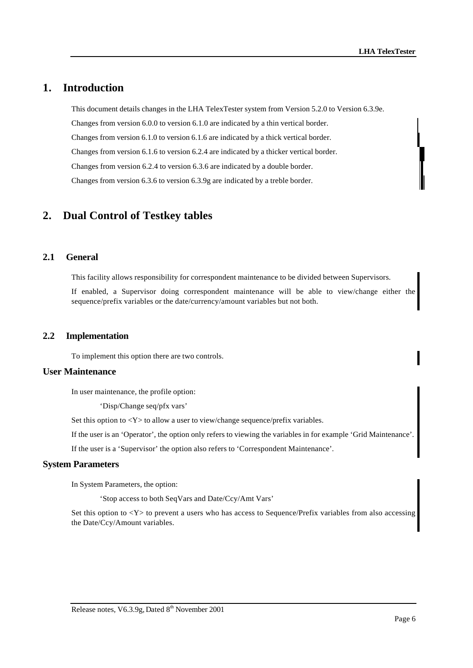# **1. Introduction**

This document details changes in the LHA TelexTester system from Version 5.2.0 to Version 6.3.9e. Changes from version 6.0.0 to version 6.1.0 are indicated by a thin vertical border. Changes from version 6.1.0 to version 6.1.6 are indicated by a thick vertical border. Changes from version 6.1.6 to version 6.2.4 are indicated by a thicker vertical border. Changes from version 6.2.4 to version 6.3.6 are indicated by a double border. Changes from version 6.3.6 to version 6.3.9g are indicated by a treble border.

# **2. Dual Control of Testkey tables**

# **2.1 General**

This facility allows responsibility for correspondent maintenance to be divided between Supervisors.

If enabled, a Supervisor doing correspondent maintenance will be able to view/change either the sequence/prefix variables or the date/currency/amount variables but not both.

### **2.2 Implementation**

To implement this option there are two controls.

### **User Maintenance**

In user maintenance, the profile option:

'Disp/Change seq/pfx vars'

Set this option to <Y> to allow a user to view/change sequence/prefix variables.

If the user is an 'Operator', the option only refers to viewing the variables in for example 'Grid Maintenance'.

If the user is a 'Supervisor' the option also refers to 'Correspondent Maintenance'.

#### **System Parameters**

In System Parameters, the option:

'Stop access to both SeqVars and Date/Ccy/Amt Vars'

Set this option to <Y> to prevent a users who has access to Sequence/Prefix variables from also accessing the Date/Ccy/Amount variables.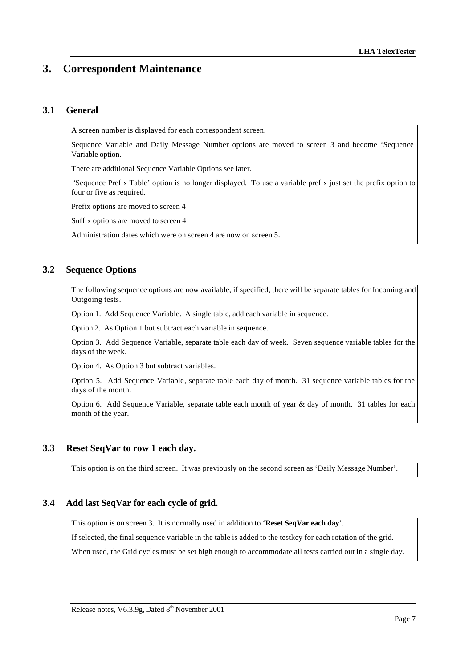# **3. Correspondent Maintenance**

# **3.1 General**

A screen number is displayed for each correspondent screen.

Sequence Variable and Daily Message Number options are moved to screen 3 and become 'Sequence Variable option.

There are additional Sequence Variable Options see later.

 'Sequence Prefix Table' option is no longer displayed. To use a variable prefix just set the prefix option to four or five as required.

Prefix options are moved to screen 4

Suffix options are moved to screen 4

Administration dates which were on screen 4 are now on screen 5.

# **3.2 Sequence Options**

The following sequence options are now available, if specified, there will be separate tables for Incoming and Outgoing tests.

Option 1. Add Sequence Variable. A single table, add each variable in sequence.

Option 2. As Option 1 but subtract each variable in sequence.

Option 3. Add Sequence Variable, separate table each day of week. Seven sequence variable tables for the days of the week.

Option 4. As Option 3 but subtract variables.

Option 5. Add Sequence Variable, separate table each day of month. 31 sequence variable tables for the days of the month.

Option 6. Add Sequence Variable, separate table each month of year & day of month. 31 tables for each month of the year.

# **3.3 Reset SeqVar to row 1 each day.**

This option is on the third screen. It was previously on the second screen as 'Daily Message Number'.

### **3.4 Add last SeqVar for each cycle of grid.**

This option is on screen 3. It is normally used in addition to '**Reset SeqVar each day**'.

If selected, the final sequence variable in the table is added to the testkey for each rotation of the grid.

When used, the Grid cycles must be set high enough to accommodate all tests carried out in a single day.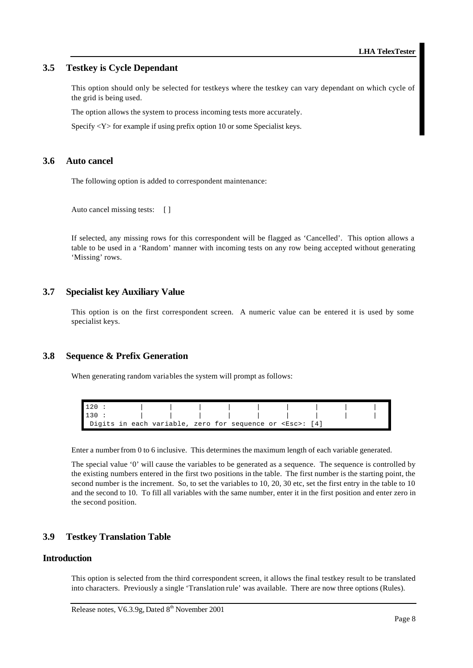# **3.5 Testkey is Cycle Dependant**

This option should only be selected for testkeys where the testkey can vary dependant on which cycle of the grid is being used.

The option allows the system to process incoming tests more accurately.

Specify <Y> for example if using prefix option 10 or some Specialist keys.

# **3.6 Auto cancel**

The following option is added to correspondent maintenance:

```
Auto cancel missing tests: []
```
If selected, any missing rows for this correspondent will be flagged as 'Cancelled'. This option allows a table to be used in a 'Random' manner with incoming tests on any row being accepted without generating 'Missing' rows.

### **3.7 Specialist key Auxiliary Value**

This option is on the first correspondent screen. A numeric value can be entered it is used by some specialist keys.

### **3.8 Sequence & Prefix Generation**

When generating random variables the system will prompt as follows:



Enter a number from 0 to 6 inclusive. This determines the maximum length of each variable generated.

The special value '0' will cause the variables to be generated as a sequence. The sequence is controlled by the existing numbers entered in the first two positions in the table. The first number is the starting point, the second number is the increment. So, to set the variables to 10, 20, 30 etc, set the first entry in the table to 10 and the second to 10. To fill all variables with the same number, enter it in the first position and enter zero in the second position.

### **3.9 Testkey Translation Table**

### **Introduction**

This option is selected from the third correspondent screen, it allows the final testkey result to be translated into characters. Previously a single 'Translation rule' was available. There are now three options (Rules).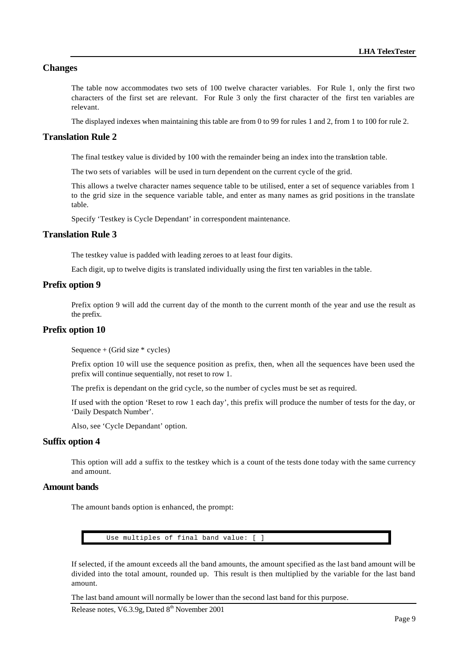# **Changes**

The table now accommodates two sets of 100 twelve character variables. For Rule 1, only the first two characters of the first set are relevant. For Rule 3 only the first character of the first ten variables are relevant.

The displayed indexes when maintaining this table are from 0 to 99 for rules 1 and 2, from 1 to 100 for rule 2.

#### **Translation Rule 2**

The final testkey value is divided by 100 with the remainder being an index into the translation table.

The two sets of variables will be used in turn dependent on the current cycle of the grid.

This allows a twelve character names sequence table to be utilised, enter a set of sequence variables from 1 to the grid size in the sequence variable table, and enter as many names as grid positions in the translate table.

Specify 'Testkey is Cycle Dependant' in correspondent maintenance.

### **Translation Rule 3**

The testkey value is padded with leading zeroes to at least four digits.

Each digit, up to twelve digits is translated individually using the first ten variables in the table.

#### **Prefix option 9**

Prefix option 9 will add the current day of the month to the current month of the year and use the result as the prefix.

#### **Prefix option 10**

Sequence + (Grid size \* cycles)

Prefix option 10 will use the sequence position as prefix, then, when all the sequences have been used the prefix will continue sequentially, not reset to row 1.

The prefix is dependant on the grid cycle, so the number of cycles must be set as required.

If used with the option 'Reset to row 1 each day', this prefix will produce the number of tests for the day, or 'Daily Despatch Number'.

Also, see 'Cycle Depandant' option.

# **Suffix option 4**

This option will add a suffix to the testkey which is a count of the tests done today with the same currency and amount.

#### **Amount bands**

The amount bands option is enhanced, the prompt:

Use multiples of final band value: [ ]

If selected, if the amount exceeds all the band amounts, the amount specified as the last band amount will be divided into the total amount, rounded up. This result is then multiplied by the variable for the last band amount.

The last band amount will normally be lower than the second last band for this purpose.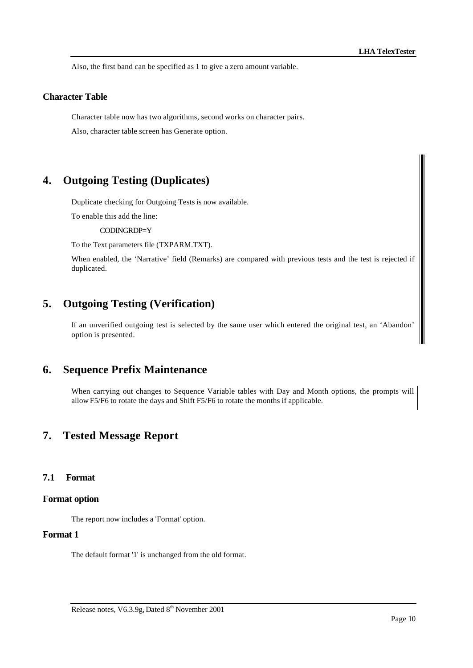Also, the first band can be specified as 1 to give a zero amount variable.

#### **Character Table**

Character table now has two algorithms, second works on character pairs.

Also, character table screen has Generate option.

# **4. Outgoing Testing (Duplicates)**

Duplicate checking for Outgoing Tests is now available.

To enable this add the line:

CODINGRDP=Y

To the Text parameters file (TXPARM.TXT).

When enabled, the 'Narrative' field (Remarks) are compared with previous tests and the test is rejected if duplicated.

# **5. Outgoing Testing (Verification)**

If an unverified outgoing test is selected by the same user which entered the original test, an 'Abandon' option is presented.

# **6. Sequence Prefix Maintenance**

When carrying out changes to Sequence Variable tables with Day and Month options, the prompts will allow F5/F6 to rotate the days and Shift F5/F6 to rotate the months if applicable.

# **7. Tested Message Report**

#### **7.1 Format**

#### **Format option**

The report now includes a 'Format' option.

# **Format 1**

The default format '1' is unchanged from the old format.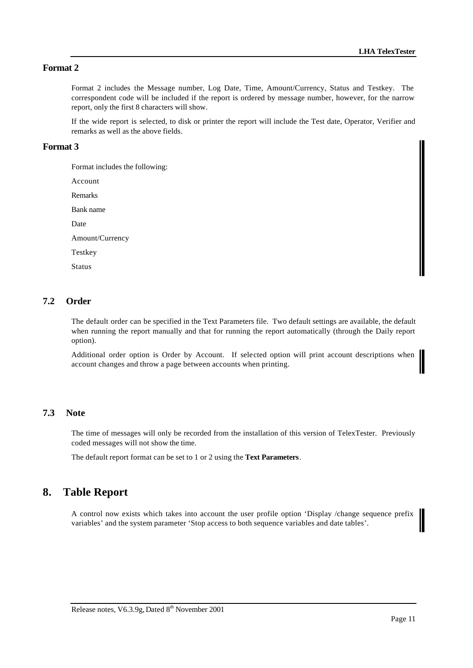# **Format 2**

Format 2 includes the Message number, Log Date, Time, Amount/Currency, Status and Testkey. The correspondent code will be included if the report is ordered by message number, however, for the narrow report, only the first 8 characters will show.

If the wide report is selected, to disk or printer the report will include the Test date, Operator, Verifier and remarks as well as the above fields.

### **Format 3**

Format includes the following:

Account

Remarks

Bank name

Date

Amount/Currency

Testkey

Status

# **7.2 Order**

The default order can be specified in the Text Parameters file. Two default settings are available, the default when running the report manually and that for running the report automatically (through the Daily report option).

Additional order option is Order by Account. If selected option will print account descriptions when account changes and throw a page between accounts when printing.

# **7.3 Note**

The time of messages will only be recorded from the installation of this version of TelexTester. Previously coded messages will not show the time.

The default report format can be set to 1 or 2 using the **Text Parameters**.

# **8. Table Report**

A control now exists which takes into account the user profile option 'Display /change sequence prefix variables' and the system parameter 'Stop access to both sequence variables and date tables'.

Ι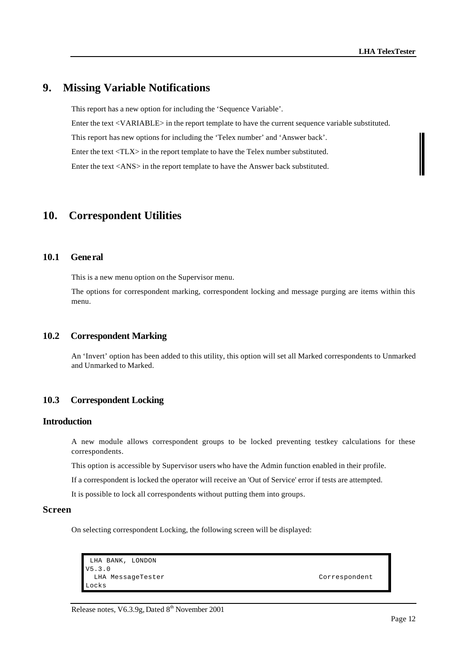# **9. Missing Variable Notifications**

This report has a new option for including the 'Sequence Variable'. Enter the text <VARIABLE> in the report template to have the current sequence variable substituted. This report has new options for including the 'Telex number' and 'Answer back'. Enter the text <TLX> in the report template to have the Telex number substituted. Enter the text <ANS> in the report template to have the Answer back substituted.

# **10. Correspondent Utilities**

# **10.1 General**

This is a new menu option on the Supervisor menu.

The options for correspondent marking, correspondent locking and message purging are items within this menu.

# **10.2 Correspondent Marking**

An 'Invert' option has been added to this utility, this option will set all Marked correspondents to Unmarked and Unmarked to Marked.

### **10.3 Correspondent Locking**

#### **Introduction**

A new module allows correspondent groups to be locked preventing testkey calculations for these correspondents.

This option is accessible by Supervisor users who have the Admin function enabled in their profile.

If a correspondent is locked the operator will receive an 'Out of Service' error if tests are attempted.

It is possible to lock all correspondents without putting them into groups.

# **Screen**

On selecting correspondent Locking, the following screen will be displayed:

```
 LHA BANK, LONDON 
V5.3.0 
LHA MessageTester Correspondent
Locks
```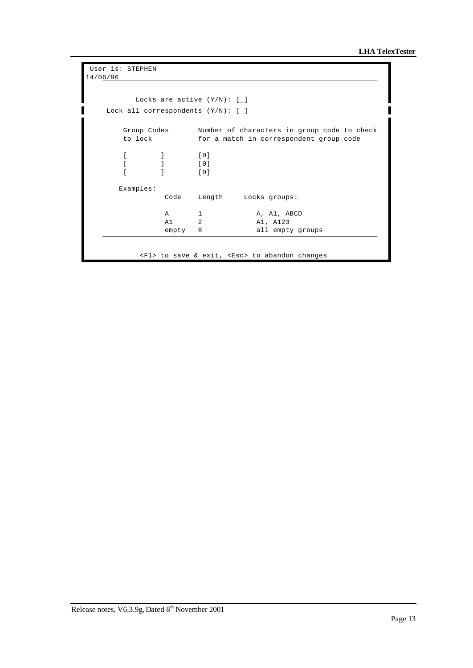```
 User is: STEPHEN 
14/06/96 

          Locks are active (Y/N): [_] 
    Lock all correspondents (Y/N): [ ] 
       Group Codes Number of characters in group code to check 
       to lock for a match in correspondent group code 
       [ ] [0] 
      [0] [ ] [0] 
       Examples: 
              Code Length Locks groups:
              A 1 A, A1, ABCD
               A1 2 A1, A123 
              empty 8 all empty groups
           <F1> to save & exit, <Esc> to abandon changes
```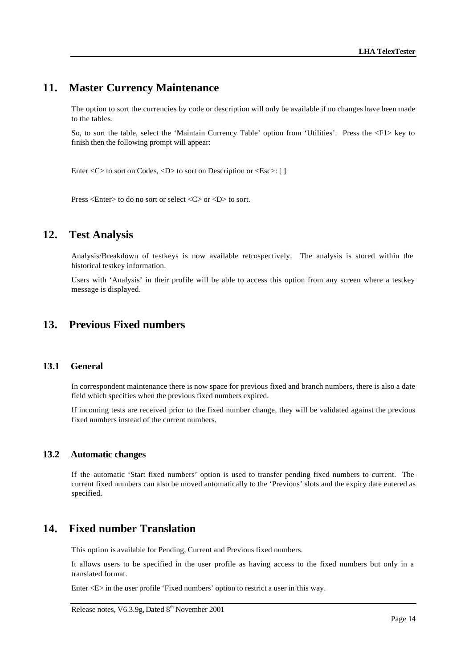# **11. Master Currency Maintenance**

The option to sort the currencies by code or description will only be available if no changes have been made to the tables.

So, to sort the table, select the 'Maintain Currency Table' option from 'Utilities'. Press the <F1> key to finish then the following prompt will appear:

Enter < C > to sort on Codes, < D > to sort on Description or < Esc >: [ ]

Press <Enter> to do no sort or select <C> or <D> to sort.

# **12. Test Analysis**

Analysis/Breakdown of testkeys is now available retrospectively. The analysis is stored within the historical testkey information.

Users with 'Analysis' in their profile will be able to access this option from any screen where a testkey message is displayed.

# **13. Previous Fixed numbers**

#### **13.1 General**

In correspondent maintenance there is now space for previous fixed and branch numbers, there is also a date field which specifies when the previous fixed numbers expired.

If incoming tests are received prior to the fixed number change, they will be validated against the previous fixed numbers instead of the current numbers.

### **13.2 Automatic changes**

If the automatic 'Start fixed numbers' option is used to transfer pending fixed numbers to current. The current fixed numbers can also be moved automatically to the 'Previous' slots and the expiry date entered as specified.

# **14. Fixed number Translation**

This option is available for Pending, Current and Previous fixed numbers.

It allows users to be specified in the user profile as having access to the fixed numbers but only in a translated format.

Enter <E> in the user profile 'Fixed numbers' option to restrict a user in this way.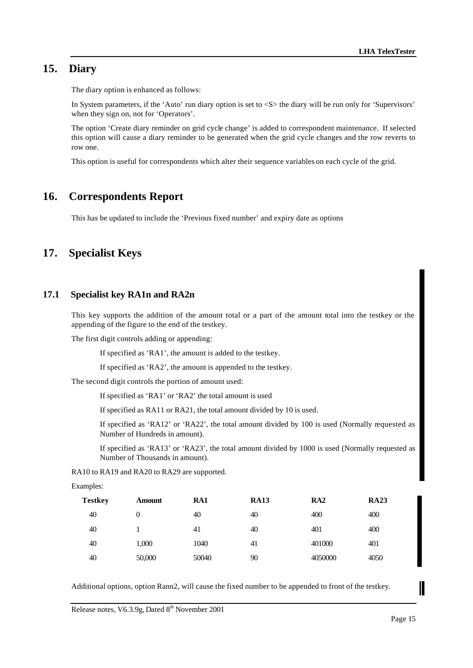# **15. Diary**

The diary option is enhanced as follows:

In System parameters, if the 'Auto' run diary option is set to <S> the diary will be run only for 'Supervisors' when they sign on, not for 'Operators'.

The option 'Create diary reminder on grid cycle change' is added to correspondent maintenance. If selected this option will cause a diary reminder to be generated when the grid cycle changes and the row reverts to row one.

This option is useful for correspondents which alter their sequence variables on each cycle of the grid.

# **16. Correspondents Report**

This has be updated to include the 'Previous fixed number' and expiry date as options

# **17. Specialist Keys**

### **17.1 Specialist key RA1n and RA2n**

This key supports the addition of the amount total or a part of the amount total into the testkey or the appending of the figure to the end of the testkey.

The first digit controls adding or appending:

If specified as 'RA1', the amount is added to the testkey.

If specified as 'RA2', the amount is appended to the testkey.

The second digit controls the portion of amount used:

If specified as 'RA1' or 'RA2' the total amount is used

If specified as RA11 or RA21, the total amount divided by 10 is used.

If specified as 'RA12' or 'RA22', the total amount divided by 100 is used (Normally requested as Number of Hundreds in amount).

If specified as 'RA13' or 'RA23', the total amount divided by 1000 is used (Normally requested as Number of Thousands in amount).

RA10 to RA19 and RA20 to RA29 are supported.

Examples:

| <b>Testkey</b> | Amount   | RA1   | <b>RA13</b> | RA2     | <b>RA23</b> |  |
|----------------|----------|-------|-------------|---------|-------------|--|
| 40             | $\theta$ | 40    | 40          | 400     | 400         |  |
| 40             |          | 41    | 40          | 401     | 400         |  |
| 40             | 1,000    | 1040  | 41          | 401000  | 401         |  |
| 40             | 50,000   | 50040 | 90          | 4050000 | 4050        |  |

Additional options, option Rann2, will cause the fixed number to be appended to front of the testkey.

I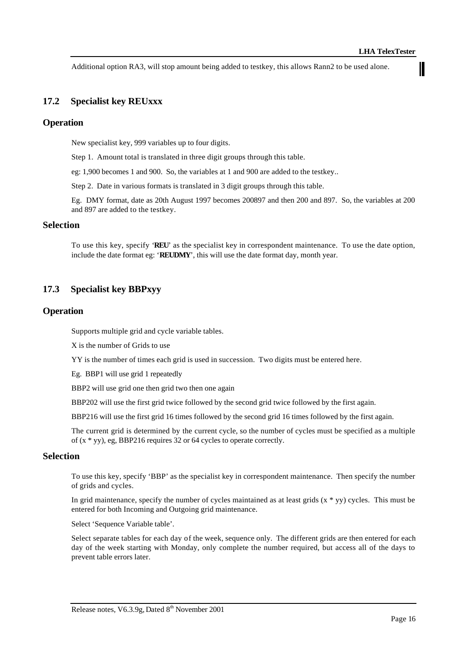Ш

Additional option RA3, will stop amount being added to testkey, this allows Rann2 to be used alone.

# **17.2 Specialist key REUxxx**

# **Operation**

New specialist key, 999 variables up to four digits.

Step 1. Amount total is translated in three digit groups through this table.

eg: 1,900 becomes 1 and 900. So, the variables at 1 and 900 are added to the testkey..

Step 2. Date in various formats is translated in 3 digit groups through this table.

Eg. DMY format, date as 20th August 1997 becomes 200897 and then 200 and 897. So, the variables at 200 and 897 are added to the testkey.

### **Selection**

To use this key, specify '**REU**' as the specialist key in correspondent maintenance. To use the date option, include the date format eg: '**REUDMY**', this will use the date format day, month year.

### **17.3 Specialist key BBPxyy**

#### **Operation**

Supports multiple grid and cycle variable tables.

X is the number of Grids to use

YY is the number of times each grid is used in succession. Two digits must be entered here.

Eg. BBP1 will use grid 1 repeatedly

BBP2 will use grid one then grid two then one again

BBP202 will use the first grid twice followed by the second grid twice followed by the first again.

BBP216 will use the first grid 16 times followed by the second grid 16 times followed by the first again.

The current grid is determined by the current cycle, so the number of cycles must be specified as a multiple of (x \* yy), eg, BBP216 requires 32 or 64 cycles to operate correctly.

### **Selection**

To use this key, specify 'BBP' as the specialist key in correspondent maintenance. Then specify the number of grids and cycles.

In grid maintenance, specify the number of cycles maintained as at least grids  $(x * yy)$  cycles. This must be entered for both Incoming and Outgoing grid maintenance.

Select 'Sequence Variable table'.

Select separate tables for each day of the week, sequence only. The different grids are then entered for each day of the week starting with Monday, only complete the number required, but access all of the days to prevent table errors later.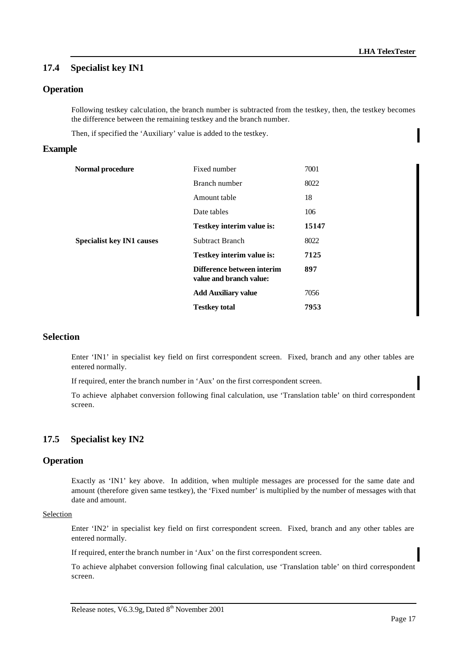# **17.4 Specialist key IN1**

# **Operation**

Following testkey calculation, the branch number is subtracted from the testkey, then, the testkey becomes the difference between the remaining testkey and the branch number.

Then, if specified the 'Auxiliary' value is added to the testkey.

### **Example**

| Normal procedure                 | Fixed number                                          | 7001  |
|----------------------------------|-------------------------------------------------------|-------|
|                                  | Branch number                                         | 8022  |
|                                  | Amount table                                          | 18    |
|                                  | Date tables                                           | 106   |
|                                  | <b>Testkey interim value is:</b>                      | 15147 |
| <b>Specialist key IN1 causes</b> | Subtract Branch                                       | 8022  |
|                                  | <b>Testkey interim value is:</b>                      | 7125  |
|                                  | Difference between interim<br>value and branch value: | 897   |
|                                  | <b>Add Auxiliary value</b>                            | 7056  |
|                                  | <b>Testkey total</b>                                  | 7953  |

# **Selection**

Enter 'IN1' in specialist key field on first correspondent screen. Fixed, branch and any other tables are entered normally.

If required, enter the branch number in 'Aux' on the first correspondent screen.

To achieve alphabet conversion following final calculation, use 'Translation table' on third correspondent screen.

# **17.5 Specialist key IN2**

### **Operation**

Exactly as 'IN1' key above. In addition, when multiple messages are processed for the same date and amount (therefore given same testkey), the 'Fixed number' is multiplied by the number of messages with that date and amount.

#### Selection

Enter 'IN2' in specialist key field on first correspondent screen. Fixed, branch and any other tables are entered normally.

If required, enter the branch number in 'Aux' on the first correspondent screen.

To achieve alphabet conversion following final calculation, use 'Translation table' on third correspondent screen.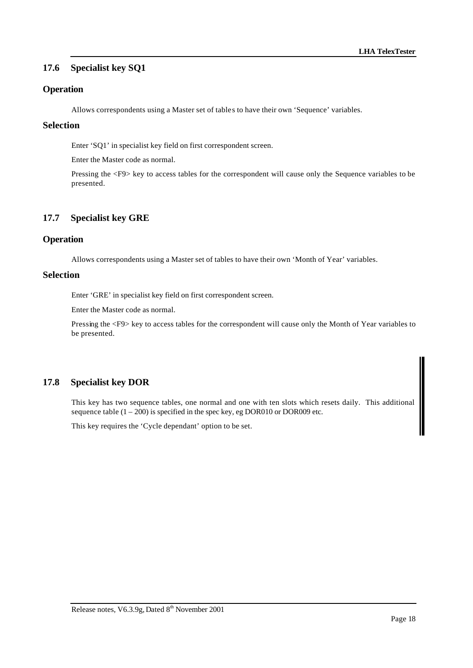# **17.6 Specialist key SQ1**

# **Operation**

Allows correspondents using a Master set of tables to have their own 'Sequence' variables.

### **Selection**

Enter 'SQ1' in specialist key field on first correspondent screen.

Enter the Master code as normal.

Pressing the <F9> key to access tables for the correspondent will cause only the Sequence variables to be presented.

# **17.7 Specialist key GRE**

# **Operation**

Allows correspondents using a Master set of tables to have their own 'Month of Year' variables.

## **Selection**

Enter 'GRE' in specialist key field on first correspondent screen.

Enter the Master code as normal.

Pressing the <F9> key to access tables for the correspondent will cause only the Month of Year variables to be presented.

# **17.8 Specialist key DOR**

This key has two sequence tables, one normal and one with ten slots which resets daily. This additional sequence table  $(1 - 200)$  is specified in the spec key, eg DOR010 or DOR009 etc.

This key requires the 'Cycle dependant' option to be set.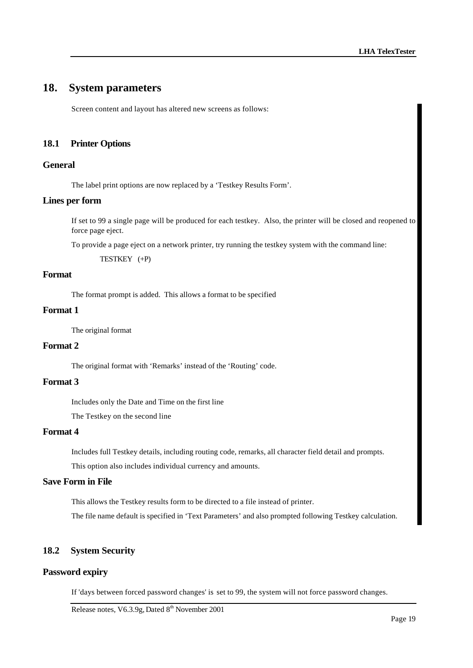# **18. System parameters**

Screen content and layout has altered new screens as follows:

# **18.1 Printer Options**

### **General**

The label print options are now replaced by a 'Testkey Results Form'.

#### **Lines per form**

If set to 99 a single page will be produced for each testkey. Also, the printer will be closed and reopened to force page eject.

To provide a page eject on a network printer, try running the testkey system with the command line:

TESTKEY (+P)

### **Format**

The format prompt is added. This allows a format to be specified

# **Format 1**

The original format

# **Format 2**

The original format with 'Remarks' instead of the 'Routing' code.

# **Format 3**

Includes only the Date and Time on the first line

The Testkey on the second line

# **Format 4**

Includes full Testkey details, including routing code, remarks, all character field detail and prompts.

This option also includes individual currency and amounts.

# **Save Form in File**

This allows the Testkey results form to be directed to a file instead of printer.

The file name default is specified in 'Text Parameters' and also prompted following Testkey calculation.

# **18.2 System Security**

#### **Password expiry**

If 'days between forced password changes' is set to 99, the system will not force password changes.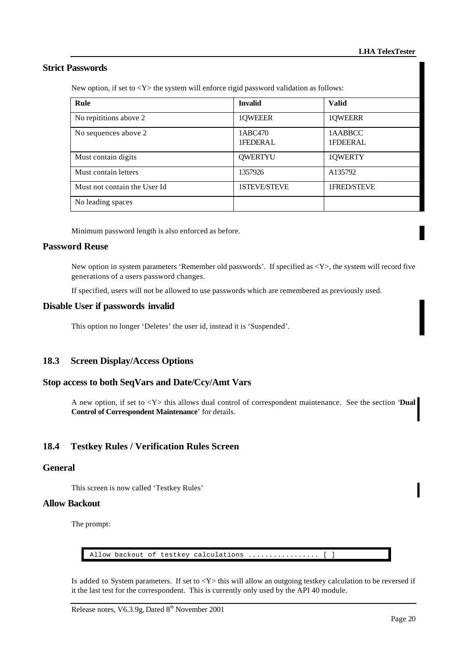# **Strict Passwords**

New option, if set to <Y> the system will enforce rigid password validation as follows:

| Rule                         | <b>Invalid</b>      | <b>Valid</b>        |
|------------------------------|---------------------|---------------------|
| No repititions above 2       | 1QWEEER             | 1QWEERR             |
| No sequences above 2         | 1ABC470<br>1FEDERAL | 1AABBCC<br>1FDEERAL |
| Must contain digits          | <b>QWERTYU</b>      | 1QWERTY             |
| Must contain letters         | 1357926             | A135792             |
| Must not contain the User Id | <b>1STEVE/STEVE</b> | 1FRED/STEVE         |
| No leading spaces            |                     |                     |

Minimum password length is also enforced as before.

#### **Password Reuse**

New option in system parameters 'Remember old passwords'. If specified as  $\langle Y \rangle$ , the system will record five generations of a users password changes.

If specified, users will not be allowed to use passwords which are remembered as previously used.

#### **Disable User if passwords invalid**

This option no longer 'Deletes' the user id, instead it is 'Suspended'.

# **18.3 Screen Display/Access Options**

### **Stop access to both SeqVars and Date/Ccy/Amt Vars**

A new option, if set to <Y> this allows dual control of correspondent maintenance. See the section '**Dual Control of Correspondent Maintenance**' for details.

# **18.4 Testkey Rules / Verification Rules Screen**

# **General**

This screen is now called 'Testkey Rules'

#### **Allow Backout**

The prompt:

Allow backout of testkey calculations ................. [ ]

Is added to System parameters. If set to <Y> this will allow an outgoing testkey calculation to be reversed if it the last test for the correspondent. This is currently only used by the API 40 module.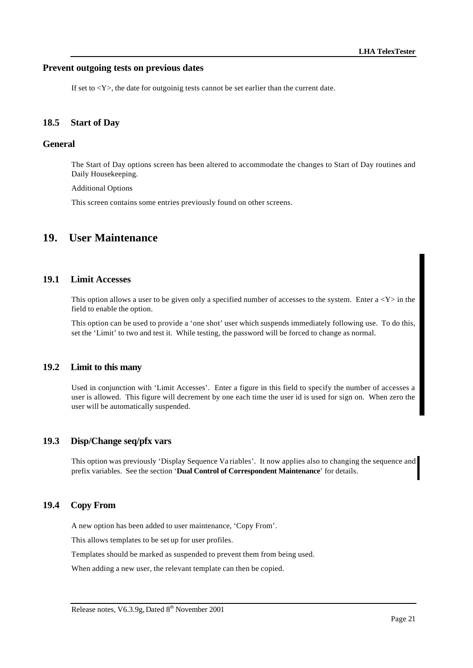#### **Prevent outgoing tests on previous dates**

If set to  $\langle Y \rangle$ , the date for outgoinig tests cannot be set earlier than the current date.

#### **18.5 Start of Day**

# **General**

The Start of Day options screen has been altered to accommodate the changes to Start of Day routines and Daily Housekeeping.

Additional Options

This screen contains some entries previously found on other screens.

# **19. User Maintenance**

#### **19.1 Limit Accesses**

This option allows a user to be given only a specified number of accesses to the system. Enter  $a *Y* > in the$ field to enable the option.

This option can be used to provide a 'one shot' user which suspends immediately following use. To do this, set the 'Limit' to two and test it. While testing, the password will be forced to change as normal.

#### **19.2 Limit to this many**

Used in conjunction with 'Limit Accesses'. Enter a figure in this field to specify the number of accesses a user is allowed. This figure will decrement by one each time the user id is used for sign on. When zero the user will be automatically suspended.

#### **19.3 Disp/Change seq/pfx vars**

This option was previously 'Display Sequence Va riables'. It now applies also to changing the sequence and prefix variables. See the section '**Dual Control of Correspondent Maintenance**' for details.

### **19.4 Copy From**

A new option has been added to user maintenance, 'Copy From'.

This allows templates to be set up for user profiles.

Templates should be marked as suspended to prevent them from being used.

When adding a new user, the relevant template can then be copied.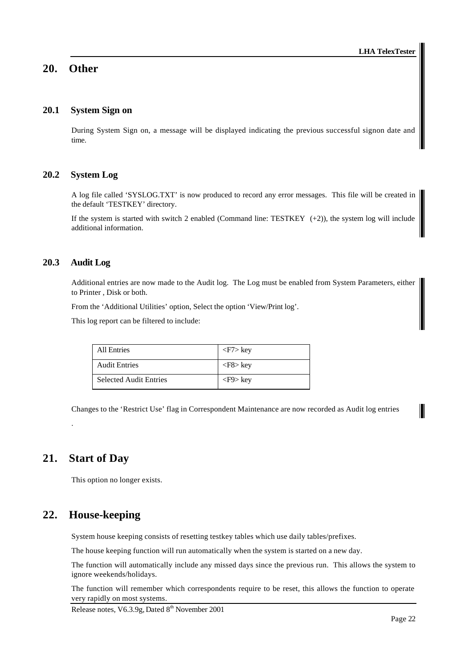# **20. Other**

# **20.1 System Sign on**

During System Sign on, a message will be displayed indicating the previous successful signon date and time.

# **20.2 System Log**

A log file called 'SYSLOG.TXT' is now produced to record any error messages. This file will be created in the default 'TESTKEY' directory.

If the system is started with switch 2 enabled (Command line: TESTKEY  $(+2)$ ), the system log will include additional information.

### **20.3 Audit Log**

Additional entries are now made to the Audit log. The Log must be enabled from System Parameters, either to Printer , Disk or both.

From the 'Additional Utilities' option, Select the option 'View/Print log'.

This log report can be filtered to include:

| All Entries                   | $\langle$ F7> key |
|-------------------------------|-------------------|
| <b>Audit Entries</b>          | $\langle$ F8> key |
| <b>Selected Audit Entries</b> | $<$ F9 $>$ key    |

Changes to the 'Restrict Use' flag in Correspondent Maintenance are now recorded as Audit log entries

# **21. Start of Day**

.

This option no longer exists.

# **22. House-keeping**

System house keeping consists of resetting testkey tables which use daily tables/prefixes.

The house keeping function will run automatically when the system is started on a new day.

The function will automatically include any missed days since the previous run. This allows the system to ignore weekends/holidays.

The function will remember which correspondents require to be reset, this allows the function to operate very rapidly on most systems.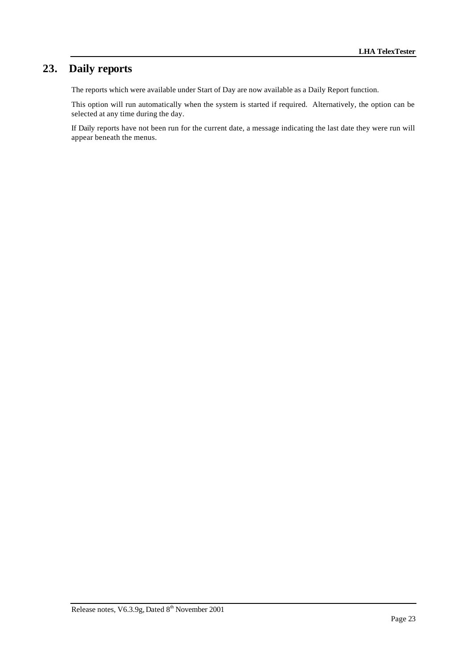# **23. Daily reports**

The reports which were available under Start of Day are now available as a Daily Report function.

This option will run automatically when the system is started if required. Alternatively, the option can be selected at any time during the day.

If Daily reports have not been run for the current date, a message indicating the last date they were run will appear beneath the menus.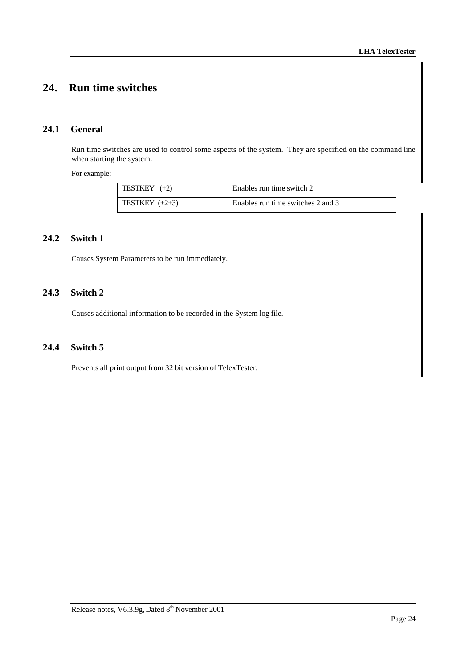# **24. Run time switches**

# **24.1 General**

Run time switches are used to control some aspects of the system. They are specified on the command line when starting the system.

For example:

| TESTKEY $(+2)$   | Enables run time switch 2         |
|------------------|-----------------------------------|
| TESTKEY $(+2+3)$ | Enables run time switches 2 and 3 |

# **24.2 Switch 1**

Causes System Parameters to be run immediately.

# **24.3 Switch 2**

Causes additional information to be recorded in the System log file.

## **24.4 Switch 5**

Prevents all print output from 32 bit version of TelexTester.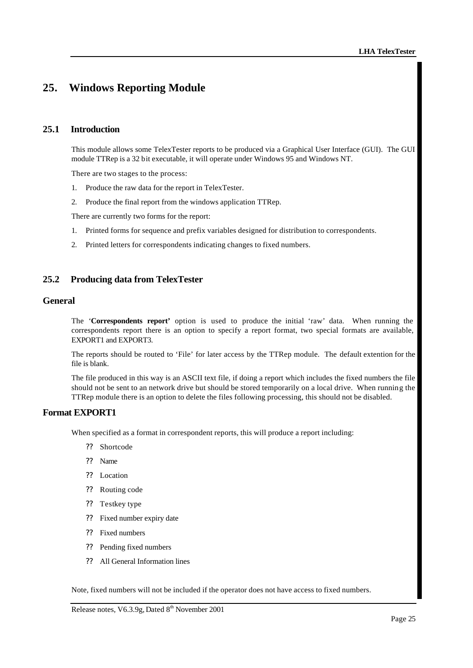# **25. Windows Reporting Module**

# **25.1 Introduction**

This module allows some TelexTester reports to be produced via a Graphical User Interface (GUI). The GUI module TTRep is a 32 bit executable, it will operate under Windows 95 and Windows NT.

There are two stages to the process:

- 1. Produce the raw data for the report in TelexTester.
- 2. Produce the final report from the windows application TTRep.

There are currently two forms for the report:

- 1. Printed forms for sequence and prefix variables designed for distribution to correspondents.
- 2. Printed letters for correspondents indicating changes to fixed numbers.

# **25.2 Producing data from TelexTester**

### **General**

The '**Correspondents report'** option is used to produce the initial 'raw' data. When running the correspondents report there is an option to specify a report format, two special formats are available, EXPORT1 and EXPORT3.

The reports should be routed to 'File' for later access by the TTRep module. The default extention for the file is blank.

The file produced in this way is an ASCII text file, if doing a report which includes the fixed numbers the file should not be sent to an network drive but should be stored temporarily on a local drive. When running the TTRep module there is an option to delete the files following processing, this should not be disabled.

# **Format EXPORT1**

When specified as a format in correspondent reports, this will produce a report including:

- ?? Shortcode
- ?? Name
- ?? Location
- ?? Routing code
- ?? Testkey type
- ?? Fixed number expiry date
- ?? Fixed numbers
- ?? Pending fixed numbers
- ?? All General Information lines

Note, fixed numbers will not be included if the operator does not have access to fixed numbers.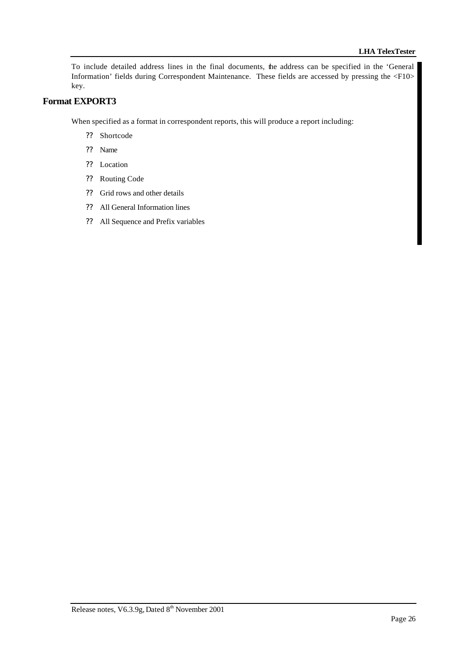To include detailed address lines in the final documents, the address can be specified in the 'General Information' fields during Correspondent Maintenance. These fields are accessed by pressing the <F10> key.

# **Format EXPORT3**

When specified as a format in correspondent reports, this will produce a report including:

- ?? Shortcode
- ?? Name
- ?? Location
- ?? Routing Code
- ?? Grid rows and other details
- ?? All General Information lines
- ?? All Sequence and Prefix variables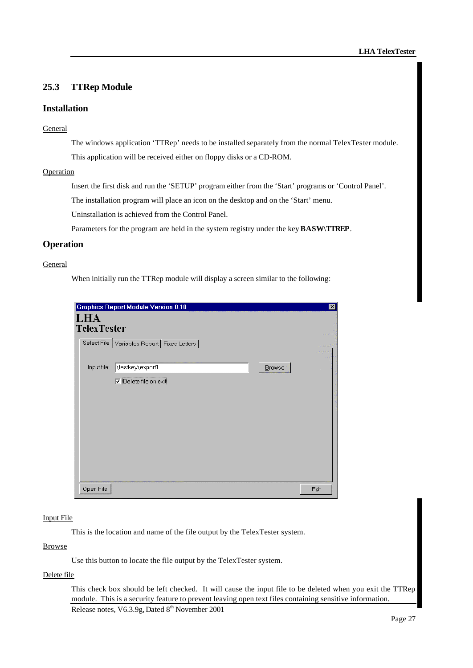# **25.3 TTRep Module**

### **Installation**

#### General

The windows application 'TTRep' needs to be installed separately from the normal TelexTester module. This application will be received either on floppy disks or a CD-ROM.

#### Operation

Insert the first disk and run the 'SETUP' program either from the 'Start' programs or 'Control Panel'.

The installation program will place an icon on the desktop and on the 'Start' menu.

Uninstallation is achieved from the Control Panel.

Parameters for the program are held in the system registry under the key **BASW\TTREP**.

#### **Operation**

#### **General**

When initially run the TTRep module will display a screen similar to the following:

|                           | <b>Graphics Report Module Version 0.10</b>     |        | ⊠          |
|---------------------------|------------------------------------------------|--------|------------|
| LHA<br><b>TelexTester</b> |                                                |        | and proof) |
|                           | Select File   Variables Report   Fixed Letters |        | emmañ      |
| Input file:               | \testkey\export1                               | Browse | 22/1403191 |
|                           | Delete file on exit                            |        |            |
|                           |                                                |        |            |
|                           |                                                |        |            |
|                           |                                                |        |            |
|                           |                                                |        |            |
|                           |                                                |        |            |
|                           |                                                |        |            |
|                           |                                                |        |            |
| Open File                 |                                                |        | Exit       |

#### Input File

This is the location and name of the file output by the TelexTester system.

# Browse

Use this button to locate the file output by the TelexTester system.

# Delete file

Release notes, V6.3.9g, Dated 8<sup>th</sup> November 2001 This check box should be left checked. It will cause the input file to be deleted when you exit the TTRep module. This is a security feature to prevent leaving open text files containing sensitive information.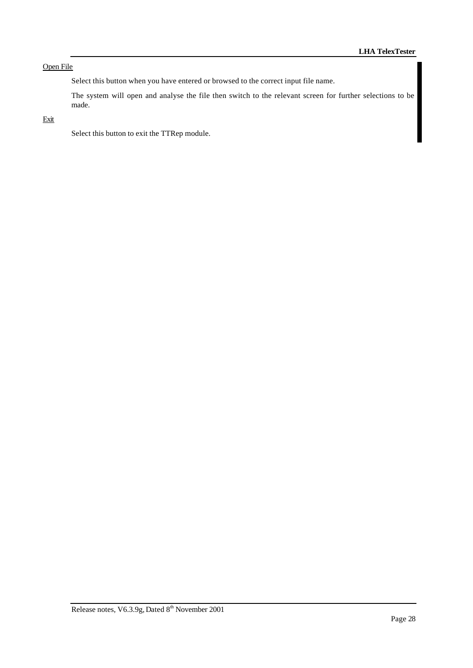# Open File

Select this button when you have entered or browsed to the correct input file name.

The system will open and analyse the file then switch to the relevant screen for further selections to be made.

# Exit

Select this button to exit the TTRep module.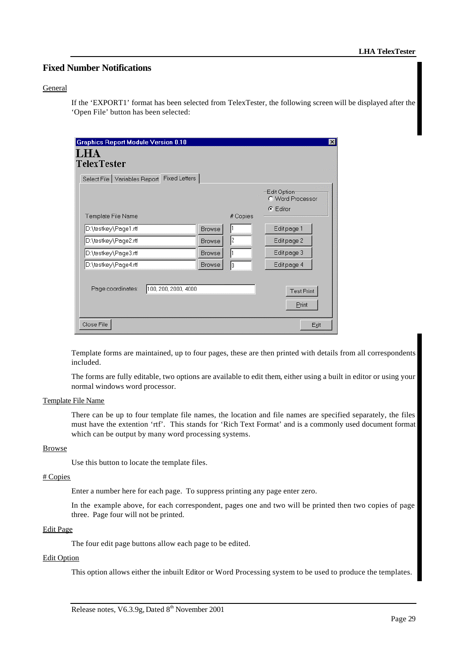# **Fixed Number Notifications**

#### General

If the 'EXPORT1' format has been selected from TelexTester, the following screen will be displayed after the 'Open File' button has been selected:

| <b>Graphics Report Module Version 0.10</b>     |               |          | $\vert x \vert$                                      |
|------------------------------------------------|---------------|----------|------------------------------------------------------|
| LHA<br>TelexTester                             |               |          |                                                      |
| Select File   Variables Report   Fixed Letters |               |          |                                                      |
| Template File Name                             |               | # Copies | Edit Option-<br>C Word Processor<br>$\bullet$ Editor |
| D:\testkey\Page1.rtf                           | <b>Browse</b> |          | Edit page 1                                          |
| D:\testkey\Page2.rtf                           | <b>Browse</b> | l2       | Edit page 2                                          |
| D:\testkey\Page3.rtf                           | <b>Browse</b> |          | Edit page 3                                          |
| D:\testkey\Page4.rtf                           | <b>Browse</b> | lo       | Edit page 4                                          |
| 100, 200, 2000, 4000<br>Page coordinates:      |               |          | <b>Test Print</b><br>Print                           |
| Close File                                     |               |          | Exit                                                 |

Template forms are maintained, up to four pages, these are then printed with details from all correspondents included.

The forms are fully editable, two options are available to edit them, either using a built in editor or using your normal windows word processor.

#### Template File Name

There can be up to four template file names, the location and file names are specified separately, the files must have the extention 'rtf'. This stands for 'Rich Text Format' and is a commonly used document format which can be output by many word processing systems.

#### Browse

Use this button to locate the template files.

#### # Copies

Enter a number here for each page. To suppress printing any page enter zero.

In the example above, for each correspondent, pages one and two will be printed then two copies of page three. Page four will not be printed.

#### Edit Page

The four edit page buttons allow each page to be edited.

#### Edit Option

This option allows either the inbuilt Editor or Word Processing system to be used to produce the templates.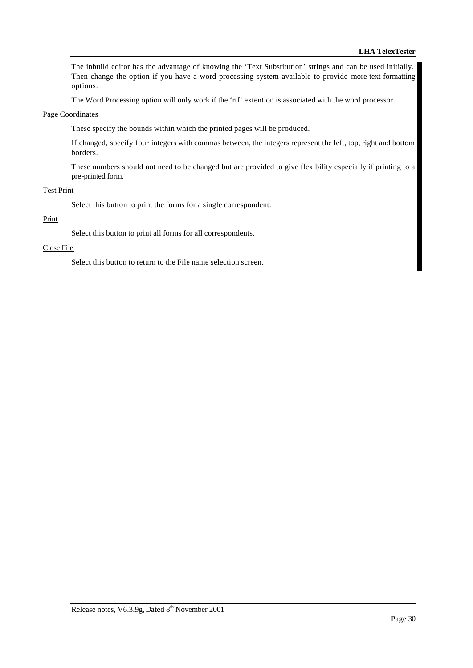The inbuild editor has the advantage of knowing the 'Text Substitution' strings and can be used initially. Then change the option if you have a word processing system available to provide more text formatting options.

The Word Processing option will only work if the 'rtf' extention is associated with the word processor.

#### Page Coordinates

These specify the bounds within which the printed pages will be produced.

If changed, specify four integers with commas between, the integers represent the left, top, right and bottom borders.

These numbers should not need to be changed but are provided to give flexibility especially if printing to a pre-printed form.

#### Test Print

Select this button to print the forms for a single correspondent.

#### Print

Select this button to print all forms for all correspondents.

#### Close File

Select this button to return to the File name selection screen.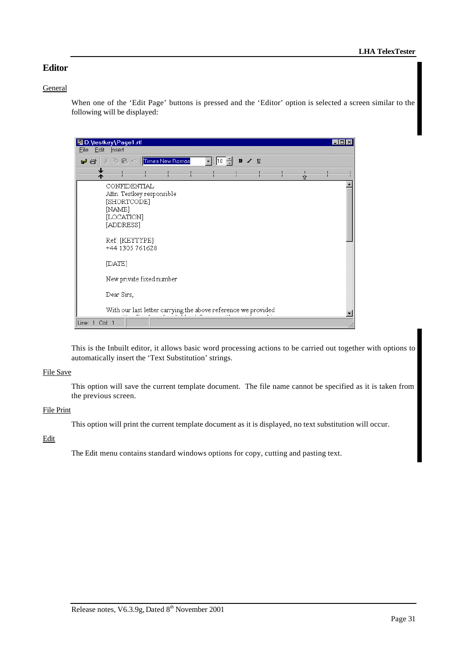# **Editor**

#### **General**

When one of the 'Edit Page' buttons is pressed and the 'Editor' option is selected a screen similar to the following will be displayed:

| ■D:\testkey\Page1.rtf                                                                         |   |  |
|-----------------------------------------------------------------------------------------------|---|--|
| Edit<br><b>Eile</b><br>Insert                                                                 |   |  |
| ※ �� • <mark>Times New Roman</mark><br>$B \times U$<br>110<br>너 산                             |   |  |
| ↓<br>木                                                                                        | 企 |  |
| CONFIDENTIAL<br>Attn. Testkey responsible<br>[SHORTCODE]<br>[NAME]<br>[LOCATION]<br>[ADDRESS] |   |  |
| Ref: [KEYTYPE]<br>+44 1305 761628<br>[DATE]                                                   |   |  |
| New private fixed number                                                                      |   |  |
| Dear Sirs,                                                                                    |   |  |
| With our last letter carrying the above reference we provided<br>$\sim$ $\sim$ $\sim$         |   |  |
| Line: 1 Col: 1                                                                                |   |  |

This is the Inbuilt editor, it allows basic word processing actions to be carried out together with options to automatically insert the 'Text Substitution' strings.

#### File Save

This option will save the current template document. The file name cannot be specified as it is taken from the previous screen.

### File Print

This option will print the current template document as it is displayed, no text substitution will occur.

# Edit

The Edit menu contains standard windows options for copy, cutting and pasting text.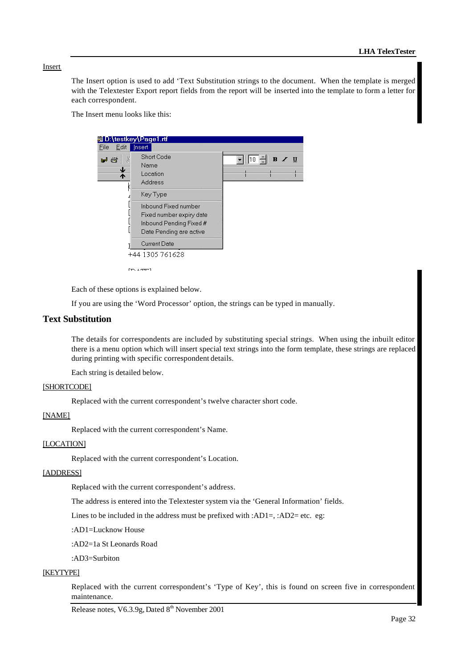### Insert

The Insert option is used to add 'Text Substitution strings to the document. When the template is merged with the Telextester Export report fields from the report will be inserted into the template to form a letter for each correspondent.

The Insert menu looks like this:



Each of these options is explained below.

If you are using the 'Word Processor' option, the strings can be typed in manually.

# **Text Substitution**

The details for correspondents are included by substituting special strings. When using the inbuilt editor there is a menu option which will insert special text strings into the form template, these strings are replaced during printing with specific correspondent details.

Each string is detailed below.

#### [SHORTCODE]

Replaced with the current correspondent's twelve character short code.

#### [NAME]

Replaced with the current correspondent's Name.

#### [LOCATION]

Replaced with the current correspondent's Location.

#### [ADDRESS]

Replaced with the current correspondent's address.

The address is entered into the Telextester system via the 'General Information' fields.

Lines to be included in the address must be prefixed with :AD1=, :AD2= etc. eg:

:AD1=Lucknow House

:AD2=1a St Leonards Road

:AD3=Surbiton

#### **[KEYTYPE]**

Replaced with the current correspondent's 'Type of Key', this is found on screen five in correspondent maintenance.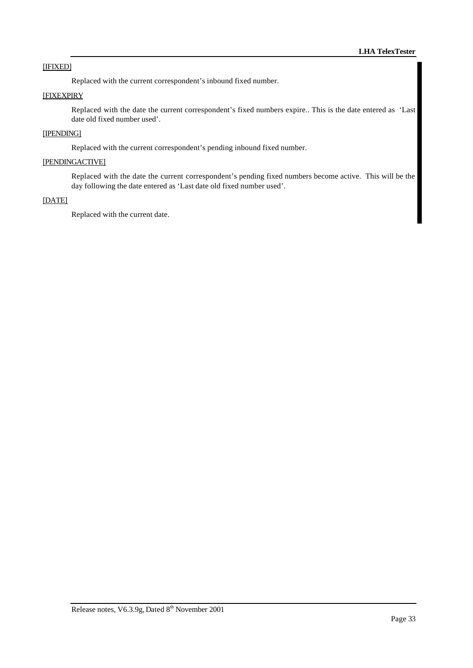#### [IFIXED]

Replaced with the current correspondent's inbound fixed number.

# **[FIXEXPIRY**

Replaced with the date the current correspondent's fixed numbers expire.. This is the date entered as 'Last date old fixed number used'.

#### [IPENDING]

Replaced with the current correspondent's pending inbound fixed number.

#### [PENDINGACTIVE]

Replaced with the date the current correspondent's pending fixed numbers become active. This will be the day following the date entered as 'Last date old fixed number used'.

#### [DATE]

Replaced with the current date.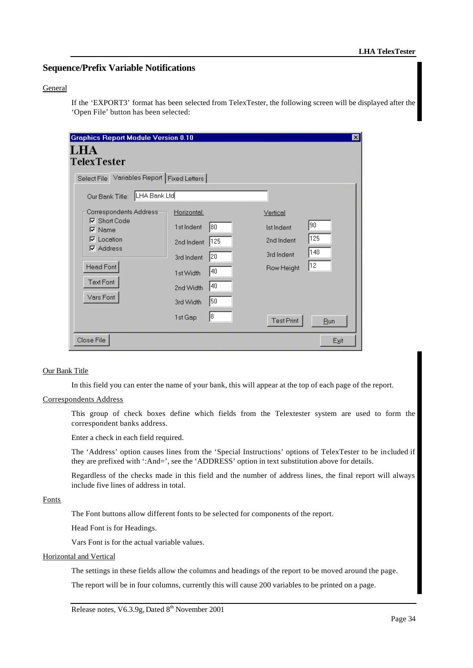# **Sequence/Prefix Variable Notifications**

#### General

If the 'EXPORT3' format has been selected from TelexTester, the following screen will be displayed after the 'Open File' button has been selected:

| <b>Graphics Report Module Version 0.10</b><br><b>TelexTester</b>                                                                                       |                                                                                              |                                    |                                                                                                   | ⊠<br>man provid            |
|--------------------------------------------------------------------------------------------------------------------------------------------------------|----------------------------------------------------------------------------------------------|------------------------------------|---------------------------------------------------------------------------------------------------|----------------------------|
| Select File Variables Report   Fixed Letters                                                                                                           |                                                                                              |                                    |                                                                                                   | emmä<br><b>Distriction</b> |
| LHA Bank Ltd<br>Our Bank Title:                                                                                                                        |                                                                                              |                                    |                                                                                                   |                            |
| Correspondents Address-<br>$\nabla$ Short Code<br>$\nabla$ Name<br>$\nabla$ Location<br>$\nabla$ Address<br><b>Head Font</b><br>Text Font<br>Vars Font | Horizontal.<br>1st Indent<br>2nd Indent<br>3rd Indent<br>1st Width<br>2nd Width<br>3rd Width | 80<br>125<br> 20<br>40<br>40<br>50 | Vertical<br>90<br><b>Ist Indent</b><br>125<br>2nd Indent<br>140<br>3rd Indent<br>12<br>Row Height |                            |
|                                                                                                                                                        | 1st Gap                                                                                      | 8                                  | <b>Test Print</b>                                                                                 | <b>Run</b>                 |
| Close File                                                                                                                                             |                                                                                              |                                    |                                                                                                   | Exit                       |

#### Our Bank Title

In this field you can enter the name of your bank, this will appear at the top of each page of the report.

#### Correspondents Address

This group of check boxes define which fields from the Telextester system are used to form the correspondent banks address.

Enter a check in each field required.

The 'Address' option causes lines from the 'Special Instructions' options of TelexTester to be included if they are prefixed with ':And=', see the 'ADDRESS' option in text substitution above for details.

Regardless of the checks made in this field and the number of address lines, the final report will always include five lines of address in total.

# Fonts

The Font buttons allow different fonts to be selected for components of the report.

Head Font is for Headings.

Vars Font is for the actual variable values.

#### Horizontal and Vertical

The settings in these fields allow the columns and headings of the report to be moved around the page.

The report will be in four columns, currently this will cause 200 variables to be printed on a page.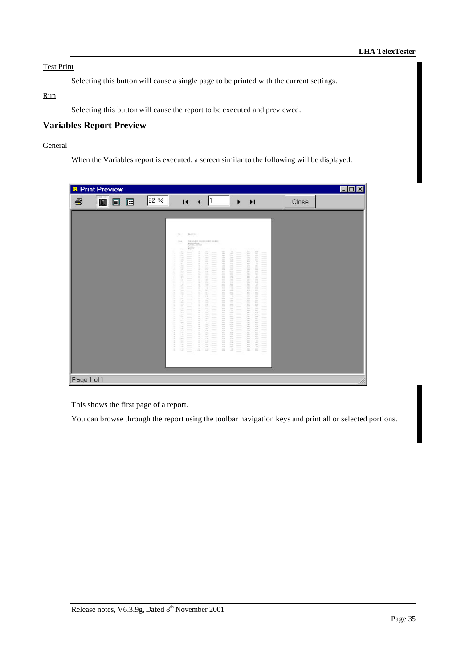# Test Print

Selecting this button will cause a single page to be printed with the current settings.

### Run

Selecting this button will cause the report to be executed and previewed.

# **Variables Report Preview**

# General

When the Variables report is executed, a screen similar to the following will be displayed.

| 22 %<br>E<br>Close<br>Œ<br>$\overline{14}$<br>▶<br>$\blacktriangleright$<br>圓<br>$\tau_{\rm B}$<br>\$64.770.<br>LTD SAM IT CONTRIBUTES SHARE!<br><b>That</b><br>Andrew Mod-<br>Ti-fi-Enlight Nati<br><b>Science</b><br>\$1.4 limit<br>픞<br>111<br>$\mathbb{L}$<br>Um.<br>$k \in \mathbb{R}$<br>111<br>$\sim$<br>$\frac{1}{2} \left( \frac{1}{2} \right) \left( \frac{1}{2} \right) \left( \frac{1}{2} \right)$<br>$\frac{1}{2} \left( \frac{1}{2} \right) \left( \frac{1}{2} \right) \left( \frac{1}{2} \right) \left( \frac{1}{2} \right) \left( \frac{1}{2} \right) \left( \frac{1}{2} \right) \left( \frac{1}{2} \right) \left( \frac{1}{2} \right) \left( \frac{1}{2} \right) \left( \frac{1}{2} \right) \left( \frac{1}{2} \right) \left( \frac{1}{2} \right) \left( \frac{1}{2} \right) \left( \frac{1}{2} \right) \left( \frac{1}{2} \right) \left( \frac{1}{2} \right) \left( \frac$<br>當<br>Ter.<br>$\label{eq:1} \begin{array}{ll} \mathbb{R}^{n} \times \mathbb{R}^{n} \times \mathbb{R}^{n} \times \mathbb{R}^{n} \times \mathbb{R}^{n} \times \mathbb{R}^{n} \times \mathbb{R}^{n} \times \mathbb{R}^{n} \times \mathbb{R}^{n} \times \mathbb{R}^{n} \times \mathbb{R}^{n} \times \mathbb{R}^{n} \times \mathbb{R}^{n} \times \mathbb{R}^{n} \times \mathbb{R}^{n} \times \mathbb{R}^{n} \times \mathbb{R}^{n} \times \mathbb{R}^{n} \times \mathbb{R}^{n$<br>con.<br>面<br>144.1<br>$\frac{1}{2} \left( \frac{1}{2} \right) \left( \frac{1}{2} \right) \left( \frac{1}{2} \right) \left( \frac{1}{2} \right) \left( \frac{1}{2} \right) \left( \frac{1}{2} \right) \left( \frac{1}{2} \right) \left( \frac{1}{2} \right) \left( \frac{1}{2} \right) \left( \frac{1}{2} \right) \left( \frac{1}{2} \right) \left( \frac{1}{2} \right) \left( \frac{1}{2} \right) \left( \frac{1}{2} \right) \left( \frac{1}{2} \right) \left( \frac{1}{2} \right) \left( \frac$<br>═<br>$\overline{\phantom{a}}$<br>$\sim$<br>14<br>the c<br>et in<br>Vite.<br>$\sim$<br>$\frac{1}{2}$<br>÷,<br><b>Side</b><br>in.<br>116<br>18.0<br><b>HALL</b><br>100<br>$\overline{\phantom{m}}$<br>$\equiv$<br>3.932<br>1000<br>111<br><b>Sept.</b><br>m<br><b>AR</b><br>$\frac{1}{2}$<br>$\frac{1}{2}$<br>$\frac{1}{2}$<br>--<br>B)<br><b>THE</b><br>111<br>œ<br>111<br>110<br>$\sim$<br>$\longrightarrow$<br>$\overline{\phantom{a}}$<br>148.<br>112<br><b>WELL</b><br>Term.<br>19.<br>$\frac{1}{2} \left( \frac{1}{2} \right) \left( \frac{1}{2} \right) \left( \frac{1}{2} \right) \left( \frac{1}{2} \right) \left( \frac{1}{2} \right) \left( \frac{1}{2} \right) \left( \frac{1}{2} \right) \left( \frac{1}{2} \right) \left( \frac{1}{2} \right) \left( \frac{1}{2} \right) \left( \frac{1}{2} \right) \left( \frac{1}{2} \right) \left( \frac{1}{2} \right) \left( \frac{1}{2} \right) \left( \frac{1}{2} \right) \left( \frac{1}{2} \right) \left( \frac$<br>$\frac{1}{2} \left( \frac{1}{2} \right) \left( \frac{1}{2} \right) \left( \frac{1}{2} \right) \left( \frac{1}{2} \right) \left( \frac{1}{2} \right) \left( \frac{1}{2} \right) \left( \frac{1}{2} \right) \left( \frac{1}{2} \right) \left( \frac{1}{2} \right) \left( \frac{1}{2} \right) \left( \frac{1}{2} \right) \left( \frac{1}{2} \right) \left( \frac{1}{2} \right) \left( \frac{1}{2} \right) \left( \frac{1}{2} \right) \left( \frac{1}{2} \right) \left( \frac$<br>--<br>164<br>÷<br>year.<br>÷<br>122<br>×<br>141<br>$\sim$<br>$\sim$<br>--<br><b>VIE</b><br>100<br>240<br>m<br>Ξ<br>Ξ<br>$\sim$<br>--<br>š.<br>÷.<br>THE.<br>13.8<br><b>COLLECT</b><br>112<br>$\frac{1}{2} \left( \frac{1}{2} \right) \left( \frac{1}{2} \right)$<br>$\frac{1}{2}$<br>iü.<br>11<br>10 <sup>2</sup><br>111<br><b>SAF</b><br>rich.<br>$\qquad \qquad$<br>$\frac{1}{2} \left( \frac{1}{2} \right)^2 + \frac{1}{2} \left( \frac{1}{2} \right)^2$<br>$\frac{1}{2} \left( \frac{1}{2} \right) \left( \frac{1}{2} \right) \left( \frac{1}{2} \right) \left( \frac{1}{2} \right) \left( \frac{1}{2} \right) \left( \frac{1}{2} \right) \left( \frac{1}{2} \right) \left( \frac{1}{2} \right) \left( \frac{1}{2} \right) \left( \frac{1}{2} \right) \left( \frac{1}{2} \right) \left( \frac{1}{2} \right) \left( \frac{1}{2} \right) \left( \frac{1}{2} \right) \left( \frac{1}{2} \right) \left( \frac{1}{2} \right) \left( \frac$<br>$\frac{1}{2} \left( \frac{1}{2} \right) \left( \frac{1}{2} \right) \left( \frac{1}{2} \right)$<br>ALL:<br>AL-<br>11.6<br>LL.<br>sin.<br>111<br>÷<br>$\sim$<br>$\sim$<br>$\frac{1}{2} \left( \frac{1}{2} \right) \left( \frac{1}{2} \right) \left( \frac{1}{2} \right) \left( \frac{1}{2} \right) \left( \frac{1}{2} \right) \left( \frac{1}{2} \right) \left( \frac{1}{2} \right) \left( \frac{1}{2} \right) \left( \frac{1}{2} \right) \left( \frac{1}{2} \right) \left( \frac{1}{2} \right) \left( \frac{1}{2} \right) \left( \frac{1}{2} \right) \left( \frac{1}{2} \right) \left( \frac{1}{2} \right) \left( \frac{1}{2} \right) \left( \frac$<br>$\frac{1}{2} \left( \frac{1}{2} \right) \left( \frac{1}{2} \right) \left( \frac{1}{2} \right)$<br>$\sim$<br>n<br><b>SIL</b><br>$\sim$<br>0.11<br>$\mathbb{I}$ if $\mathbb{I}$<br>188<br>111<br>$\rightarrow$<br>$\overline{\phantom{a}}$<br>Ξ<br>$\sim$<br>--<br>ä<br>12.1<br>$\mathbb{R}^n$ .<br>141<br>112<br>3.18<br>111<br>(11)<br>$\sim$<br>$\sim$<br>$\frac{1}{2} \left( \frac{1}{2} \right) \left( \frac{1}{2} \right) \left( \frac{1}{2} \right) \left( \frac{1}{2} \right) \left( \frac{1}{2} \right) \left( \frac{1}{2} \right) \left( \frac{1}{2} \right) \left( \frac{1}{2} \right) \left( \frac{1}{2} \right) \left( \frac{1}{2} \right) \left( \frac{1}{2} \right) \left( \frac{1}{2} \right) \left( \frac{1}{2} \right) \left( \frac{1}{2} \right) \left( \frac{1}{2} \right) \left( \frac{1}{2} \right) \left( \frac$<br>181<br>$10^{11}$<br>$100 - 100$<br>111<br>17.5<br>195.<br>inc.<br>$\qquad \qquad$<br>$\sim$<br><b>JYE</b><br>in.<br>m.<br>36k<br>$\sim$<br>is.<br><b>Life:</b><br>Y.<br>$\qquad \qquad =\qquad$<br>$\frac{1}{2} \left( \frac{1}{2} \right) \left( \frac{1}{2} \right) \left( \frac{1}{2} \right)$<br>$\sim$<br>$\sim$<br>$\sim$<br>100<br>1111<br>box.<br>$1 + 1$<br>$\rightarrow$<br>Ξ<br>Ξ<br>$\overline{\phantom{a}}$<br>--<br>×<br>ALC.<br>s<br>118<br>118<br>200<br>iin.<br>m.<br>$\sim$<br>--<br>12<br>116<br>184<br>$\sim$<br>116.<br>i sa<br>11.0<br>$\qquad \qquad$<br>$\sim$<br>$\overline{\phantom{a}}$<br>--<br>š<br>18.1<br>in.<br><b>SEP</b><br>$\frac{1}{1+\alpha}$<br>12.01<br>$1 + 0.$<br>in.<br>$\equiv$<br>$\frac{1}{2} \left( \frac{1}{2} \right)^{2} \left( \frac{1}{2} \right)^{2} \left( \frac{1}{2} \right)^{2} \left( \frac{1}{2} \right)^{2} \left( \frac{1}{2} \right)^{2} \left( \frac{1}{2} \right)^{2} \left( \frac{1}{2} \right)^{2} \left( \frac{1}{2} \right)^{2} \left( \frac{1}{2} \right)^{2} \left( \frac{1}{2} \right)^{2} \left( \frac{1}{2} \right)^{2} \left( \frac{1}{2} \right)^{2} \left( \frac{1}{2} \right)^{2} \left( \frac$<br>--<br>π<br>yes.<br>$111$<br>1888<br>111.<br>m.<br>Ξ<br>Ξ<br>$\frac{1}{2} \left( \frac{1}{2} \right) \left( \frac{1}{2} \right) \left( \frac{1}{2} \right)$<br>--<br>$\mathbf{r}$<br><b>YER</b><br>and .<br>115<br><b>Lee</b><br>118<br>sak-<br>$\frac{1}{2} \left( \frac{1}{2} \right) \left( \frac{1}{2} \right) \left( \frac{1}{2} \right) \left( \frac{1}{2} \right) \left( \frac{1}{2} \right) \left( \frac{1}{2} \right) \left( \frac{1}{2} \right) \left( \frac{1}{2} \right) \left( \frac{1}{2} \right) \left( \frac{1}{2} \right) \left( \frac{1}{2} \right) \left( \frac{1}{2} \right) \left( \frac{1}{2} \right) \left( \frac{1}{2} \right) \left( \frac{1}{2} \right) \left( \frac{1}{2} \right) \left( \frac$<br>--<br>×<br>$\sim$<br>$\sim$<br>11<br>$100 -$<br>ъ.<br>m<br>$\sim$<br>$\overline{\phantom{m}}$<br>$\frac{1}{2} \left( \frac{1}{2} \right) \left( \frac{1}{2} \right) \left( \frac{1}{2} \right) \left( \frac{1}{2} \right) \left( \frac{1}{2} \right) \left( \frac{1}{2} \right) \left( \frac{1}{2} \right) \left( \frac{1}{2} \right) \left( \frac{1}{2} \right) \left( \frac{1}{2} \right) \left( \frac{1}{2} \right) \left( \frac{1}{2} \right) \left( \frac{1}{2} \right) \left( \frac{1}{2} \right) \left( \frac{1}{2} \right) \left( \frac{1}{2} \right) \left( \frac$<br>$\frac{1}{2} \left( \frac{1}{2} \right) \left( \frac{1}{2} \right) \left( \frac{1}{2} \right)$<br>--<br>b<br>187<br>B<br>$\frac{1}{1+\alpha}$<br>tin.<br>to:<br>1mg<br><b>Lease</b><br>$\frac{1}{2}$<br>$\frac{1}{2} \left( \frac{1}{2} \right) \left( \frac{1}{2} \right) \left( \frac{1}{2} \right) \left( \frac{1}{2} \right) \left( \frac{1}{2} \right) \left( \frac{1}{2} \right) \left( \frac{1}{2} \right) \left( \frac{1}{2} \right) \left( \frac{1}{2} \right) \left( \frac{1}{2} \right) \left( \frac{1}{2} \right) \left( \frac{1}{2} \right) \left( \frac{1}{2} \right) \left( \frac{1}{2} \right) \left( \frac{1}{2} \right) \left( \frac{1}{2} \right) \left( \frac$<br>$\frac{1}{2} \left( \frac{1}{2} \right) \left( \frac{1}{2} \right) \left( \frac{1}{2} \right)$<br>--<br>(115)<br>112<br>148<br>100<br>150<br>Ξ<br>$\equiv$<br>$\frac{1}{2}$<br>is.<br>$14 -$<br>E.<br>141<br>111.<br><b>Sign</b><br>in.<br>111<br>$\sim$<br>--<br>π<br>114<br>$\overline{\phantom{a}}$<br>13.7<br>po.<br>$1 -$<br>tor.<br>Ξ<br>$=$<br>$\frac{1}{2}$<br>--<br>in.<br>m<br>'ent<br>Take 1<br>$-1.116$<br>G.Gr.<br><b>SIL</b><br>$\overline{\phantom{a}}$<br>$\sim$<br>×<br>m.<br>4.3.8<br>TER.<br>$1 + 1$<br><b>Au</b><br>TEN.<br>14.<br>Ξ<br>--<br>$=$<br>$\frac{1}{2}$<br>$\overline{1}$<br>188<br>÷<br>$\overline{\phantom{a}}$<br>116<br>110<br>DИ.<br><b>AR</b><br>$\sim$<br>$\mathbf{u}$<br>$3.0 - 1.0$<br>OK.<br>111<br>10.11<br>130<br>ris.<br>Ξ<br>Ξ<br>$\sim$<br>--<br>n.<br>×<br>124<br>$^{16}$<br>111<br>(FPR)<br>190<br>pide:<br>$\frac{1}{2}$<br>$\sim$<br>GH-<br>TER.<br>ia.<br>×<br>Yes.<br>14.4<br><b>SER</b><br>Ξ<br>$\equiv$<br>$\overline{\phantom{a}}$<br>$\rightarrow$<br>н<br>$\sim$<br>XXX<br>111<br>÷<br>œ<br><b>Sec.</b><br>$111 -$<br>$\frac{1}{2} \left( \frac{1}{2} \right) \left( \frac{1}{2} \right) \left( \frac{1}{2} \right)$<br>$\frac{1}{2} \left( \frac{1}{2} \right) \left( \frac{1}{2} \right) \left( \frac{1}{2} \right)$<br>×<br>111.<br>$\sim$<br>HE.<br>112<br><b>TTF</b><br>180<br>134.<br>Ξ<br>$\frac{1}{2} \left( \frac{1}{2} \right) \left( \frac{1}{2} \right) \left( \frac{1}{2} \right) \left( \frac{1}{2} \right) \left( \frac{1}{2} \right) \left( \frac{1}{2} \right) \left( \frac{1}{2} \right) \left( \frac{1}{2} \right) \left( \frac{1}{2} \right) \left( \frac{1}{2} \right) \left( \frac{1}{2} \right) \left( \frac{1}{2} \right) \left( \frac{1}{2} \right) \left( \frac{1}{2} \right) \left( \frac{1}{2} \right) \left( \frac{1}{2} \right) \left( \frac$<br>--<br>iiiii<br>$\frac{1}{1+\epsilon}$<br>$\frac{1}{2} \left( \frac{1}{2} \right) \left( \frac{1}{2} \right)$<br>100<br>18.88<br>e<br>m<br>e<br>$\qquad \qquad = \qquad$<br>$\sim$<br>$\frac{1}{2}$<br>$\sqrt{2}$<br>$\sim$<br>Volv.<br>Ξ<br>$\equiv$<br>$\frac{1}{2}$<br>×<br>Yes.<br>in.<br>111<br>$100 - 100$<br>110<br>110.<br>$\frac{1}{2} \left( \frac{1}{2} \right) \left( \frac{1}{2} \right) \left( \frac{1}{2} \right)$<br>$\overline{1}$<br>MF.<br>m<br>112<br><b>NO</b><br>co.<br>114<br>s<br>Ξ<br>--<br>$\sim$<br>111<br>1.14<br>1,191<br>$\sim$<br>$+10$<br>$\label{eq:1} \begin{split} \mathbb{R}^{n+1} \times \mathbb{R}^{n+1} \end{split}$<br>$\sim$<br>--<br>×<br><b>Tele</b><br>n.<br>and .<br>1.11<br>sie"<br>181.<br>April.<br>$=$<br>Ξ<br>$\frac{1}{2}$<br>--<br>10 <sup>2</sup><br>×<br>ù so<br>mi.<br>111<br>sis"<br>$-1$<br>÷<br>×<br>718<br>m.<br>April.<br>$100 - 100$<br>157<br>iii.<br>1/6<br>$=$<br>$\equiv$<br>$\sim$<br>--<br>۰<br>$\rightarrow$<br>10 <sup>2</sup><br>110<br>$1 - 1$<br>111<br>1111<br>116<br>$\frac{1}{2}$<br>s<br>$\sim$<br><b>COL</b><br>ing.<br>Texas.<br>Tele-<br><b>TELL</b><br>$-880$<br>Ë<br>$\approx$<br>$\sim$<br>--<br>E<br>To 1<br><b>Sec.</b><br>100<br><b>STATE</b><br>Color.<br><b>COLL</b><br><b>SEC</b><br>$\sim$<br>$\frac{1}{2} \left( \frac{1}{2} \right) \left( \frac{1}{2} \right) \left( \frac{1}{2} \right) \left( \frac{1}{2} \right) \left( \frac{1}{2} \right) \left( \frac{1}{2} \right) \left( \frac{1}{2} \right) \left( \frac{1}{2} \right) \left( \frac{1}{2} \right) \left( \frac{1}{2} \right) \left( \frac{1}{2} \right) \left( \frac{1}{2} \right) \left( \frac{1}{2} \right) \left( \frac{1}{2} \right) \left( \frac{1}{2} \right) \left( \frac{1}{2} \right) \left( \frac$<br>188<br>R<br>100<br>1111<br>$11\%$<br>1111<br>on)<br>$\equiv$<br>$\frac{1}{2}$<br>--<br>$\sim$<br>184.<br>$101$<br>1.01<br>131<br>DO.<br>CHO.<br>$\sim$<br>--<br>con.<br>.xel<br>湿<br>COM 7<br>×<br>114<br>$\frac{1}{100}$<br>Cash 1<br>$\overline{\phantom{a}}$<br><b>Inches</b><br>÷<br>Veli<br>THE<br>Vol. | <b>R</b> Print Preview |  |  |  |  |  |  |  |
|--------------------------------------------------------------------------------------------------------------------------------------------------------------------------------------------------------------------------------------------------------------------------------------------------------------------------------------------------------------------------------------------------------------------------------------------------------------------------------------------------------------------------------------------------------------------------------------------------------------------------------------------------------------------------------------------------------------------------------------------------------------------------------------------------------------------------------------------------------------------------------------------------------------------------------------------------------------------------------------------------------------------------------------------------------------------------------------------------------------------------------------------------------------------------------------------------------------------------------------------------------------------------------------------------------------------------------------------------------------------------------------------------------------------------------------------------------------------------------------------------------------------------------------------------------------------------------------------------------------------------------------------------------------------------------------------------------------------------------------------------------------------------------------------------------------------------------------------------------------------------------------------------------------------------------------------------------------------------------------------------------------------------------------------------------------------------------------------------------------------------------------------------------------------------------------------------------------------------------------------------------------------------------------------------------------------------------------------------------------------------------------------------------------------------------------------------------------------------------------------------------------------------------------------------------------------------------------------------------------------------------------------------------------------------------------------------------------------------------------------------------------------------------------------------------------------------------------------------------------------------------------------------------------------------------------------------------------------------------------------------------------------------------------------------------------------------------------------------------------------------------------------------------------------------------------------------------------------------------------------------------------------------------------------------------------------------------------------------------------------------------------------------------------------------------------------------------------------------------------------------------------------------------------------------------------------------------------------------------------------------------------------------------------------------------------------------------------------------------------------------------------------------------------------------------------------------------------------------------------------------------------------------------------------------------------------------------------------------------------------------------------------------------------------------------------------------------------------------------------------------------------------------------------------------------------------------------------------------------------------------------------------------------------------------------------------------------------------------------------------------------------------------------------------------------------------------------------------------------------------------------------------------------------------------------------------------------------------------------------------------------------------------------------------------------------------------------------------------------------------------------------------------------------------------------------------------------------------------------------------------------------------------------------------------------------------------------------------------------------------------------------------------------------------------------------------------------------------------------------------------------------------------------------------------------------------------------------------------------------------------------------------------------------------------------------------------------------------------------------------------------------------------------------------------------------------------------------------------------------------------------------------------------------------------------------------------------------------------------------------------------------------------------------------------------------------------------------------------------------------------------------------------------------------------------------------------------------------------------------------------------------------------------------------------------------------------------------------------------------------------------------------------------------------------------------------------------------------------------------------------------------------------------------------------------------------------------------------------------------------------------------------------------------------------------------------------------------------------------------------------------------------------------------------------------------------------------------------------------------------------------------------------------------------------------------------------------------------------------------------------------------------------------------------------------------------------------------------------------------------------------------------------------------------------------------------------------------------------------------------------------------------------------------------------------------------------------------------------------------------------------------------------------------------------------------------------------------------------------------------------------------------------------------------------------------------------------------------------------------------------------------------------------------------------------------------------------------------------------------------------------------------------------------------------------------------------------------------------------------------------------------------------------------------------------------------------------------------------------------------------------------------------------------------------------------------------------------------------------------------------------------------------------------------------------------------------------------------------------------------------------------------------------------------------------------------------------------------------------------------------------------------------------------------------------------------------------------------------------------------------------------------------------------------------------------------------------------------------------------------------------------------------------------------------------------------------------------------------------------------------------------------------------------------------------------------------------------------------------------------------------------------------------------------------------------------------------------------------------------------------------------------------------------------------------------------------------------------------------------------------------------------------------------------------------------------------------------------------------------------------------------------------------------------------------------------------------------------------------------------------------------------------------------------------------------------------------------------------------------------------------------------------------------------------------------------------------------------------------------------------------------------------------------------------------------------------------------------------------------------------------------------------------------------------------------------------------------------------------------------------------------------------------------------------------------------------------------------------------------------------------------------------------------------------------------------------------------------------------------------------------------------------------------------------------------------------------------------------------------------------------------------------------------------------------------------------------------------------------------------------------------------------------------------------------------------------------------------------------------------------------------------------------------------------------------------------------------------------------------------------------------------------------------------------------------------------------------------------------------------------------------------------------------------------------------------------------------------------------------------------------------------------------------------------------------------------------------------------------------------------------------------------------------------------------------------------------------------------------------------------------------------------------------------------------------------------------------------------------------------------------------------------------------------------------------------------------------------------------------------------------------------------------------------------------------------------------------------------------------------------------------------------------------------------------------------------------------------------------------------------------------------------------------------------------------------------------------------------------------------------------------------------------------------------------------------------------------------------------------------------------------------------------------------------------------------------------------------------------------------------------------------------------------------------------------------------------------------------------------------------------------------------------------------------------------------------------------------------------------------------------------------------------------------------------------------------------------------------------------------------------------------------------------------------------------------------------------------------------------------------------------------------------------------------------------------------------------------------------------------------------------------------------------------------------------------------------------------------------------------------------------------------------------------------------------------------------------------------------------------------------------------------------------------------------------------------------------------------------------------------------------------------------------------------------------------------------------------------------------------------------------------------------------------------------------------------------------------------------------------------------------------|------------------------|--|--|--|--|--|--|--|
|                                                                                                                                                                                                                                                                                                                                                                                                                                                                                                                                                                                                                                                                                                                                                                                                                                                                                                                                                                                                                                                                                                                                                                                                                                                                                                                                                                                                                                                                                                                                                                                                                                                                                                                                                                                                                                                                                                                                                                                                                                                                                                                                                                                                                                                                                                                                                                                                                                                                                                                                                                                                                                                                                                                                                                                                                                                                                                                                                                                                                                                                                                                                                                                                                                                                                                                                                                                                                                                                                                                                                                                                                                                                                                                                                                                                                                                                                                                                                                                                                                                                                                                                                                                                                                                                                                                                                                                                                                                                                                                                                                                                                                                                                                                                                                                                                                                                                                                                                                                                                                                                                                                                                                                                                                                                                                                                                                                                                                                                                                                                                                                                                                                                                                                                                                                                                                                                                                                                                                                                                                                                                                                                                                                                                                                                                                                                                                                                                                                                                                                                                                                                                                                                                                                                                                                                                                                                                                                                                                                                                                                                                                                                                                                                                                                                                                                                                                                                                                                                                                                                                                                                                                                                                                                                                                                                                                                                                                                                                                                                                                                                                                                                                                                                                                                                                                                                                                                                                                                                                                                                                                                                                                                                                                                                                                                                                                                                                                                                                                                                                                                                                                                                                                                                                                                                                                                                                                                                                                                                                                                                                                                                                                                                                                                                                                                                                                                                                                                                                                                                                                                                                                                                                                                                                                                                                                                                                                                                                                                                                                                                                                                                                                                                                                                                                                                                                                                                                                                                                                                                                                                                                                                                                                                                                                                                                                                                                                                                                                                                                                                                                                                                                                                                                                                                                                                                                                                                                                                                                                                                                                                                                                                                                                                                                                                                                                                                                                                                                                                                                                                                                                                                                                                                                                                                                                                                                                                                                            | ê                      |  |  |  |  |  |  |  |
|                                                                                                                                                                                                                                                                                                                                                                                                                                                                                                                                                                                                                                                                                                                                                                                                                                                                                                                                                                                                                                                                                                                                                                                                                                                                                                                                                                                                                                                                                                                                                                                                                                                                                                                                                                                                                                                                                                                                                                                                                                                                                                                                                                                                                                                                                                                                                                                                                                                                                                                                                                                                                                                                                                                                                                                                                                                                                                                                                                                                                                                                                                                                                                                                                                                                                                                                                                                                                                                                                                                                                                                                                                                                                                                                                                                                                                                                                                                                                                                                                                                                                                                                                                                                                                                                                                                                                                                                                                                                                                                                                                                                                                                                                                                                                                                                                                                                                                                                                                                                                                                                                                                                                                                                                                                                                                                                                                                                                                                                                                                                                                                                                                                                                                                                                                                                                                                                                                                                                                                                                                                                                                                                                                                                                                                                                                                                                                                                                                                                                                                                                                                                                                                                                                                                                                                                                                                                                                                                                                                                                                                                                                                                                                                                                                                                                                                                                                                                                                                                                                                                                                                                                                                                                                                                                                                                                                                                                                                                                                                                                                                                                                                                                                                                                                                                                                                                                                                                                                                                                                                                                                                                                                                                                                                                                                                                                                                                                                                                                                                                                                                                                                                                                                                                                                                                                                                                                                                                                                                                                                                                                                                                                                                                                                                                                                                                                                                                                                                                                                                                                                                                                                                                                                                                                                                                                                                                                                                                                                                                                                                                                                                                                                                                                                                                                                                                                                                                                                                                                                                                                                                                                                                                                                                                                                                                                                                                                                                                                                                                                                                                                                                                                                                                                                                                                                                                                                                                                                                                                                                                                                                                                                                                                                                                                                                                                                                                                                                                                                                                                                                                                                                                                                                                                                                                                                                                                                                                                            |                        |  |  |  |  |  |  |  |
|                                                                                                                                                                                                                                                                                                                                                                                                                                                                                                                                                                                                                                                                                                                                                                                                                                                                                                                                                                                                                                                                                                                                                                                                                                                                                                                                                                                                                                                                                                                                                                                                                                                                                                                                                                                                                                                                                                                                                                                                                                                                                                                                                                                                                                                                                                                                                                                                                                                                                                                                                                                                                                                                                                                                                                                                                                                                                                                                                                                                                                                                                                                                                                                                                                                                                                                                                                                                                                                                                                                                                                                                                                                                                                                                                                                                                                                                                                                                                                                                                                                                                                                                                                                                                                                                                                                                                                                                                                                                                                                                                                                                                                                                                                                                                                                                                                                                                                                                                                                                                                                                                                                                                                                                                                                                                                                                                                                                                                                                                                                                                                                                                                                                                                                                                                                                                                                                                                                                                                                                                                                                                                                                                                                                                                                                                                                                                                                                                                                                                                                                                                                                                                                                                                                                                                                                                                                                                                                                                                                                                                                                                                                                                                                                                                                                                                                                                                                                                                                                                                                                                                                                                                                                                                                                                                                                                                                                                                                                                                                                                                                                                                                                                                                                                                                                                                                                                                                                                                                                                                                                                                                                                                                                                                                                                                                                                                                                                                                                                                                                                                                                                                                                                                                                                                                                                                                                                                                                                                                                                                                                                                                                                                                                                                                                                                                                                                                                                                                                                                                                                                                                                                                                                                                                                                                                                                                                                                                                                                                                                                                                                                                                                                                                                                                                                                                                                                                                                                                                                                                                                                                                                                                                                                                                                                                                                                                                                                                                                                                                                                                                                                                                                                                                                                                                                                                                                                                                                                                                                                                                                                                                                                                                                                                                                                                                                                                                                                                                                                                                                                                                                                                                                                                                                                                                                                                                                                                                                            |                        |  |  |  |  |  |  |  |
|                                                                                                                                                                                                                                                                                                                                                                                                                                                                                                                                                                                                                                                                                                                                                                                                                                                                                                                                                                                                                                                                                                                                                                                                                                                                                                                                                                                                                                                                                                                                                                                                                                                                                                                                                                                                                                                                                                                                                                                                                                                                                                                                                                                                                                                                                                                                                                                                                                                                                                                                                                                                                                                                                                                                                                                                                                                                                                                                                                                                                                                                                                                                                                                                                                                                                                                                                                                                                                                                                                                                                                                                                                                                                                                                                                                                                                                                                                                                                                                                                                                                                                                                                                                                                                                                                                                                                                                                                                                                                                                                                                                                                                                                                                                                                                                                                                                                                                                                                                                                                                                                                                                                                                                                                                                                                                                                                                                                                                                                                                                                                                                                                                                                                                                                                                                                                                                                                                                                                                                                                                                                                                                                                                                                                                                                                                                                                                                                                                                                                                                                                                                                                                                                                                                                                                                                                                                                                                                                                                                                                                                                                                                                                                                                                                                                                                                                                                                                                                                                                                                                                                                                                                                                                                                                                                                                                                                                                                                                                                                                                                                                                                                                                                                                                                                                                                                                                                                                                                                                                                                                                                                                                                                                                                                                                                                                                                                                                                                                                                                                                                                                                                                                                                                                                                                                                                                                                                                                                                                                                                                                                                                                                                                                                                                                                                                                                                                                                                                                                                                                                                                                                                                                                                                                                                                                                                                                                                                                                                                                                                                                                                                                                                                                                                                                                                                                                                                                                                                                                                                                                                                                                                                                                                                                                                                                                                                                                                                                                                                                                                                                                                                                                                                                                                                                                                                                                                                                                                                                                                                                                                                                                                                                                                                                                                                                                                                                                                                                                                                                                                                                                                                                                                                                                                                                                                                                                                                                                            |                        |  |  |  |  |  |  |  |
|                                                                                                                                                                                                                                                                                                                                                                                                                                                                                                                                                                                                                                                                                                                                                                                                                                                                                                                                                                                                                                                                                                                                                                                                                                                                                                                                                                                                                                                                                                                                                                                                                                                                                                                                                                                                                                                                                                                                                                                                                                                                                                                                                                                                                                                                                                                                                                                                                                                                                                                                                                                                                                                                                                                                                                                                                                                                                                                                                                                                                                                                                                                                                                                                                                                                                                                                                                                                                                                                                                                                                                                                                                                                                                                                                                                                                                                                                                                                                                                                                                                                                                                                                                                                                                                                                                                                                                                                                                                                                                                                                                                                                                                                                                                                                                                                                                                                                                                                                                                                                                                                                                                                                                                                                                                                                                                                                                                                                                                                                                                                                                                                                                                                                                                                                                                                                                                                                                                                                                                                                                                                                                                                                                                                                                                                                                                                                                                                                                                                                                                                                                                                                                                                                                                                                                                                                                                                                                                                                                                                                                                                                                                                                                                                                                                                                                                                                                                                                                                                                                                                                                                                                                                                                                                                                                                                                                                                                                                                                                                                                                                                                                                                                                                                                                                                                                                                                                                                                                                                                                                                                                                                                                                                                                                                                                                                                                                                                                                                                                                                                                                                                                                                                                                                                                                                                                                                                                                                                                                                                                                                                                                                                                                                                                                                                                                                                                                                                                                                                                                                                                                                                                                                                                                                                                                                                                                                                                                                                                                                                                                                                                                                                                                                                                                                                                                                                                                                                                                                                                                                                                                                                                                                                                                                                                                                                                                                                                                                                                                                                                                                                                                                                                                                                                                                                                                                                                                                                                                                                                                                                                                                                                                                                                                                                                                                                                                                                                                                                                                                                                                                                                                                                                                                                                                                                                                                                                                                                            |                        |  |  |  |  |  |  |  |
|                                                                                                                                                                                                                                                                                                                                                                                                                                                                                                                                                                                                                                                                                                                                                                                                                                                                                                                                                                                                                                                                                                                                                                                                                                                                                                                                                                                                                                                                                                                                                                                                                                                                                                                                                                                                                                                                                                                                                                                                                                                                                                                                                                                                                                                                                                                                                                                                                                                                                                                                                                                                                                                                                                                                                                                                                                                                                                                                                                                                                                                                                                                                                                                                                                                                                                                                                                                                                                                                                                                                                                                                                                                                                                                                                                                                                                                                                                                                                                                                                                                                                                                                                                                                                                                                                                                                                                                                                                                                                                                                                                                                                                                                                                                                                                                                                                                                                                                                                                                                                                                                                                                                                                                                                                                                                                                                                                                                                                                                                                                                                                                                                                                                                                                                                                                                                                                                                                                                                                                                                                                                                                                                                                                                                                                                                                                                                                                                                                                                                                                                                                                                                                                                                                                                                                                                                                                                                                                                                                                                                                                                                                                                                                                                                                                                                                                                                                                                                                                                                                                                                                                                                                                                                                                                                                                                                                                                                                                                                                                                                                                                                                                                                                                                                                                                                                                                                                                                                                                                                                                                                                                                                                                                                                                                                                                                                                                                                                                                                                                                                                                                                                                                                                                                                                                                                                                                                                                                                                                                                                                                                                                                                                                                                                                                                                                                                                                                                                                                                                                                                                                                                                                                                                                                                                                                                                                                                                                                                                                                                                                                                                                                                                                                                                                                                                                                                                                                                                                                                                                                                                                                                                                                                                                                                                                                                                                                                                                                                                                                                                                                                                                                                                                                                                                                                                                                                                                                                                                                                                                                                                                                                                                                                                                                                                                                                                                                                                                                                                                                                                                                                                                                                                                                                                                                                                                                                                                                                            |                        |  |  |  |  |  |  |  |
|                                                                                                                                                                                                                                                                                                                                                                                                                                                                                                                                                                                                                                                                                                                                                                                                                                                                                                                                                                                                                                                                                                                                                                                                                                                                                                                                                                                                                                                                                                                                                                                                                                                                                                                                                                                                                                                                                                                                                                                                                                                                                                                                                                                                                                                                                                                                                                                                                                                                                                                                                                                                                                                                                                                                                                                                                                                                                                                                                                                                                                                                                                                                                                                                                                                                                                                                                                                                                                                                                                                                                                                                                                                                                                                                                                                                                                                                                                                                                                                                                                                                                                                                                                                                                                                                                                                                                                                                                                                                                                                                                                                                                                                                                                                                                                                                                                                                                                                                                                                                                                                                                                                                                                                                                                                                                                                                                                                                                                                                                                                                                                                                                                                                                                                                                                                                                                                                                                                                                                                                                                                                                                                                                                                                                                                                                                                                                                                                                                                                                                                                                                                                                                                                                                                                                                                                                                                                                                                                                                                                                                                                                                                                                                                                                                                                                                                                                                                                                                                                                                                                                                                                                                                                                                                                                                                                                                                                                                                                                                                                                                                                                                                                                                                                                                                                                                                                                                                                                                                                                                                                                                                                                                                                                                                                                                                                                                                                                                                                                                                                                                                                                                                                                                                                                                                                                                                                                                                                                                                                                                                                                                                                                                                                                                                                                                                                                                                                                                                                                                                                                                                                                                                                                                                                                                                                                                                                                                                                                                                                                                                                                                                                                                                                                                                                                                                                                                                                                                                                                                                                                                                                                                                                                                                                                                                                                                                                                                                                                                                                                                                                                                                                                                                                                                                                                                                                                                                                                                                                                                                                                                                                                                                                                                                                                                                                                                                                                                                                                                                                                                                                                                                                                                                                                                                                                                                                                                                                                            |                        |  |  |  |  |  |  |  |
|                                                                                                                                                                                                                                                                                                                                                                                                                                                                                                                                                                                                                                                                                                                                                                                                                                                                                                                                                                                                                                                                                                                                                                                                                                                                                                                                                                                                                                                                                                                                                                                                                                                                                                                                                                                                                                                                                                                                                                                                                                                                                                                                                                                                                                                                                                                                                                                                                                                                                                                                                                                                                                                                                                                                                                                                                                                                                                                                                                                                                                                                                                                                                                                                                                                                                                                                                                                                                                                                                                                                                                                                                                                                                                                                                                                                                                                                                                                                                                                                                                                                                                                                                                                                                                                                                                                                                                                                                                                                                                                                                                                                                                                                                                                                                                                                                                                                                                                                                                                                                                                                                                                                                                                                                                                                                                                                                                                                                                                                                                                                                                                                                                                                                                                                                                                                                                                                                                                                                                                                                                                                                                                                                                                                                                                                                                                                                                                                                                                                                                                                                                                                                                                                                                                                                                                                                                                                                                                                                                                                                                                                                                                                                                                                                                                                                                                                                                                                                                                                                                                                                                                                                                                                                                                                                                                                                                                                                                                                                                                                                                                                                                                                                                                                                                                                                                                                                                                                                                                                                                                                                                                                                                                                                                                                                                                                                                                                                                                                                                                                                                                                                                                                                                                                                                                                                                                                                                                                                                                                                                                                                                                                                                                                                                                                                                                                                                                                                                                                                                                                                                                                                                                                                                                                                                                                                                                                                                                                                                                                                                                                                                                                                                                                                                                                                                                                                                                                                                                                                                                                                                                                                                                                                                                                                                                                                                                                                                                                                                                                                                                                                                                                                                                                                                                                                                                                                                                                                                                                                                                                                                                                                                                                                                                                                                                                                                                                                                                                                                                                                                                                                                                                                                                                                                                                                                                                                                                                                            |                        |  |  |  |  |  |  |  |
|                                                                                                                                                                                                                                                                                                                                                                                                                                                                                                                                                                                                                                                                                                                                                                                                                                                                                                                                                                                                                                                                                                                                                                                                                                                                                                                                                                                                                                                                                                                                                                                                                                                                                                                                                                                                                                                                                                                                                                                                                                                                                                                                                                                                                                                                                                                                                                                                                                                                                                                                                                                                                                                                                                                                                                                                                                                                                                                                                                                                                                                                                                                                                                                                                                                                                                                                                                                                                                                                                                                                                                                                                                                                                                                                                                                                                                                                                                                                                                                                                                                                                                                                                                                                                                                                                                                                                                                                                                                                                                                                                                                                                                                                                                                                                                                                                                                                                                                                                                                                                                                                                                                                                                                                                                                                                                                                                                                                                                                                                                                                                                                                                                                                                                                                                                                                                                                                                                                                                                                                                                                                                                                                                                                                                                                                                                                                                                                                                                                                                                                                                                                                                                                                                                                                                                                                                                                                                                                                                                                                                                                                                                                                                                                                                                                                                                                                                                                                                                                                                                                                                                                                                                                                                                                                                                                                                                                                                                                                                                                                                                                                                                                                                                                                                                                                                                                                                                                                                                                                                                                                                                                                                                                                                                                                                                                                                                                                                                                                                                                                                                                                                                                                                                                                                                                                                                                                                                                                                                                                                                                                                                                                                                                                                                                                                                                                                                                                                                                                                                                                                                                                                                                                                                                                                                                                                                                                                                                                                                                                                                                                                                                                                                                                                                                                                                                                                                                                                                                                                                                                                                                                                                                                                                                                                                                                                                                                                                                                                                                                                                                                                                                                                                                                                                                                                                                                                                                                                                                                                                                                                                                                                                                                                                                                                                                                                                                                                                                                                                                                                                                                                                                                                                                                                                                                                                                                                                                                                            |                        |  |  |  |  |  |  |  |
|                                                                                                                                                                                                                                                                                                                                                                                                                                                                                                                                                                                                                                                                                                                                                                                                                                                                                                                                                                                                                                                                                                                                                                                                                                                                                                                                                                                                                                                                                                                                                                                                                                                                                                                                                                                                                                                                                                                                                                                                                                                                                                                                                                                                                                                                                                                                                                                                                                                                                                                                                                                                                                                                                                                                                                                                                                                                                                                                                                                                                                                                                                                                                                                                                                                                                                                                                                                                                                                                                                                                                                                                                                                                                                                                                                                                                                                                                                                                                                                                                                                                                                                                                                                                                                                                                                                                                                                                                                                                                                                                                                                                                                                                                                                                                                                                                                                                                                                                                                                                                                                                                                                                                                                                                                                                                                                                                                                                                                                                                                                                                                                                                                                                                                                                                                                                                                                                                                                                                                                                                                                                                                                                                                                                                                                                                                                                                                                                                                                                                                                                                                                                                                                                                                                                                                                                                                                                                                                                                                                                                                                                                                                                                                                                                                                                                                                                                                                                                                                                                                                                                                                                                                                                                                                                                                                                                                                                                                                                                                                                                                                                                                                                                                                                                                                                                                                                                                                                                                                                                                                                                                                                                                                                                                                                                                                                                                                                                                                                                                                                                                                                                                                                                                                                                                                                                                                                                                                                                                                                                                                                                                                                                                                                                                                                                                                                                                                                                                                                                                                                                                                                                                                                                                                                                                                                                                                                                                                                                                                                                                                                                                                                                                                                                                                                                                                                                                                                                                                                                                                                                                                                                                                                                                                                                                                                                                                                                                                                                                                                                                                                                                                                                                                                                                                                                                                                                                                                                                                                                                                                                                                                                                                                                                                                                                                                                                                                                                                                                                                                                                                                                                                                                                                                                                                                                                                                                                                                                            |                        |  |  |  |  |  |  |  |
|                                                                                                                                                                                                                                                                                                                                                                                                                                                                                                                                                                                                                                                                                                                                                                                                                                                                                                                                                                                                                                                                                                                                                                                                                                                                                                                                                                                                                                                                                                                                                                                                                                                                                                                                                                                                                                                                                                                                                                                                                                                                                                                                                                                                                                                                                                                                                                                                                                                                                                                                                                                                                                                                                                                                                                                                                                                                                                                                                                                                                                                                                                                                                                                                                                                                                                                                                                                                                                                                                                                                                                                                                                                                                                                                                                                                                                                                                                                                                                                                                                                                                                                                                                                                                                                                                                                                                                                                                                                                                                                                                                                                                                                                                                                                                                                                                                                                                                                                                                                                                                                                                                                                                                                                                                                                                                                                                                                                                                                                                                                                                                                                                                                                                                                                                                                                                                                                                                                                                                                                                                                                                                                                                                                                                                                                                                                                                                                                                                                                                                                                                                                                                                                                                                                                                                                                                                                                                                                                                                                                                                                                                                                                                                                                                                                                                                                                                                                                                                                                                                                                                                                                                                                                                                                                                                                                                                                                                                                                                                                                                                                                                                                                                                                                                                                                                                                                                                                                                                                                                                                                                                                                                                                                                                                                                                                                                                                                                                                                                                                                                                                                                                                                                                                                                                                                                                                                                                                                                                                                                                                                                                                                                                                                                                                                                                                                                                                                                                                                                                                                                                                                                                                                                                                                                                                                                                                                                                                                                                                                                                                                                                                                                                                                                                                                                                                                                                                                                                                                                                                                                                                                                                                                                                                                                                                                                                                                                                                                                                                                                                                                                                                                                                                                                                                                                                                                                                                                                                                                                                                                                                                                                                                                                                                                                                                                                                                                                                                                                                                                                                                                                                                                                                                                                                                                                                                                                                                                                            |                        |  |  |  |  |  |  |  |
|                                                                                                                                                                                                                                                                                                                                                                                                                                                                                                                                                                                                                                                                                                                                                                                                                                                                                                                                                                                                                                                                                                                                                                                                                                                                                                                                                                                                                                                                                                                                                                                                                                                                                                                                                                                                                                                                                                                                                                                                                                                                                                                                                                                                                                                                                                                                                                                                                                                                                                                                                                                                                                                                                                                                                                                                                                                                                                                                                                                                                                                                                                                                                                                                                                                                                                                                                                                                                                                                                                                                                                                                                                                                                                                                                                                                                                                                                                                                                                                                                                                                                                                                                                                                                                                                                                                                                                                                                                                                                                                                                                                                                                                                                                                                                                                                                                                                                                                                                                                                                                                                                                                                                                                                                                                                                                                                                                                                                                                                                                                                                                                                                                                                                                                                                                                                                                                                                                                                                                                                                                                                                                                                                                                                                                                                                                                                                                                                                                                                                                                                                                                                                                                                                                                                                                                                                                                                                                                                                                                                                                                                                                                                                                                                                                                                                                                                                                                                                                                                                                                                                                                                                                                                                                                                                                                                                                                                                                                                                                                                                                                                                                                                                                                                                                                                                                                                                                                                                                                                                                                                                                                                                                                                                                                                                                                                                                                                                                                                                                                                                                                                                                                                                                                                                                                                                                                                                                                                                                                                                                                                                                                                                                                                                                                                                                                                                                                                                                                                                                                                                                                                                                                                                                                                                                                                                                                                                                                                                                                                                                                                                                                                                                                                                                                                                                                                                                                                                                                                                                                                                                                                                                                                                                                                                                                                                                                                                                                                                                                                                                                                                                                                                                                                                                                                                                                                                                                                                                                                                                                                                                                                                                                                                                                                                                                                                                                                                                                                                                                                                                                                                                                                                                                                                                                                                                                                                                                                                            |                        |  |  |  |  |  |  |  |
|                                                                                                                                                                                                                                                                                                                                                                                                                                                                                                                                                                                                                                                                                                                                                                                                                                                                                                                                                                                                                                                                                                                                                                                                                                                                                                                                                                                                                                                                                                                                                                                                                                                                                                                                                                                                                                                                                                                                                                                                                                                                                                                                                                                                                                                                                                                                                                                                                                                                                                                                                                                                                                                                                                                                                                                                                                                                                                                                                                                                                                                                                                                                                                                                                                                                                                                                                                                                                                                                                                                                                                                                                                                                                                                                                                                                                                                                                                                                                                                                                                                                                                                                                                                                                                                                                                                                                                                                                                                                                                                                                                                                                                                                                                                                                                                                                                                                                                                                                                                                                                                                                                                                                                                                                                                                                                                                                                                                                                                                                                                                                                                                                                                                                                                                                                                                                                                                                                                                                                                                                                                                                                                                                                                                                                                                                                                                                                                                                                                                                                                                                                                                                                                                                                                                                                                                                                                                                                                                                                                                                                                                                                                                                                                                                                                                                                                                                                                                                                                                                                                                                                                                                                                                                                                                                                                                                                                                                                                                                                                                                                                                                                                                                                                                                                                                                                                                                                                                                                                                                                                                                                                                                                                                                                                                                                                                                                                                                                                                                                                                                                                                                                                                                                                                                                                                                                                                                                                                                                                                                                                                                                                                                                                                                                                                                                                                                                                                                                                                                                                                                                                                                                                                                                                                                                                                                                                                                                                                                                                                                                                                                                                                                                                                                                                                                                                                                                                                                                                                                                                                                                                                                                                                                                                                                                                                                                                                                                                                                                                                                                                                                                                                                                                                                                                                                                                                                                                                                                                                                                                                                                                                                                                                                                                                                                                                                                                                                                                                                                                                                                                                                                                                                                                                                                                                                                                                                                                                                            |                        |  |  |  |  |  |  |  |
|                                                                                                                                                                                                                                                                                                                                                                                                                                                                                                                                                                                                                                                                                                                                                                                                                                                                                                                                                                                                                                                                                                                                                                                                                                                                                                                                                                                                                                                                                                                                                                                                                                                                                                                                                                                                                                                                                                                                                                                                                                                                                                                                                                                                                                                                                                                                                                                                                                                                                                                                                                                                                                                                                                                                                                                                                                                                                                                                                                                                                                                                                                                                                                                                                                                                                                                                                                                                                                                                                                                                                                                                                                                                                                                                                                                                                                                                                                                                                                                                                                                                                                                                                                                                                                                                                                                                                                                                                                                                                                                                                                                                                                                                                                                                                                                                                                                                                                                                                                                                                                                                                                                                                                                                                                                                                                                                                                                                                                                                                                                                                                                                                                                                                                                                                                                                                                                                                                                                                                                                                                                                                                                                                                                                                                                                                                                                                                                                                                                                                                                                                                                                                                                                                                                                                                                                                                                                                                                                                                                                                                                                                                                                                                                                                                                                                                                                                                                                                                                                                                                                                                                                                                                                                                                                                                                                                                                                                                                                                                                                                                                                                                                                                                                                                                                                                                                                                                                                                                                                                                                                                                                                                                                                                                                                                                                                                                                                                                                                                                                                                                                                                                                                                                                                                                                                                                                                                                                                                                                                                                                                                                                                                                                                                                                                                                                                                                                                                                                                                                                                                                                                                                                                                                                                                                                                                                                                                                                                                                                                                                                                                                                                                                                                                                                                                                                                                                                                                                                                                                                                                                                                                                                                                                                                                                                                                                                                                                                                                                                                                                                                                                                                                                                                                                                                                                                                                                                                                                                                                                                                                                                                                                                                                                                                                                                                                                                                                                                                                                                                                                                                                                                                                                                                                                                                                                                                                                                                                            |                        |  |  |  |  |  |  |  |
|                                                                                                                                                                                                                                                                                                                                                                                                                                                                                                                                                                                                                                                                                                                                                                                                                                                                                                                                                                                                                                                                                                                                                                                                                                                                                                                                                                                                                                                                                                                                                                                                                                                                                                                                                                                                                                                                                                                                                                                                                                                                                                                                                                                                                                                                                                                                                                                                                                                                                                                                                                                                                                                                                                                                                                                                                                                                                                                                                                                                                                                                                                                                                                                                                                                                                                                                                                                                                                                                                                                                                                                                                                                                                                                                                                                                                                                                                                                                                                                                                                                                                                                                                                                                                                                                                                                                                                                                                                                                                                                                                                                                                                                                                                                                                                                                                                                                                                                                                                                                                                                                                                                                                                                                                                                                                                                                                                                                                                                                                                                                                                                                                                                                                                                                                                                                                                                                                                                                                                                                                                                                                                                                                                                                                                                                                                                                                                                                                                                                                                                                                                                                                                                                                                                                                                                                                                                                                                                                                                                                                                                                                                                                                                                                                                                                                                                                                                                                                                                                                                                                                                                                                                                                                                                                                                                                                                                                                                                                                                                                                                                                                                                                                                                                                                                                                                                                                                                                                                                                                                                                                                                                                                                                                                                                                                                                                                                                                                                                                                                                                                                                                                                                                                                                                                                                                                                                                                                                                                                                                                                                                                                                                                                                                                                                                                                                                                                                                                                                                                                                                                                                                                                                                                                                                                                                                                                                                                                                                                                                                                                                                                                                                                                                                                                                                                                                                                                                                                                                                                                                                                                                                                                                                                                                                                                                                                                                                                                                                                                                                                                                                                                                                                                                                                                                                                                                                                                                                                                                                                                                                                                                                                                                                                                                                                                                                                                                                                                                                                                                                                                                                                                                                                                                                                                                                                                                                                                                                            |                        |  |  |  |  |  |  |  |
|                                                                                                                                                                                                                                                                                                                                                                                                                                                                                                                                                                                                                                                                                                                                                                                                                                                                                                                                                                                                                                                                                                                                                                                                                                                                                                                                                                                                                                                                                                                                                                                                                                                                                                                                                                                                                                                                                                                                                                                                                                                                                                                                                                                                                                                                                                                                                                                                                                                                                                                                                                                                                                                                                                                                                                                                                                                                                                                                                                                                                                                                                                                                                                                                                                                                                                                                                                                                                                                                                                                                                                                                                                                                                                                                                                                                                                                                                                                                                                                                                                                                                                                                                                                                                                                                                                                                                                                                                                                                                                                                                                                                                                                                                                                                                                                                                                                                                                                                                                                                                                                                                                                                                                                                                                                                                                                                                                                                                                                                                                                                                                                                                                                                                                                                                                                                                                                                                                                                                                                                                                                                                                                                                                                                                                                                                                                                                                                                                                                                                                                                                                                                                                                                                                                                                                                                                                                                                                                                                                                                                                                                                                                                                                                                                                                                                                                                                                                                                                                                                                                                                                                                                                                                                                                                                                                                                                                                                                                                                                                                                                                                                                                                                                                                                                                                                                                                                                                                                                                                                                                                                                                                                                                                                                                                                                                                                                                                                                                                                                                                                                                                                                                                                                                                                                                                                                                                                                                                                                                                                                                                                                                                                                                                                                                                                                                                                                                                                                                                                                                                                                                                                                                                                                                                                                                                                                                                                                                                                                                                                                                                                                                                                                                                                                                                                                                                                                                                                                                                                                                                                                                                                                                                                                                                                                                                                                                                                                                                                                                                                                                                                                                                                                                                                                                                                                                                                                                                                                                                                                                                                                                                                                                                                                                                                                                                                                                                                                                                                                                                                                                                                                                                                                                                                                                                                                                                                                                                                            |                        |  |  |  |  |  |  |  |
|                                                                                                                                                                                                                                                                                                                                                                                                                                                                                                                                                                                                                                                                                                                                                                                                                                                                                                                                                                                                                                                                                                                                                                                                                                                                                                                                                                                                                                                                                                                                                                                                                                                                                                                                                                                                                                                                                                                                                                                                                                                                                                                                                                                                                                                                                                                                                                                                                                                                                                                                                                                                                                                                                                                                                                                                                                                                                                                                                                                                                                                                                                                                                                                                                                                                                                                                                                                                                                                                                                                                                                                                                                                                                                                                                                                                                                                                                                                                                                                                                                                                                                                                                                                                                                                                                                                                                                                                                                                                                                                                                                                                                                                                                                                                                                                                                                                                                                                                                                                                                                                                                                                                                                                                                                                                                                                                                                                                                                                                                                                                                                                                                                                                                                                                                                                                                                                                                                                                                                                                                                                                                                                                                                                                                                                                                                                                                                                                                                                                                                                                                                                                                                                                                                                                                                                                                                                                                                                                                                                                                                                                                                                                                                                                                                                                                                                                                                                                                                                                                                                                                                                                                                                                                                                                                                                                                                                                                                                                                                                                                                                                                                                                                                                                                                                                                                                                                                                                                                                                                                                                                                                                                                                                                                                                                                                                                                                                                                                                                                                                                                                                                                                                                                                                                                                                                                                                                                                                                                                                                                                                                                                                                                                                                                                                                                                                                                                                                                                                                                                                                                                                                                                                                                                                                                                                                                                                                                                                                                                                                                                                                                                                                                                                                                                                                                                                                                                                                                                                                                                                                                                                                                                                                                                                                                                                                                                                                                                                                                                                                                                                                                                                                                                                                                                                                                                                                                                                                                                                                                                                                                                                                                                                                                                                                                                                                                                                                                                                                                                                                                                                                                                                                                                                                                                                                                                                                                                                                            |                        |  |  |  |  |  |  |  |
|                                                                                                                                                                                                                                                                                                                                                                                                                                                                                                                                                                                                                                                                                                                                                                                                                                                                                                                                                                                                                                                                                                                                                                                                                                                                                                                                                                                                                                                                                                                                                                                                                                                                                                                                                                                                                                                                                                                                                                                                                                                                                                                                                                                                                                                                                                                                                                                                                                                                                                                                                                                                                                                                                                                                                                                                                                                                                                                                                                                                                                                                                                                                                                                                                                                                                                                                                                                                                                                                                                                                                                                                                                                                                                                                                                                                                                                                                                                                                                                                                                                                                                                                                                                                                                                                                                                                                                                                                                                                                                                                                                                                                                                                                                                                                                                                                                                                                                                                                                                                                                                                                                                                                                                                                                                                                                                                                                                                                                                                                                                                                                                                                                                                                                                                                                                                                                                                                                                                                                                                                                                                                                                                                                                                                                                                                                                                                                                                                                                                                                                                                                                                                                                                                                                                                                                                                                                                                                                                                                                                                                                                                                                                                                                                                                                                                                                                                                                                                                                                                                                                                                                                                                                                                                                                                                                                                                                                                                                                                                                                                                                                                                                                                                                                                                                                                                                                                                                                                                                                                                                                                                                                                                                                                                                                                                                                                                                                                                                                                                                                                                                                                                                                                                                                                                                                                                                                                                                                                                                                                                                                                                                                                                                                                                                                                                                                                                                                                                                                                                                                                                                                                                                                                                                                                                                                                                                                                                                                                                                                                                                                                                                                                                                                                                                                                                                                                                                                                                                                                                                                                                                                                                                                                                                                                                                                                                                                                                                                                                                                                                                                                                                                                                                                                                                                                                                                                                                                                                                                                                                                                                                                                                                                                                                                                                                                                                                                                                                                                                                                                                                                                                                                                                                                                                                                                                                                                                                                                            |                        |  |  |  |  |  |  |  |
|                                                                                                                                                                                                                                                                                                                                                                                                                                                                                                                                                                                                                                                                                                                                                                                                                                                                                                                                                                                                                                                                                                                                                                                                                                                                                                                                                                                                                                                                                                                                                                                                                                                                                                                                                                                                                                                                                                                                                                                                                                                                                                                                                                                                                                                                                                                                                                                                                                                                                                                                                                                                                                                                                                                                                                                                                                                                                                                                                                                                                                                                                                                                                                                                                                                                                                                                                                                                                                                                                                                                                                                                                                                                                                                                                                                                                                                                                                                                                                                                                                                                                                                                                                                                                                                                                                                                                                                                                                                                                                                                                                                                                                                                                                                                                                                                                                                                                                                                                                                                                                                                                                                                                                                                                                                                                                                                                                                                                                                                                                                                                                                                                                                                                                                                                                                                                                                                                                                                                                                                                                                                                                                                                                                                                                                                                                                                                                                                                                                                                                                                                                                                                                                                                                                                                                                                                                                                                                                                                                                                                                                                                                                                                                                                                                                                                                                                                                                                                                                                                                                                                                                                                                                                                                                                                                                                                                                                                                                                                                                                                                                                                                                                                                                                                                                                                                                                                                                                                                                                                                                                                                                                                                                                                                                                                                                                                                                                                                                                                                                                                                                                                                                                                                                                                                                                                                                                                                                                                                                                                                                                                                                                                                                                                                                                                                                                                                                                                                                                                                                                                                                                                                                                                                                                                                                                                                                                                                                                                                                                                                                                                                                                                                                                                                                                                                                                                                                                                                                                                                                                                                                                                                                                                                                                                                                                                                                                                                                                                                                                                                                                                                                                                                                                                                                                                                                                                                                                                                                                                                                                                                                                                                                                                                                                                                                                                                                                                                                                                                                                                                                                                                                                                                                                                                                                                                                                                                                                                            |                        |  |  |  |  |  |  |  |
|                                                                                                                                                                                                                                                                                                                                                                                                                                                                                                                                                                                                                                                                                                                                                                                                                                                                                                                                                                                                                                                                                                                                                                                                                                                                                                                                                                                                                                                                                                                                                                                                                                                                                                                                                                                                                                                                                                                                                                                                                                                                                                                                                                                                                                                                                                                                                                                                                                                                                                                                                                                                                                                                                                                                                                                                                                                                                                                                                                                                                                                                                                                                                                                                                                                                                                                                                                                                                                                                                                                                                                                                                                                                                                                                                                                                                                                                                                                                                                                                                                                                                                                                                                                                                                                                                                                                                                                                                                                                                                                                                                                                                                                                                                                                                                                                                                                                                                                                                                                                                                                                                                                                                                                                                                                                                                                                                                                                                                                                                                                                                                                                                                                                                                                                                                                                                                                                                                                                                                                                                                                                                                                                                                                                                                                                                                                                                                                                                                                                                                                                                                                                                                                                                                                                                                                                                                                                                                                                                                                                                                                                                                                                                                                                                                                                                                                                                                                                                                                                                                                                                                                                                                                                                                                                                                                                                                                                                                                                                                                                                                                                                                                                                                                                                                                                                                                                                                                                                                                                                                                                                                                                                                                                                                                                                                                                                                                                                                                                                                                                                                                                                                                                                                                                                                                                                                                                                                                                                                                                                                                                                                                                                                                                                                                                                                                                                                                                                                                                                                                                                                                                                                                                                                                                                                                                                                                                                                                                                                                                                                                                                                                                                                                                                                                                                                                                                                                                                                                                                                                                                                                                                                                                                                                                                                                                                                                                                                                                                                                                                                                                                                                                                                                                                                                                                                                                                                                                                                                                                                                                                                                                                                                                                                                                                                                                                                                                                                                                                                                                                                                                                                                                                                                                                                                                                                                                                                                                                            |                        |  |  |  |  |  |  |  |
|                                                                                                                                                                                                                                                                                                                                                                                                                                                                                                                                                                                                                                                                                                                                                                                                                                                                                                                                                                                                                                                                                                                                                                                                                                                                                                                                                                                                                                                                                                                                                                                                                                                                                                                                                                                                                                                                                                                                                                                                                                                                                                                                                                                                                                                                                                                                                                                                                                                                                                                                                                                                                                                                                                                                                                                                                                                                                                                                                                                                                                                                                                                                                                                                                                                                                                                                                                                                                                                                                                                                                                                                                                                                                                                                                                                                                                                                                                                                                                                                                                                                                                                                                                                                                                                                                                                                                                                                                                                                                                                                                                                                                                                                                                                                                                                                                                                                                                                                                                                                                                                                                                                                                                                                                                                                                                                                                                                                                                                                                                                                                                                                                                                                                                                                                                                                                                                                                                                                                                                                                                                                                                                                                                                                                                                                                                                                                                                                                                                                                                                                                                                                                                                                                                                                                                                                                                                                                                                                                                                                                                                                                                                                                                                                                                                                                                                                                                                                                                                                                                                                                                                                                                                                                                                                                                                                                                                                                                                                                                                                                                                                                                                                                                                                                                                                                                                                                                                                                                                                                                                                                                                                                                                                                                                                                                                                                                                                                                                                                                                                                                                                                                                                                                                                                                                                                                                                                                                                                                                                                                                                                                                                                                                                                                                                                                                                                                                                                                                                                                                                                                                                                                                                                                                                                                                                                                                                                                                                                                                                                                                                                                                                                                                                                                                                                                                                                                                                                                                                                                                                                                                                                                                                                                                                                                                                                                                                                                                                                                                                                                                                                                                                                                                                                                                                                                                                                                                                                                                                                                                                                                                                                                                                                                                                                                                                                                                                                                                                                                                                                                                                                                                                                                                                                                                                                                                                                                                                                            |                        |  |  |  |  |  |  |  |
|                                                                                                                                                                                                                                                                                                                                                                                                                                                                                                                                                                                                                                                                                                                                                                                                                                                                                                                                                                                                                                                                                                                                                                                                                                                                                                                                                                                                                                                                                                                                                                                                                                                                                                                                                                                                                                                                                                                                                                                                                                                                                                                                                                                                                                                                                                                                                                                                                                                                                                                                                                                                                                                                                                                                                                                                                                                                                                                                                                                                                                                                                                                                                                                                                                                                                                                                                                                                                                                                                                                                                                                                                                                                                                                                                                                                                                                                                                                                                                                                                                                                                                                                                                                                                                                                                                                                                                                                                                                                                                                                                                                                                                                                                                                                                                                                                                                                                                                                                                                                                                                                                                                                                                                                                                                                                                                                                                                                                                                                                                                                                                                                                                                                                                                                                                                                                                                                                                                                                                                                                                                                                                                                                                                                                                                                                                                                                                                                                                                                                                                                                                                                                                                                                                                                                                                                                                                                                                                                                                                                                                                                                                                                                                                                                                                                                                                                                                                                                                                                                                                                                                                                                                                                                                                                                                                                                                                                                                                                                                                                                                                                                                                                                                                                                                                                                                                                                                                                                                                                                                                                                                                                                                                                                                                                                                                                                                                                                                                                                                                                                                                                                                                                                                                                                                                                                                                                                                                                                                                                                                                                                                                                                                                                                                                                                                                                                                                                                                                                                                                                                                                                                                                                                                                                                                                                                                                                                                                                                                                                                                                                                                                                                                                                                                                                                                                                                                                                                                                                                                                                                                                                                                                                                                                                                                                                                                                                                                                                                                                                                                                                                                                                                                                                                                                                                                                                                                                                                                                                                                                                                                                                                                                                                                                                                                                                                                                                                                                                                                                                                                                                                                                                                                                                                                                                                                                                                                                                                            |                        |  |  |  |  |  |  |  |
|                                                                                                                                                                                                                                                                                                                                                                                                                                                                                                                                                                                                                                                                                                                                                                                                                                                                                                                                                                                                                                                                                                                                                                                                                                                                                                                                                                                                                                                                                                                                                                                                                                                                                                                                                                                                                                                                                                                                                                                                                                                                                                                                                                                                                                                                                                                                                                                                                                                                                                                                                                                                                                                                                                                                                                                                                                                                                                                                                                                                                                                                                                                                                                                                                                                                                                                                                                                                                                                                                                                                                                                                                                                                                                                                                                                                                                                                                                                                                                                                                                                                                                                                                                                                                                                                                                                                                                                                                                                                                                                                                                                                                                                                                                                                                                                                                                                                                                                                                                                                                                                                                                                                                                                                                                                                                                                                                                                                                                                                                                                                                                                                                                                                                                                                                                                                                                                                                                                                                                                                                                                                                                                                                                                                                                                                                                                                                                                                                                                                                                                                                                                                                                                                                                                                                                                                                                                                                                                                                                                                                                                                                                                                                                                                                                                                                                                                                                                                                                                                                                                                                                                                                                                                                                                                                                                                                                                                                                                                                                                                                                                                                                                                                                                                                                                                                                                                                                                                                                                                                                                                                                                                                                                                                                                                                                                                                                                                                                                                                                                                                                                                                                                                                                                                                                                                                                                                                                                                                                                                                                                                                                                                                                                                                                                                                                                                                                                                                                                                                                                                                                                                                                                                                                                                                                                                                                                                                                                                                                                                                                                                                                                                                                                                                                                                                                                                                                                                                                                                                                                                                                                                                                                                                                                                                                                                                                                                                                                                                                                                                                                                                                                                                                                                                                                                                                                                                                                                                                                                                                                                                                                                                                                                                                                                                                                                                                                                                                                                                                                                                                                                                                                                                                                                                                                                                                                                                                                                                            |                        |  |  |  |  |  |  |  |
|                                                                                                                                                                                                                                                                                                                                                                                                                                                                                                                                                                                                                                                                                                                                                                                                                                                                                                                                                                                                                                                                                                                                                                                                                                                                                                                                                                                                                                                                                                                                                                                                                                                                                                                                                                                                                                                                                                                                                                                                                                                                                                                                                                                                                                                                                                                                                                                                                                                                                                                                                                                                                                                                                                                                                                                                                                                                                                                                                                                                                                                                                                                                                                                                                                                                                                                                                                                                                                                                                                                                                                                                                                                                                                                                                                                                                                                                                                                                                                                                                                                                                                                                                                                                                                                                                                                                                                                                                                                                                                                                                                                                                                                                                                                                                                                                                                                                                                                                                                                                                                                                                                                                                                                                                                                                                                                                                                                                                                                                                                                                                                                                                                                                                                                                                                                                                                                                                                                                                                                                                                                                                                                                                                                                                                                                                                                                                                                                                                                                                                                                                                                                                                                                                                                                                                                                                                                                                                                                                                                                                                                                                                                                                                                                                                                                                                                                                                                                                                                                                                                                                                                                                                                                                                                                                                                                                                                                                                                                                                                                                                                                                                                                                                                                                                                                                                                                                                                                                                                                                                                                                                                                                                                                                                                                                                                                                                                                                                                                                                                                                                                                                                                                                                                                                                                                                                                                                                                                                                                                                                                                                                                                                                                                                                                                                                                                                                                                                                                                                                                                                                                                                                                                                                                                                                                                                                                                                                                                                                                                                                                                                                                                                                                                                                                                                                                                                                                                                                                                                                                                                                                                                                                                                                                                                                                                                                                                                                                                                                                                                                                                                                                                                                                                                                                                                                                                                                                                                                                                                                                                                                                                                                                                                                                                                                                                                                                                                                                                                                                                                                                                                                                                                                                                                                                                                                                                                                                                                            |                        |  |  |  |  |  |  |  |
|                                                                                                                                                                                                                                                                                                                                                                                                                                                                                                                                                                                                                                                                                                                                                                                                                                                                                                                                                                                                                                                                                                                                                                                                                                                                                                                                                                                                                                                                                                                                                                                                                                                                                                                                                                                                                                                                                                                                                                                                                                                                                                                                                                                                                                                                                                                                                                                                                                                                                                                                                                                                                                                                                                                                                                                                                                                                                                                                                                                                                                                                                                                                                                                                                                                                                                                                                                                                                                                                                                                                                                                                                                                                                                                                                                                                                                                                                                                                                                                                                                                                                                                                                                                                                                                                                                                                                                                                                                                                                                                                                                                                                                                                                                                                                                                                                                                                                                                                                                                                                                                                                                                                                                                                                                                                                                                                                                                                                                                                                                                                                                                                                                                                                                                                                                                                                                                                                                                                                                                                                                                                                                                                                                                                                                                                                                                                                                                                                                                                                                                                                                                                                                                                                                                                                                                                                                                                                                                                                                                                                                                                                                                                                                                                                                                                                                                                                                                                                                                                                                                                                                                                                                                                                                                                                                                                                                                                                                                                                                                                                                                                                                                                                                                                                                                                                                                                                                                                                                                                                                                                                                                                                                                                                                                                                                                                                                                                                                                                                                                                                                                                                                                                                                                                                                                                                                                                                                                                                                                                                                                                                                                                                                                                                                                                                                                                                                                                                                                                                                                                                                                                                                                                                                                                                                                                                                                                                                                                                                                                                                                                                                                                                                                                                                                                                                                                                                                                                                                                                                                                                                                                                                                                                                                                                                                                                                                                                                                                                                                                                                                                                                                                                                                                                                                                                                                                                                                                                                                                                                                                                                                                                                                                                                                                                                                                                                                                                                                                                                                                                                                                                                                                                                                                                                                                                                                                                                                                                            |                        |  |  |  |  |  |  |  |
|                                                                                                                                                                                                                                                                                                                                                                                                                                                                                                                                                                                                                                                                                                                                                                                                                                                                                                                                                                                                                                                                                                                                                                                                                                                                                                                                                                                                                                                                                                                                                                                                                                                                                                                                                                                                                                                                                                                                                                                                                                                                                                                                                                                                                                                                                                                                                                                                                                                                                                                                                                                                                                                                                                                                                                                                                                                                                                                                                                                                                                                                                                                                                                                                                                                                                                                                                                                                                                                                                                                                                                                                                                                                                                                                                                                                                                                                                                                                                                                                                                                                                                                                                                                                                                                                                                                                                                                                                                                                                                                                                                                                                                                                                                                                                                                                                                                                                                                                                                                                                                                                                                                                                                                                                                                                                                                                                                                                                                                                                                                                                                                                                                                                                                                                                                                                                                                                                                                                                                                                                                                                                                                                                                                                                                                                                                                                                                                                                                                                                                                                                                                                                                                                                                                                                                                                                                                                                                                                                                                                                                                                                                                                                                                                                                                                                                                                                                                                                                                                                                                                                                                                                                                                                                                                                                                                                                                                                                                                                                                                                                                                                                                                                                                                                                                                                                                                                                                                                                                                                                                                                                                                                                                                                                                                                                                                                                                                                                                                                                                                                                                                                                                                                                                                                                                                                                                                                                                                                                                                                                                                                                                                                                                                                                                                                                                                                                                                                                                                                                                                                                                                                                                                                                                                                                                                                                                                                                                                                                                                                                                                                                                                                                                                                                                                                                                                                                                                                                                                                                                                                                                                                                                                                                                                                                                                                                                                                                                                                                                                                                                                                                                                                                                                                                                                                                                                                                                                                                                                                                                                                                                                                                                                                                                                                                                                                                                                                                                                                                                                                                                                                                                                                                                                                                                                                                                                                                                                                            |                        |  |  |  |  |  |  |  |
|                                                                                                                                                                                                                                                                                                                                                                                                                                                                                                                                                                                                                                                                                                                                                                                                                                                                                                                                                                                                                                                                                                                                                                                                                                                                                                                                                                                                                                                                                                                                                                                                                                                                                                                                                                                                                                                                                                                                                                                                                                                                                                                                                                                                                                                                                                                                                                                                                                                                                                                                                                                                                                                                                                                                                                                                                                                                                                                                                                                                                                                                                                                                                                                                                                                                                                                                                                                                                                                                                                                                                                                                                                                                                                                                                                                                                                                                                                                                                                                                                                                                                                                                                                                                                                                                                                                                                                                                                                                                                                                                                                                                                                                                                                                                                                                                                                                                                                                                                                                                                                                                                                                                                                                                                                                                                                                                                                                                                                                                                                                                                                                                                                                                                                                                                                                                                                                                                                                                                                                                                                                                                                                                                                                                                                                                                                                                                                                                                                                                                                                                                                                                                                                                                                                                                                                                                                                                                                                                                                                                                                                                                                                                                                                                                                                                                                                                                                                                                                                                                                                                                                                                                                                                                                                                                                                                                                                                                                                                                                                                                                                                                                                                                                                                                                                                                                                                                                                                                                                                                                                                                                                                                                                                                                                                                                                                                                                                                                                                                                                                                                                                                                                                                                                                                                                                                                                                                                                                                                                                                                                                                                                                                                                                                                                                                                                                                                                                                                                                                                                                                                                                                                                                                                                                                                                                                                                                                                                                                                                                                                                                                                                                                                                                                                                                                                                                                                                                                                                                                                                                                                                                                                                                                                                                                                                                                                                                                                                                                                                                                                                                                                                                                                                                                                                                                                                                                                                                                                                                                                                                                                                                                                                                                                                                                                                                                                                                                                                                                                                                                                                                                                                                                                                                                                                                                                                                                                                                                            |                        |  |  |  |  |  |  |  |
|                                                                                                                                                                                                                                                                                                                                                                                                                                                                                                                                                                                                                                                                                                                                                                                                                                                                                                                                                                                                                                                                                                                                                                                                                                                                                                                                                                                                                                                                                                                                                                                                                                                                                                                                                                                                                                                                                                                                                                                                                                                                                                                                                                                                                                                                                                                                                                                                                                                                                                                                                                                                                                                                                                                                                                                                                                                                                                                                                                                                                                                                                                                                                                                                                                                                                                                                                                                                                                                                                                                                                                                                                                                                                                                                                                                                                                                                                                                                                                                                                                                                                                                                                                                                                                                                                                                                                                                                                                                                                                                                                                                                                                                                                                                                                                                                                                                                                                                                                                                                                                                                                                                                                                                                                                                                                                                                                                                                                                                                                                                                                                                                                                                                                                                                                                                                                                                                                                                                                                                                                                                                                                                                                                                                                                                                                                                                                                                                                                                                                                                                                                                                                                                                                                                                                                                                                                                                                                                                                                                                                                                                                                                                                                                                                                                                                                                                                                                                                                                                                                                                                                                                                                                                                                                                                                                                                                                                                                                                                                                                                                                                                                                                                                                                                                                                                                                                                                                                                                                                                                                                                                                                                                                                                                                                                                                                                                                                                                                                                                                                                                                                                                                                                                                                                                                                                                                                                                                                                                                                                                                                                                                                                                                                                                                                                                                                                                                                                                                                                                                                                                                                                                                                                                                                                                                                                                                                                                                                                                                                                                                                                                                                                                                                                                                                                                                                                                                                                                                                                                                                                                                                                                                                                                                                                                                                                                                                                                                                                                                                                                                                                                                                                                                                                                                                                                                                                                                                                                                                                                                                                                                                                                                                                                                                                                                                                                                                                                                                                                                                                                                                                                                                                                                                                                                                                                                                                                                                                            |                        |  |  |  |  |  |  |  |
|                                                                                                                                                                                                                                                                                                                                                                                                                                                                                                                                                                                                                                                                                                                                                                                                                                                                                                                                                                                                                                                                                                                                                                                                                                                                                                                                                                                                                                                                                                                                                                                                                                                                                                                                                                                                                                                                                                                                                                                                                                                                                                                                                                                                                                                                                                                                                                                                                                                                                                                                                                                                                                                                                                                                                                                                                                                                                                                                                                                                                                                                                                                                                                                                                                                                                                                                                                                                                                                                                                                                                                                                                                                                                                                                                                                                                                                                                                                                                                                                                                                                                                                                                                                                                                                                                                                                                                                                                                                                                                                                                                                                                                                                                                                                                                                                                                                                                                                                                                                                                                                                                                                                                                                                                                                                                                                                                                                                                                                                                                                                                                                                                                                                                                                                                                                                                                                                                                                                                                                                                                                                                                                                                                                                                                                                                                                                                                                                                                                                                                                                                                                                                                                                                                                                                                                                                                                                                                                                                                                                                                                                                                                                                                                                                                                                                                                                                                                                                                                                                                                                                                                                                                                                                                                                                                                                                                                                                                                                                                                                                                                                                                                                                                                                                                                                                                                                                                                                                                                                                                                                                                                                                                                                                                                                                                                                                                                                                                                                                                                                                                                                                                                                                                                                                                                                                                                                                                                                                                                                                                                                                                                                                                                                                                                                                                                                                                                                                                                                                                                                                                                                                                                                                                                                                                                                                                                                                                                                                                                                                                                                                                                                                                                                                                                                                                                                                                                                                                                                                                                                                                                                                                                                                                                                                                                                                                                                                                                                                                                                                                                                                                                                                                                                                                                                                                                                                                                                                                                                                                                                                                                                                                                                                                                                                                                                                                                                                                                                                                                                                                                                                                                                                                                                                                                                                                                                                                                                                            |                        |  |  |  |  |  |  |  |
|                                                                                                                                                                                                                                                                                                                                                                                                                                                                                                                                                                                                                                                                                                                                                                                                                                                                                                                                                                                                                                                                                                                                                                                                                                                                                                                                                                                                                                                                                                                                                                                                                                                                                                                                                                                                                                                                                                                                                                                                                                                                                                                                                                                                                                                                                                                                                                                                                                                                                                                                                                                                                                                                                                                                                                                                                                                                                                                                                                                                                                                                                                                                                                                                                                                                                                                                                                                                                                                                                                                                                                                                                                                                                                                                                                                                                                                                                                                                                                                                                                                                                                                                                                                                                                                                                                                                                                                                                                                                                                                                                                                                                                                                                                                                                                                                                                                                                                                                                                                                                                                                                                                                                                                                                                                                                                                                                                                                                                                                                                                                                                                                                                                                                                                                                                                                                                                                                                                                                                                                                                                                                                                                                                                                                                                                                                                                                                                                                                                                                                                                                                                                                                                                                                                                                                                                                                                                                                                                                                                                                                                                                                                                                                                                                                                                                                                                                                                                                                                                                                                                                                                                                                                                                                                                                                                                                                                                                                                                                                                                                                                                                                                                                                                                                                                                                                                                                                                                                                                                                                                                                                                                                                                                                                                                                                                                                                                                                                                                                                                                                                                                                                                                                                                                                                                                                                                                                                                                                                                                                                                                                                                                                                                                                                                                                                                                                                                                                                                                                                                                                                                                                                                                                                                                                                                                                                                                                                                                                                                                                                                                                                                                                                                                                                                                                                                                                                                                                                                                                                                                                                                                                                                                                                                                                                                                                                                                                                                                                                                                                                                                                                                                                                                                                                                                                                                                                                                                                                                                                                                                                                                                                                                                                                                                                                                                                                                                                                                                                                                                                                                                                                                                                                                                                                                                                                                                                                                                                            |                        |  |  |  |  |  |  |  |
|                                                                                                                                                                                                                                                                                                                                                                                                                                                                                                                                                                                                                                                                                                                                                                                                                                                                                                                                                                                                                                                                                                                                                                                                                                                                                                                                                                                                                                                                                                                                                                                                                                                                                                                                                                                                                                                                                                                                                                                                                                                                                                                                                                                                                                                                                                                                                                                                                                                                                                                                                                                                                                                                                                                                                                                                                                                                                                                                                                                                                                                                                                                                                                                                                                                                                                                                                                                                                                                                                                                                                                                                                                                                                                                                                                                                                                                                                                                                                                                                                                                                                                                                                                                                                                                                                                                                                                                                                                                                                                                                                                                                                                                                                                                                                                                                                                                                                                                                                                                                                                                                                                                                                                                                                                                                                                                                                                                                                                                                                                                                                                                                                                                                                                                                                                                                                                                                                                                                                                                                                                                                                                                                                                                                                                                                                                                                                                                                                                                                                                                                                                                                                                                                                                                                                                                                                                                                                                                                                                                                                                                                                                                                                                                                                                                                                                                                                                                                                                                                                                                                                                                                                                                                                                                                                                                                                                                                                                                                                                                                                                                                                                                                                                                                                                                                                                                                                                                                                                                                                                                                                                                                                                                                                                                                                                                                                                                                                                                                                                                                                                                                                                                                                                                                                                                                                                                                                                                                                                                                                                                                                                                                                                                                                                                                                                                                                                                                                                                                                                                                                                                                                                                                                                                                                                                                                                                                                                                                                                                                                                                                                                                                                                                                                                                                                                                                                                                                                                                                                                                                                                                                                                                                                                                                                                                                                                                                                                                                                                                                                                                                                                                                                                                                                                                                                                                                                                                                                                                                                                                                                                                                                                                                                                                                                                                                                                                                                                                                                                                                                                                                                                                                                                                                                                                                                                                                                                                                                            |                        |  |  |  |  |  |  |  |
|                                                                                                                                                                                                                                                                                                                                                                                                                                                                                                                                                                                                                                                                                                                                                                                                                                                                                                                                                                                                                                                                                                                                                                                                                                                                                                                                                                                                                                                                                                                                                                                                                                                                                                                                                                                                                                                                                                                                                                                                                                                                                                                                                                                                                                                                                                                                                                                                                                                                                                                                                                                                                                                                                                                                                                                                                                                                                                                                                                                                                                                                                                                                                                                                                                                                                                                                                                                                                                                                                                                                                                                                                                                                                                                                                                                                                                                                                                                                                                                                                                                                                                                                                                                                                                                                                                                                                                                                                                                                                                                                                                                                                                                                                                                                                                                                                                                                                                                                                                                                                                                                                                                                                                                                                                                                                                                                                                                                                                                                                                                                                                                                                                                                                                                                                                                                                                                                                                                                                                                                                                                                                                                                                                                                                                                                                                                                                                                                                                                                                                                                                                                                                                                                                                                                                                                                                                                                                                                                                                                                                                                                                                                                                                                                                                                                                                                                                                                                                                                                                                                                                                                                                                                                                                                                                                                                                                                                                                                                                                                                                                                                                                                                                                                                                                                                                                                                                                                                                                                                                                                                                                                                                                                                                                                                                                                                                                                                                                                                                                                                                                                                                                                                                                                                                                                                                                                                                                                                                                                                                                                                                                                                                                                                                                                                                                                                                                                                                                                                                                                                                                                                                                                                                                                                                                                                                                                                                                                                                                                                                                                                                                                                                                                                                                                                                                                                                                                                                                                                                                                                                                                                                                                                                                                                                                                                                                                                                                                                                                                                                                                                                                                                                                                                                                                                                                                                                                                                                                                                                                                                                                                                                                                                                                                                                                                                                                                                                                                                                                                                                                                                                                                                                                                                                                                                                                                                                                                                                            |                        |  |  |  |  |  |  |  |
|                                                                                                                                                                                                                                                                                                                                                                                                                                                                                                                                                                                                                                                                                                                                                                                                                                                                                                                                                                                                                                                                                                                                                                                                                                                                                                                                                                                                                                                                                                                                                                                                                                                                                                                                                                                                                                                                                                                                                                                                                                                                                                                                                                                                                                                                                                                                                                                                                                                                                                                                                                                                                                                                                                                                                                                                                                                                                                                                                                                                                                                                                                                                                                                                                                                                                                                                                                                                                                                                                                                                                                                                                                                                                                                                                                                                                                                                                                                                                                                                                                                                                                                                                                                                                                                                                                                                                                                                                                                                                                                                                                                                                                                                                                                                                                                                                                                                                                                                                                                                                                                                                                                                                                                                                                                                                                                                                                                                                                                                                                                                                                                                                                                                                                                                                                                                                                                                                                                                                                                                                                                                                                                                                                                                                                                                                                                                                                                                                                                                                                                                                                                                                                                                                                                                                                                                                                                                                                                                                                                                                                                                                                                                                                                                                                                                                                                                                                                                                                                                                                                                                                                                                                                                                                                                                                                                                                                                                                                                                                                                                                                                                                                                                                                                                                                                                                                                                                                                                                                                                                                                                                                                                                                                                                                                                                                                                                                                                                                                                                                                                                                                                                                                                                                                                                                                                                                                                                                                                                                                                                                                                                                                                                                                                                                                                                                                                                                                                                                                                                                                                                                                                                                                                                                                                                                                                                                                                                                                                                                                                                                                                                                                                                                                                                                                                                                                                                                                                                                                                                                                                                                                                                                                                                                                                                                                                                                                                                                                                                                                                                                                                                                                                                                                                                                                                                                                                                                                                                                                                                                                                                                                                                                                                                                                                                                                                                                                                                                                                                                                                                                                                                                                                                                                                                                                                                                                                                                                                            |                        |  |  |  |  |  |  |  |
|                                                                                                                                                                                                                                                                                                                                                                                                                                                                                                                                                                                                                                                                                                                                                                                                                                                                                                                                                                                                                                                                                                                                                                                                                                                                                                                                                                                                                                                                                                                                                                                                                                                                                                                                                                                                                                                                                                                                                                                                                                                                                                                                                                                                                                                                                                                                                                                                                                                                                                                                                                                                                                                                                                                                                                                                                                                                                                                                                                                                                                                                                                                                                                                                                                                                                                                                                                                                                                                                                                                                                                                                                                                                                                                                                                                                                                                                                                                                                                                                                                                                                                                                                                                                                                                                                                                                                                                                                                                                                                                                                                                                                                                                                                                                                                                                                                                                                                                                                                                                                                                                                                                                                                                                                                                                                                                                                                                                                                                                                                                                                                                                                                                                                                                                                                                                                                                                                                                                                                                                                                                                                                                                                                                                                                                                                                                                                                                                                                                                                                                                                                                                                                                                                                                                                                                                                                                                                                                                                                                                                                                                                                                                                                                                                                                                                                                                                                                                                                                                                                                                                                                                                                                                                                                                                                                                                                                                                                                                                                                                                                                                                                                                                                                                                                                                                                                                                                                                                                                                                                                                                                                                                                                                                                                                                                                                                                                                                                                                                                                                                                                                                                                                                                                                                                                                                                                                                                                                                                                                                                                                                                                                                                                                                                                                                                                                                                                                                                                                                                                                                                                                                                                                                                                                                                                                                                                                                                                                                                                                                                                                                                                                                                                                                                                                                                                                                                                                                                                                                                                                                                                                                                                                                                                                                                                                                                                                                                                                                                                                                                                                                                                                                                                                                                                                                                                                                                                                                                                                                                                                                                                                                                                                                                                                                                                                                                                                                                                                                                                                                                                                                                                                                                                                                                                                                                                                                                                                                            |                        |  |  |  |  |  |  |  |
|                                                                                                                                                                                                                                                                                                                                                                                                                                                                                                                                                                                                                                                                                                                                                                                                                                                                                                                                                                                                                                                                                                                                                                                                                                                                                                                                                                                                                                                                                                                                                                                                                                                                                                                                                                                                                                                                                                                                                                                                                                                                                                                                                                                                                                                                                                                                                                                                                                                                                                                                                                                                                                                                                                                                                                                                                                                                                                                                                                                                                                                                                                                                                                                                                                                                                                                                                                                                                                                                                                                                                                                                                                                                                                                                                                                                                                                                                                                                                                                                                                                                                                                                                                                                                                                                                                                                                                                                                                                                                                                                                                                                                                                                                                                                                                                                                                                                                                                                                                                                                                                                                                                                                                                                                                                                                                                                                                                                                                                                                                                                                                                                                                                                                                                                                                                                                                                                                                                                                                                                                                                                                                                                                                                                                                                                                                                                                                                                                                                                                                                                                                                                                                                                                                                                                                                                                                                                                                                                                                                                                                                                                                                                                                                                                                                                                                                                                                                                                                                                                                                                                                                                                                                                                                                                                                                                                                                                                                                                                                                                                                                                                                                                                                                                                                                                                                                                                                                                                                                                                                                                                                                                                                                                                                                                                                                                                                                                                                                                                                                                                                                                                                                                                                                                                                                                                                                                                                                                                                                                                                                                                                                                                                                                                                                                                                                                                                                                                                                                                                                                                                                                                                                                                                                                                                                                                                                                                                                                                                                                                                                                                                                                                                                                                                                                                                                                                                                                                                                                                                                                                                                                                                                                                                                                                                                                                                                                                                                                                                                                                                                                                                                                                                                                                                                                                                                                                                                                                                                                                                                                                                                                                                                                                                                                                                                                                                                                                                                                                                                                                                                                                                                                                                                                                                                                                                                                                                                                                            |                        |  |  |  |  |  |  |  |
|                                                                                                                                                                                                                                                                                                                                                                                                                                                                                                                                                                                                                                                                                                                                                                                                                                                                                                                                                                                                                                                                                                                                                                                                                                                                                                                                                                                                                                                                                                                                                                                                                                                                                                                                                                                                                                                                                                                                                                                                                                                                                                                                                                                                                                                                                                                                                                                                                                                                                                                                                                                                                                                                                                                                                                                                                                                                                                                                                                                                                                                                                                                                                                                                                                                                                                                                                                                                                                                                                                                                                                                                                                                                                                                                                                                                                                                                                                                                                                                                                                                                                                                                                                                                                                                                                                                                                                                                                                                                                                                                                                                                                                                                                                                                                                                                                                                                                                                                                                                                                                                                                                                                                                                                                                                                                                                                                                                                                                                                                                                                                                                                                                                                                                                                                                                                                                                                                                                                                                                                                                                                                                                                                                                                                                                                                                                                                                                                                                                                                                                                                                                                                                                                                                                                                                                                                                                                                                                                                                                                                                                                                                                                                                                                                                                                                                                                                                                                                                                                                                                                                                                                                                                                                                                                                                                                                                                                                                                                                                                                                                                                                                                                                                                                                                                                                                                                                                                                                                                                                                                                                                                                                                                                                                                                                                                                                                                                                                                                                                                                                                                                                                                                                                                                                                                                                                                                                                                                                                                                                                                                                                                                                                                                                                                                                                                                                                                                                                                                                                                                                                                                                                                                                                                                                                                                                                                                                                                                                                                                                                                                                                                                                                                                                                                                                                                                                                                                                                                                                                                                                                                                                                                                                                                                                                                                                                                                                                                                                                                                                                                                                                                                                                                                                                                                                                                                                                                                                                                                                                                                                                                                                                                                                                                                                                                                                                                                                                                                                                                                                                                                                                                                                                                                                                                                                                                                                                                                                            |                        |  |  |  |  |  |  |  |
|                                                                                                                                                                                                                                                                                                                                                                                                                                                                                                                                                                                                                                                                                                                                                                                                                                                                                                                                                                                                                                                                                                                                                                                                                                                                                                                                                                                                                                                                                                                                                                                                                                                                                                                                                                                                                                                                                                                                                                                                                                                                                                                                                                                                                                                                                                                                                                                                                                                                                                                                                                                                                                                                                                                                                                                                                                                                                                                                                                                                                                                                                                                                                                                                                                                                                                                                                                                                                                                                                                                                                                                                                                                                                                                                                                                                                                                                                                                                                                                                                                                                                                                                                                                                                                                                                                                                                                                                                                                                                                                                                                                                                                                                                                                                                                                                                                                                                                                                                                                                                                                                                                                                                                                                                                                                                                                                                                                                                                                                                                                                                                                                                                                                                                                                                                                                                                                                                                                                                                                                                                                                                                                                                                                                                                                                                                                                                                                                                                                                                                                                                                                                                                                                                                                                                                                                                                                                                                                                                                                                                                                                                                                                                                                                                                                                                                                                                                                                                                                                                                                                                                                                                                                                                                                                                                                                                                                                                                                                                                                                                                                                                                                                                                                                                                                                                                                                                                                                                                                                                                                                                                                                                                                                                                                                                                                                                                                                                                                                                                                                                                                                                                                                                                                                                                                                                                                                                                                                                                                                                                                                                                                                                                                                                                                                                                                                                                                                                                                                                                                                                                                                                                                                                                                                                                                                                                                                                                                                                                                                                                                                                                                                                                                                                                                                                                                                                                                                                                                                                                                                                                                                                                                                                                                                                                                                                                                                                                                                                                                                                                                                                                                                                                                                                                                                                                                                                                                                                                                                                                                                                                                                                                                                                                                                                                                                                                                                                                                                                                                                                                                                                                                                                                                                                                                                                                                                                                                                                            | Page 1 of 1            |  |  |  |  |  |  |  |

This shows the first page of a report.

You can browse through the report using the toolbar navigation keys and print all or selected portions.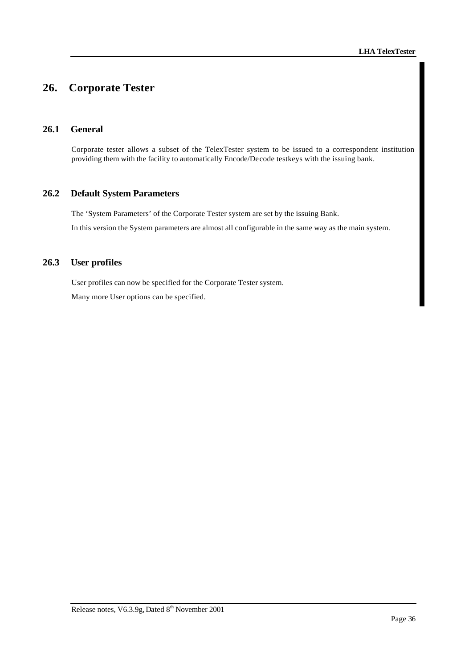# **26. Corporate Tester**

# **26.1 General**

Corporate tester allows a subset of the TelexTester system to be issued to a correspondent institution providing them with the facility to automatically Encode/Decode testkeys with the issuing bank.

# **26.2 Default System Parameters**

The 'System Parameters' of the Corporate Tester system are set by the issuing Bank. In this version the System parameters are almost all configurable in the same way as the main system.

# **26.3 User profiles**

User profiles can now be specified for the Corporate Tester system. Many more User options can be specified.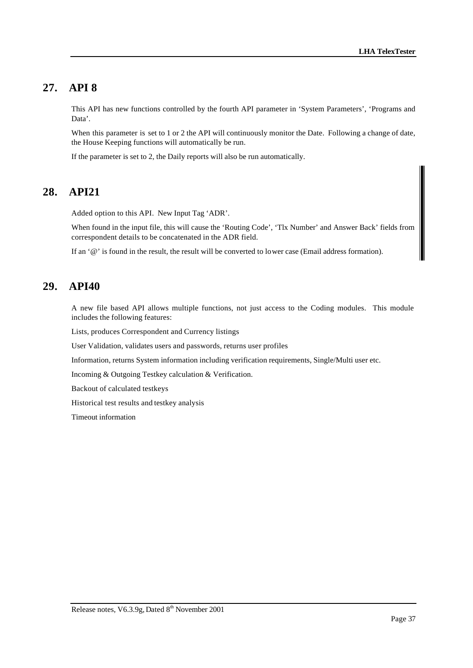# **27. API 8**

This API has new functions controlled by the fourth API parameter in 'System Parameters', 'Programs and Data'.

When this parameter is set to 1 or 2 the API will continuously monitor the Date. Following a change of date, the House Keeping functions will automatically be run.

If the parameter is set to 2, the Daily reports will also be run automatically.

# **28. API21**

Added option to this API. New Input Tag 'ADR'.

When found in the input file, this will cause the 'Routing Code', 'Tlx Number' and Answer Back' fields from correspondent details to be concatenated in the ADR field.

If an '@' is found in the result, the result will be converted to lower case (Email address formation).

# **29. API40**

A new file based API allows multiple functions, not just access to the Coding modules. This module includes the following features:

Lists, produces Correspondent and Currency listings

User Validation, validates users and passwords, returns user profiles

Information, returns System information including verification requirements, Single/Multi user etc.

Incoming & Outgoing Testkey calculation & Verification.

Backout of calculated testkeys

Historical test results and testkey analysis

Timeout information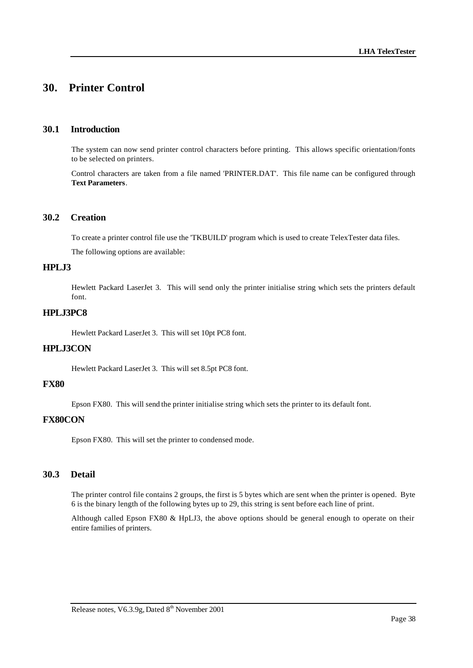# **30. Printer Control**

#### **30.1 Introduction**

The system can now send printer control characters before printing. This allows specific orientation/fonts to be selected on printers.

Control characters are taken from a file named 'PRINTER.DAT'. This file name can be configured through **Text Parameters**.

# **30.2 Creation**

To create a printer control file use the 'TKBUILD' program which is used to create TelexTester data files.

The following options are available:

# **HPLJ3**

Hewlett Packard LaserJet 3. This will send only the printer initialise string which sets the printers default font.

### **HPLJ3PC8**

Hewlett Packard LaserJet 3. This will set 10pt PC8 font.

### **HPLJ3CON**

Hewlett Packard LaserJet 3. This will set 8.5pt PC8 font.

#### **FX80**

Epson FX80. This will send the printer initialise string which sets the printer to its default font.

#### **FX80CON**

Epson FX80. This will set the printer to condensed mode.

# **30.3 Detail**

The printer control file contains 2 groups, the first is 5 bytes which are sent when the printer is opened. Byte 6 is the binary length of the following bytes up to 29, this string is sent before each line of print.

Although called Epson FX80 & HpLJ3, the above options should be general enough to operate on their entire families of printers.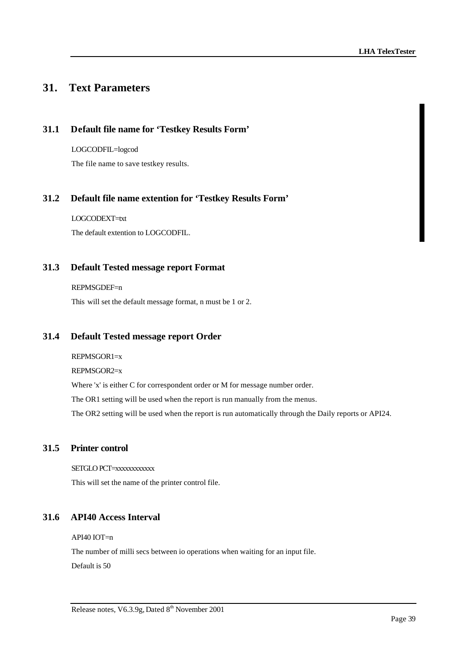# **31. Text Parameters**

# **31.1 Default file name for 'Testkey Results Form'**

LOGCODFIL=logcod The file name to save testkey results.

# **31.2 Default file name extention for 'Testkey Results Form'**

LOGCODEXT=txt The default extention to LOGCODFIL.

# **31.3 Default Tested message report Format**

#### REPMSGDEF=n

This will set the default message format, n must be 1 or 2.

# **31.4 Default Tested message report Order**

REPMSGOR1=x REPMSGOR2=x Where 'x' is either C for correspondent order or M for message number order. The OR1 setting will be used when the report is run manually from the menus. The OR2 setting will be used when the report is run automatically through the Daily reports or API24.

# **31.5 Printer control**

SETGLO PCT=xxxxxxxxxxx This will set the name of the printer control file.

# **31.6 API40 Access Interval**

API40 IOT=n

The number of milli secs between io operations when waiting for an input file. Default is 50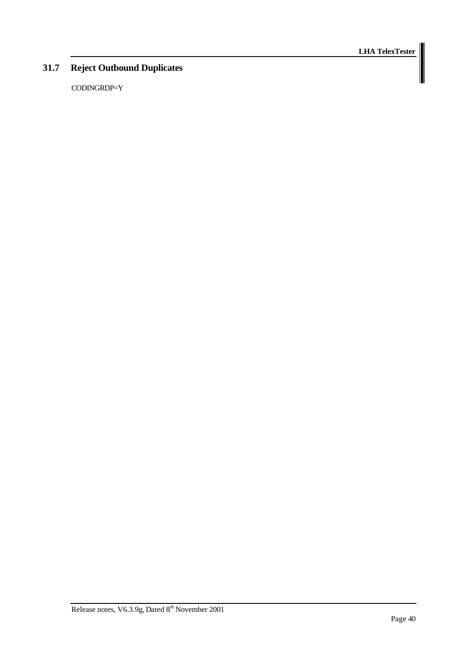# **31.7 Reject Outbound Duplicates**

CODINGRDP=Y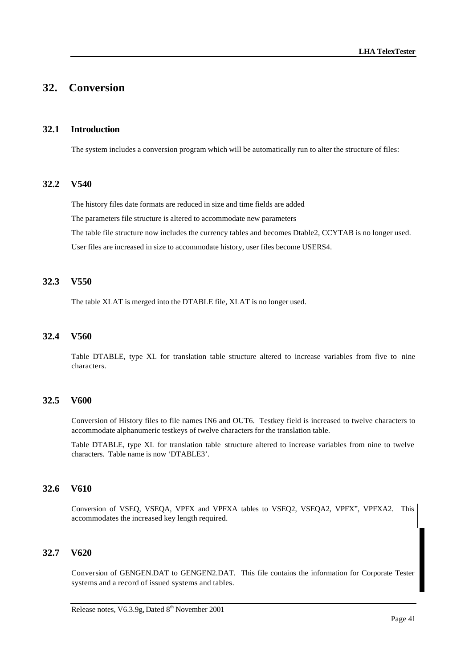# **32. Conversion**

#### **32.1 Introduction**

The system includes a conversion program which will be automatically run to alter the structure of files:

#### **32.2 V540**

The history files date formats are reduced in size and time fields are added The parameters file structure is altered to accommodate new parameters The table file structure now includes the currency tables and becomes Dtable2, CCYTAB is no longer used. User files are increased in size to accommodate history, user files become USERS4.

### **32.3 V550**

The table XLAT is merged into the DTABLE file, XLAT is no longer used.

### **32.4 V560**

Table DTABLE, type XL for translation table structure altered to increase variables from five to nine characters.

#### **32.5 V600**

Conversion of History files to file names IN6 and OUT6. Testkey field is increased to twelve characters to accommodate alphanumeric testkeys of twelve characters for the translation table.

Table DTABLE, type XL for translation table structure altered to increase variables from nine to twelve characters. Table name is now 'DTABLE3'.

#### **32.6 V610**

Conversion of VSEQ, VSEQA, VPFX and VPFXA tables to VSEQ2, VSEQA2, VPFX", VPFXA2. This accommodates the increased key length required.

### **32.7 V620**

Conversion of GENGEN.DAT to GENGEN2.DAT. This file contains the information for Corporate Tester systems and a record of issued systems and tables.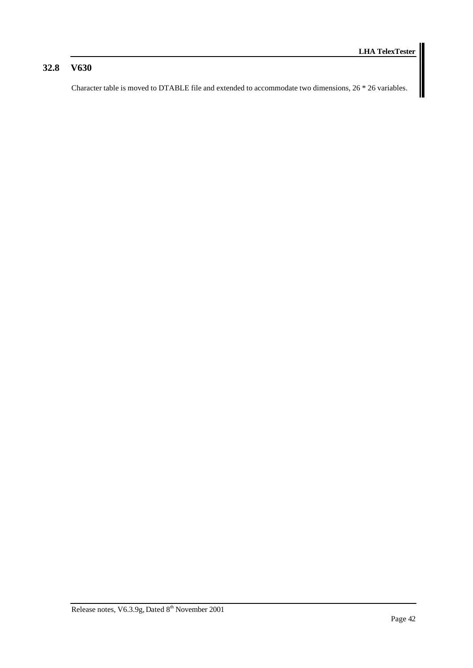# **32.8 V630**

Character table is moved to DTABLE file and extended to accommodate two dimensions, 26 \* 26 variables.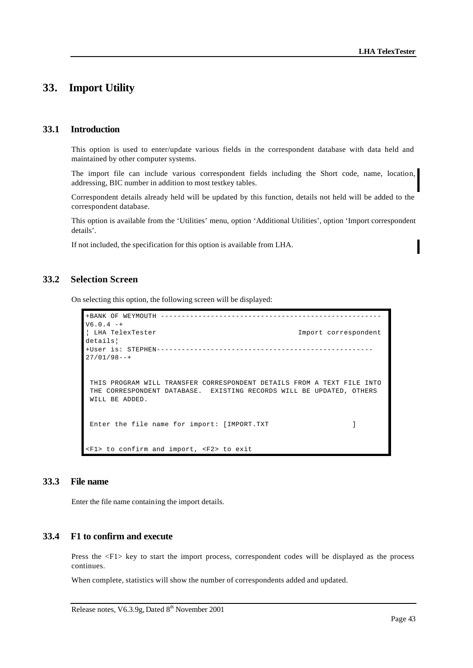# **33. Import Utility**

#### **33.1 Introduction**

This option is used to enter/update various fields in the correspondent database with data held and maintained by other computer systems.

The import file can include various correspondent fields including the Short code, name, location, addressing, BIC number in addition to most testkey tables.

Correspondent details already held will be updated by this function, details not held will be added to the correspondent database.

This option is available from the 'Utilities' menu, option 'Additional Utilities', option 'Import correspondent details'.

If not included, the specification for this option is available from LHA.

# **33.2 Selection Screen**

On selecting this option, the following screen will be displayed:

```
+BANK OF WEYMOUTH -----------------------------------------------------
V6.0.4 -+¦ LHA TelexTester Import correspondent 
details¦
+User is: STEPHEN----------------------------------------------------
27/01/98--+
 THIS PROGRAM WILL TRANSFER CORRESPONDENT DETAILS FROM A TEXT FILE INTO
 THE CORRESPONDENT DATABASE. EXISTING RECORDS WILL BE UPDATED, OTHERS
 WILL BE ADDED.
Enter the file name for import: [IMPORT.TXT ]
<F1> to confirm and import, <F2> to exit
```
# **33.3 File name**

Enter the file name containing the import details.

#### **33.4 F1 to confirm and execute**

Press the <F1> key to start the import process, correspondent codes will be displayed as the process continues.

When complete, statistics will show the number of correspondents added and updated.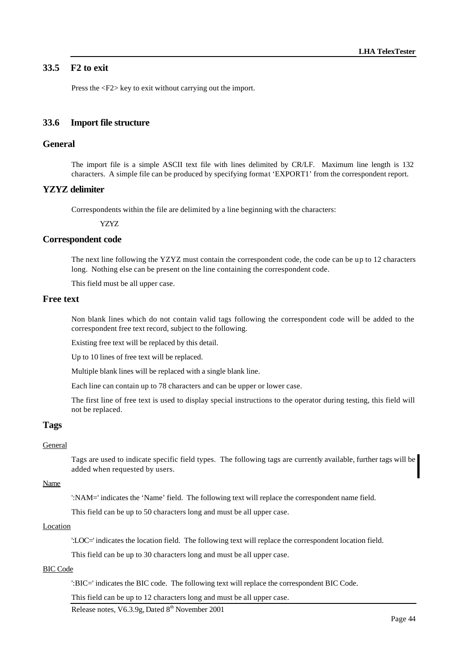# **33.5 F2 to exit**

Press the <F2> key to exit without carrying out the import.

#### **33.6 Import file structure**

# **General**

The import file is a simple ASCII text file with lines delimited by CR/LF. Maximum line length is 132 characters. A simple file can be produced by specifying format 'EXPORT1' from the correspondent report.

#### **YZYZ delimiter**

Correspondents within the file are delimited by a line beginning with the characters:

YZYZ

#### **Correspondent code**

The next line following the YZYZ must contain the correspondent code, the code can be up to 12 characters long. Nothing else can be present on the line containing the correspondent code.

This field must be all upper case.

### **Free text**

Non blank lines which do not contain valid tags following the correspondent code will be added to the correspondent free text record, subject to the following.

Existing free text will be replaced by this detail.

Up to 10 lines of free text will be replaced.

Multiple blank lines will be replaced with a single blank line.

Each line can contain up to 78 characters and can be upper or lower case.

The first line of free text is used to display special instructions to the operator during testing, this field will not be replaced.

#### **Tags**

#### General

Tags are used to indicate specific field types. The following tags are currently available, further tags will be added when requested by users.

#### Name

':NAM=' indicates the 'Name' field. The following text will replace the correspondent name field.

This field can be up to 50 characters long and must be all upper case.

#### Location

':LOC=' indicates the location field. The following text will replace the correspondent location field.

This field can be up to 30 characters long and must be all upper case.

# BIC Code

':BIC=' indicates the BIC code. The following text will replace the correspondent BIC Code.

This field can be up to 12 characters long and must be all upper case.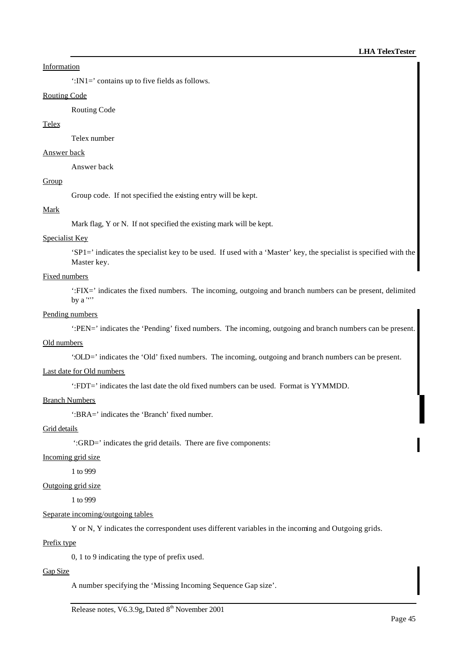### Information

':IN1=' contains up to five fields as follows.

### Routing Code

Routing Code

#### Telex

Telex number

#### Answer back

Answer back

# Group

Group code. If not specified the existing entry will be kept.

#### Mark

Mark flag, Y or N. If not specified the existing mark will be kept.

#### Specialist Key

'SP1=' indicates the specialist key to be used. If used with a 'Master' key, the specialist is specified with the Master key.

# Fixed numbers

':FIX=' indicates the fixed numbers. The incoming, outgoing and branch numbers can be present, delimited by a ''''

#### Pending numbers

':PEN=' indicates the 'Pending' fixed numbers. The incoming, outgoing and branch numbers can be present.

#### Old numbers

':OLD=' indicates the 'Old' fixed numbers. The incoming, outgoing and branch numbers can be present.

#### Last date for Old numbers

':FDT=' indicates the last date the old fixed numbers can be used. Format is YYMMDD.

#### Branch Numbers

':BRA=' indicates the 'Branch' fixed number.

#### Grid details

':GRD=' indicates the grid details. There are five components:

#### Incoming grid size

1 to 999

# Outgoing grid size

1 to 999

# Separate incoming/outgoing tables

Y or N, Y indicates the correspondent uses different variables in the incoming and Outgoing grids.

#### Prefix type

0, 1 to 9 indicating the type of prefix used.

#### Gap Size

A number specifying the 'Missing Incoming Sequence Gap size'.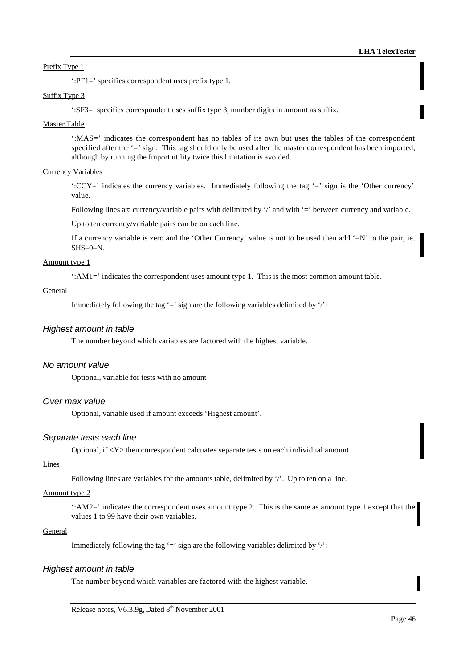#### Prefix Type 1

':PF1=' specifies correspondent uses prefix type 1.

### Suffix Type 3

':SF3=' specifies correspondent uses suffix type 3, number digits in amount as suffix.

#### Master Table

':MAS=' indicates the correspondent has no tables of its own but uses the tables of the correspondent specified after the '=' sign. This tag should only be used after the master correspondent has been imported, although by running the Import utility twice this limitation is avoided.

#### Currency Variables

':CCY=' indicates the currency variables. Immediately following the tag '=' sign is the 'Other currency' value.

Following lines are currency/variable pairs with delimited by '/' and with '=' between currency and variable.

Up to ten currency/variable pairs can be on each line.

If a currency variable is zero and the 'Other Currency' value is not to be used then add '=N' to the pair, ie.  $SHS=0=N$ .

#### Amount type 1

':AM1=' indicates the correspondent uses amount type 1. This is the most common amount table.

#### General

Immediately following the tag  $=$ ' sign are the following variables delimited by  $\cdot$ ':

#### *Highest amount in table*

The number beyond which variables are factored with the highest variable.

#### *No amount value*

Optional, variable for tests with no amount

#### *Over max value*

Optional, variable used if amount exceeds 'Highest amount'.

#### *Separate tests each line*

Optional, if <Y> then correspondent calcuates separate tests on each individual amount.

#### Lines

Following lines are variables for the amounts table, delimited by '/'. Up to ten on a line.

#### Amount type 2

':AM2=' indicates the correspondent uses amount type 2. This is the same as amount type 1 except that the values 1 to 99 have their own variables.

#### General

Immediately following the tag  $=$ ' sign are the following variables delimited by  $\cdot$ ':

#### *Highest amount in table*

The number beyond which variables are factored with the highest variable.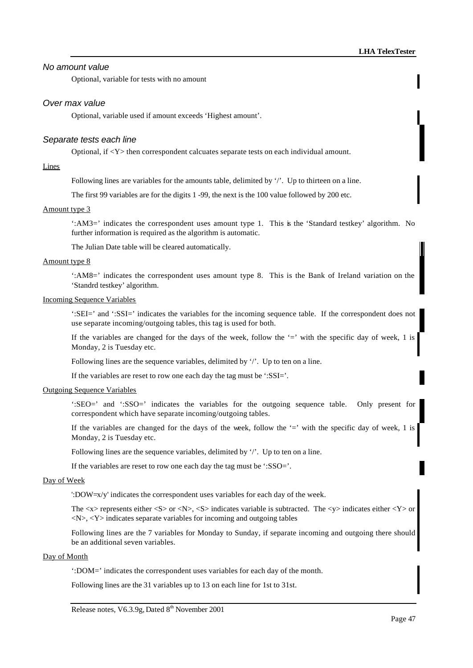# *No amount value*

Optional, variable for tests with no amount

#### *Over max value*

Optional, variable used if amount exceeds 'Highest amount'.

#### *Separate tests each line*

Optional, if <Y> then correspondent calcuates separate tests on each individual amount.

#### Lines

Following lines are variables for the amounts table, delimited by '/'. Up to thirteen on a line.

The first 99 variables are for the digits 1 -99, the next is the 100 value followed by 200 etc.

#### Amount type 3

':AM3=' indicates the correspondent uses amount type 1. This is the 'Standard testkey' algorithm. No further information is required as the algorithm is automatic.

The Julian Date table will be cleared automatically.

#### Amount type 8

':AM8=' indicates the correspondent uses amount type 8. This is the Bank of Ireland variation on the 'Standrd testkey' algorithm.

#### Incoming Sequence Variables

':SEI=' and ':SSI=' indicates the variables for the incoming sequence table. If the correspondent does not use separate incoming/outgoing tables, this tag is used for both.

If the variables are changed for the days of the week, follow the  $=$ ' with the specific day of week, 1 is Monday, 2 is Tuesday etc.

Following lines are the sequence variables, delimited by '/'. Up to ten on a line.

If the variables are reset to row one each day the tag must be ':SSI='.

#### Outgoing Sequence Variables

':SEO=' and ':SSO=' indicates the variables for the outgoing sequence table. Only present for correspondent which have separate incoming/outgoing tables.

If the variables are changed for the days of the week, follow the '=' with the specific day of week, 1 is Monday, 2 is Tuesday etc.

Following lines are the sequence variables, delimited by '/'. Up to ten on a line.

If the variables are reset to row one each day the tag must be ':SSO='.

#### Day of Week

':DOW=x/y' indicates the correspondent uses variables for each day of the week.

The  $\langle x \rangle$  represents either  $\langle S \rangle$  or  $\langle N \rangle$ ,  $\langle S \rangle$  indicates variable is subtracted. The  $\langle y \rangle$  indicates either  $\langle Y \rangle$  or  $\langle N \rangle$ ,  $\langle Y \rangle$  indicates separate variables for incoming and outgoing tables

Following lines are the 7 variables for Monday to Sunday, if separate incoming and outgoing there should be an additional seven variables.

### Day of Month

':DOM=' indicates the correspondent uses variables for each day of the month.

Following lines are the 31 variables up to 13 on each line for 1st to 31st.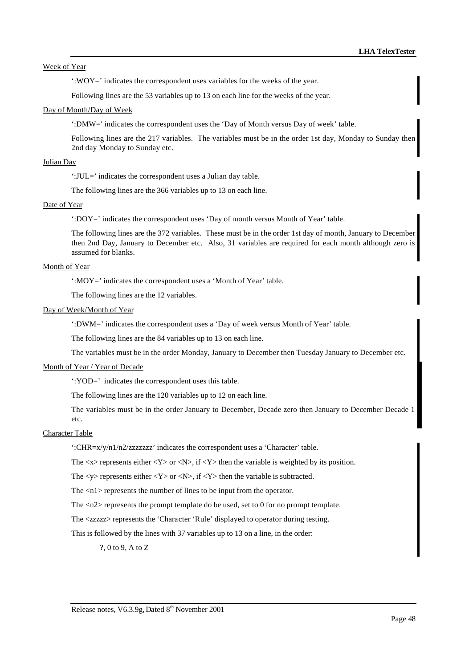Week of Year

':WOY=' indicates the correspondent uses variables for the weeks of the year.

Following lines are the 53 variables up to 13 on each line for the weeks of the year.

#### Day of Month/Day of Week

':DMW=' indicates the correspondent uses the 'Day of Month versus Day of week' table.

Following lines are the 217 variables. The variables must be in the order 1st day, Monday to Sunday then 2nd day Monday to Sunday etc.

#### Julian Day

':JUL=' indicates the correspondent uses a Julian day table.

The following lines are the 366 variables up to 13 on each line.

#### Date of Year

':DOY=' indicates the correspondent uses 'Day of month versus Month of Year' table.

The following lines are the 372 variables. These must be in the order 1st day of month, January to December then 2nd Day, January to December etc. Also, 31 variables are required for each month although zero is assumed for blanks.

#### Month of Year

':MOY=' indicates the correspondent uses a 'Month of Year' table.

The following lines are the 12 variables.

#### Day of Week/Month of Year

':DWM=' indicates the correspondent uses a 'Day of week versus Month of Year' table.

The following lines are the 84 variables up to 13 on each line.

The variables must be in the order Monday, January to December then Tuesday January to December etc.

#### Month of Year / Year of Decade

':YOD=' indicates the correspondent uses this table.

The following lines are the 120 variables up to 12 on each line.

The variables must be in the order January to December, Decade zero then January to December Decade 1 etc.

#### Character Table

':CHR=x/y/n1/n2/zzzzzzz' indicates the correspondent uses a 'Character' table.

The  $\langle x \rangle$  represents either  $\langle Y \rangle$  or  $\langle N \rangle$ , if  $\langle Y \rangle$  then the variable is weighted by its position.

The  $\langle y \rangle$  represents either  $\langle Y \rangle$  or  $\langle N \rangle$ , if  $\langle Y \rangle$  then the variable is subtracted.

The  $\langle n1 \rangle$  represents the number of lines to be input from the operator.

The <n2> represents the prompt template do be used, set to 0 for no prompt template.

The <zzzzz> represents the 'Character 'Rule' displayed to operator during testing.

This is followed by the lines with 37 variables up to 13 on a line, in the order:

?, 0 to 9, A to Z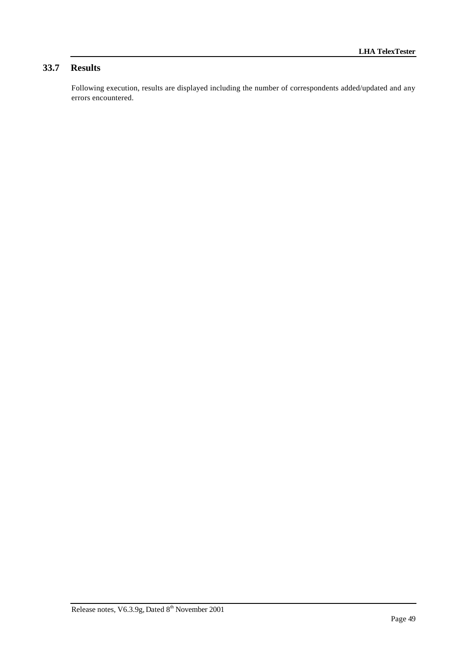# **33.7 Results**

Following execution, results are displayed including the number of correspondents added/updated and any errors encountered.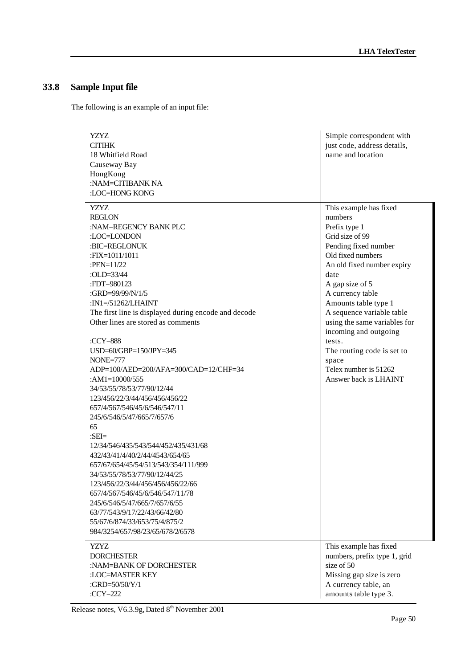# **33.8 Sample Input file**

The following is an example of an input file:

| <b>YZYZ</b><br><b>CITIHK</b><br>18 Whitfield Road<br>Causeway Bay<br>HongKong<br>:NAM=CITIBANK NA<br>:LOC=HONG KONG                                                                                                                                                                                                                                                                                                                                                                                                                                                                                                                                                                                                                                                                                                                                                                                                                       | Simple correspondent with<br>just code, address details,<br>name and location                                                                                                                                                                                                                                                                                                                                    |
|-------------------------------------------------------------------------------------------------------------------------------------------------------------------------------------------------------------------------------------------------------------------------------------------------------------------------------------------------------------------------------------------------------------------------------------------------------------------------------------------------------------------------------------------------------------------------------------------------------------------------------------------------------------------------------------------------------------------------------------------------------------------------------------------------------------------------------------------------------------------------------------------------------------------------------------------|------------------------------------------------------------------------------------------------------------------------------------------------------------------------------------------------------------------------------------------------------------------------------------------------------------------------------------------------------------------------------------------------------------------|
| <b>YZYZ</b><br><b>REGLON</b><br>:NAM=REGENCY BANK PLC<br>:LOC=LONDON<br>:BIC=REGLONUK<br>:FIX=1011/1011<br>:PEN= $11/22$<br>:OLD=33/44<br>:FDT=980123<br>:GRD=99/99/N/1/5<br>:IN1=/51262/LHAINT<br>The first line is displayed during encode and decode<br>Other lines are stored as comments<br>:CCY=888<br>USD=60/GBP=150/JPY=345<br><b>NONE=777</b><br>ADP=100/AED=200/AFA=300/CAD=12/CHF=34<br>: $AM1=10000/555$<br>34/53/55/78/53/77/90/12/44<br>123/456/22/3/44/456/456/456/22<br>657/4/567/546/45/6/546/547/11<br>245/6/546/5/47/665/7/657/6<br>65<br>$:SEI =$<br>12/34/546/435/543/544/452/435/431/68<br>432/43/41/4/40/2/44/4543/654/65<br>657/67/654/45/54/513/543/354/111/999<br>34/53/55/78/53/77/90/12/44/25<br>123/456/22/3/44/456/456/456/22/66<br>657/4/567/546/45/6/546/547/11/78<br>245/6/546/5/47/665/7/657/6/55<br>63/77/543/9/17/22/43/66/42/80<br>55/67/6/874/33/653/75/4/875/2<br>984/3254/657/98/23/65/678/2/6578 | This example has fixed<br>numbers<br>Prefix type 1<br>Grid size of 99<br>Pending fixed number<br>Old fixed numbers<br>An old fixed number expiry<br>date<br>A gap size of 5<br>A currency table<br>Amounts table type 1<br>A sequence variable table<br>using the same variables for<br>incoming and outgoing<br>tests.<br>The routing code is set to<br>space<br>Telex number is 51262<br>Answer back is LHAINT |
| <b>YZYZ</b><br><b>DORCHESTER</b><br>:NAM=BANK OF DORCHESTER<br>:LOC=MASTER KEY<br>:GRD=50/50/Y/1<br>: $CCY=222$                                                                                                                                                                                                                                                                                                                                                                                                                                                                                                                                                                                                                                                                                                                                                                                                                           | This example has fixed<br>numbers, prefix type 1, grid<br>size of 50<br>Missing gap size is zero<br>A currency table, an<br>amounts table type 3.                                                                                                                                                                                                                                                                |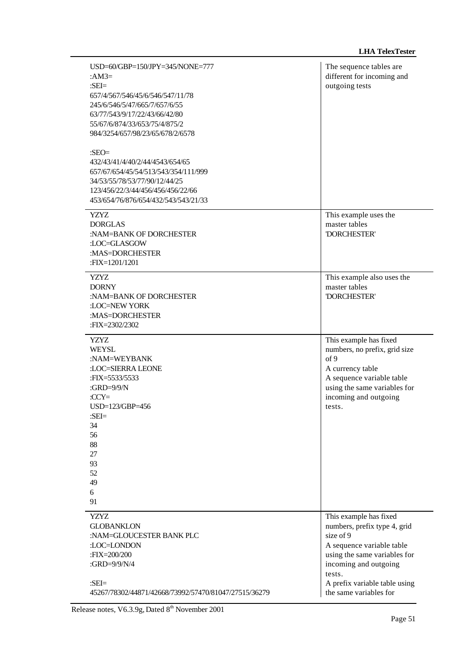| USD=60/GBP=150/JPY=345/NONE=777<br>: $AM3=$<br>: $SEI =$<br>657/4/567/546/45/6/546/547/11/78<br>245/6/546/5/47/665/7/657/6/55<br>63/77/543/9/17/22/43/66/42/80<br>55/67/6/874/33/653/75/4/875/2<br>984/3254/657/98/23/65/678/2/6578 | The sequence tables are<br>different for incoming and<br>outgoing tests                                                                                                                                                        |
|-------------------------------------------------------------------------------------------------------------------------------------------------------------------------------------------------------------------------------------|--------------------------------------------------------------------------------------------------------------------------------------------------------------------------------------------------------------------------------|
| : $SEO=$<br>432/43/41/4/40/2/44/4543/654/65<br>657/67/654/45/54/513/543/354/111/999<br>34/53/55/78/53/77/90/12/44/25<br>123/456/22/3/44/456/456/456/22/66<br>453/654/76/876/654/432/543/543/21/33                                   |                                                                                                                                                                                                                                |
| YZYZ.<br><b>DORGLAS</b><br>:NAM=BANK OF DORCHESTER<br>:LOC=GLASGOW<br>:MAS=DORCHESTER<br>:FIX=1201/1201                                                                                                                             | This example uses the<br>master tables<br><b>DORCHESTER'</b>                                                                                                                                                                   |
| <b>YZYZ</b><br><b>DORNY</b><br>:NAM=BANK OF DORCHESTER<br>:LOC=NEW YORK<br>:MAS=DORCHESTER<br>:FIX=2302/2302                                                                                                                        | This example also uses the<br>master tables<br>'DORCHESTER'                                                                                                                                                                    |
| <b>YZYZ</b><br><b>WEYSL</b><br>:NAM=WEYBANK<br>:LOC=SIERRA LEONE<br>:FIX=5533/5533<br>: $GRD=9/9/N$<br>$CCY=$<br>USD=123/GBP=456<br>:SEI=<br>34<br>56<br>88<br>27<br>93<br>52<br>49<br>6<br>91                                      | This example has fixed<br>numbers, no prefix, grid size<br>of 9<br>A currency table<br>A sequence variable table<br>using the same variables for<br>incoming and outgoing<br>tests.                                            |
| YZYZ.<br><b>GLOBANKLON</b><br>:NAM=GLOUCESTER BANK PLC<br>:LOC=LONDON<br>:FIX=200/200<br>:GRD=9/9/N/4<br>$:SEI =$<br>45267/78302/44871/42668/73992/57470/81047/27515/36279                                                          | This example has fixed<br>numbers, prefix type 4, grid<br>size of 9<br>A sequence variable table<br>using the same variables for<br>incoming and outgoing<br>tests.<br>A prefix variable table using<br>the same variables for |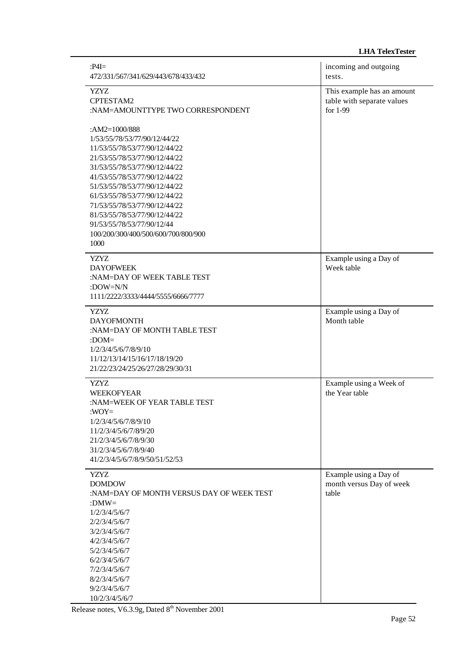| $P4I=$<br>472/331/567/341/629/443/678/433/432                                                                                                                                                                                                           | incoming and outgoing<br>tests.                                      |
|---------------------------------------------------------------------------------------------------------------------------------------------------------------------------------------------------------------------------------------------------------|----------------------------------------------------------------------|
| <b>YZYZ</b><br>CPTESTAM2<br>:NAM=AMOUNTTYPE TWO CORRESPONDENT<br>: $AM2=1000/888$<br>1/53/55/78/53/77/90/12/44/22<br>11/53/55/78/53/77/90/12/44/22<br>21/53/55/78/53/77/90/12/44/22<br>31/53/55/78/53/77/90/12/44/22<br>41/53/55/78/53/77/90/12/44/22   | This example has an amount<br>table with separate values<br>for 1-99 |
| 51/53/55/78/53/77/90/12/44/22<br>61/53/55/78/53/77/90/12/44/22<br>71/53/55/78/53/77/90/12/44/22<br>81/53/55/78/53/77/90/12/44/22<br>91/53/55/78/53/77/90/12/44<br>100/200/300/400/500/600/700/800/900<br>1000                                           |                                                                      |
| <b>YZYZ</b><br><b>DAYOFWEEK</b><br>:NAM=DAY OF WEEK TABLE TEST<br>:DOW=N/N<br>1111/2222/3333/4444/5555/6666/7777                                                                                                                                        | Example using a Day of<br>Week table                                 |
| YZYZ.<br><b>DAYOFMONTH</b><br>:NAM=DAY OF MONTH TABLE TEST<br>: $DOM=$<br>1/2/3/4/5/6/7/8/9/10<br>11/12/13/14/15/16/17/18/19/20<br>21/22/23/24/25/26/27/28/29/30/31                                                                                     | Example using a Day of<br>Month table                                |
| <b>YZYZ</b><br><b>WEEKOFYEAR</b><br>:NAM=WEEK OF YEAR TABLE TEST<br>: $WOY =$<br>1/2/3/4/5/6/7/8/9/10<br>11/2/3/4/5/6/7/8/9/20<br>21/2/3/4/5/6/7/8/9/30<br>31/2/3/4/5/6/7/8/9/40<br>41/2/3/4/5/6/7/8/9/50/51/52/53                                      | Example using a Week of<br>the Year table                            |
| YZYZ.<br><b>DOMDOW</b><br>:NAM=DAY OF MONTH VERSUS DAY OF WEEK TEST<br>:DMW=<br>1/2/3/4/5/6/7<br>2/2/3/4/5/6/7<br>3/2/3/4/5/6/7<br>4/2/3/4/5/6/7<br>5/2/3/4/5/6/7<br>6/2/3/4/5/6/7<br>7/2/3/4/5/6/7<br>8/2/3/4/5/6/7<br>9/2/3/4/5/6/7<br>10/2/3/4/5/6/7 | Example using a Day of<br>month versus Day of week<br>table          |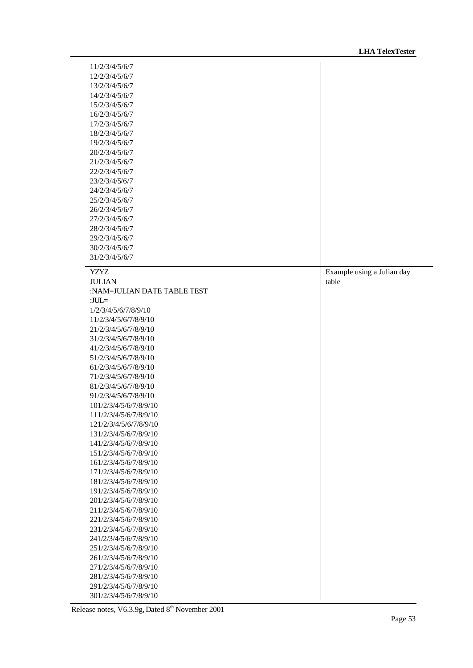| 11/2/3/4/5/6/7                                   |                            |
|--------------------------------------------------|----------------------------|
| 12/2/3/4/5/6/7                                   |                            |
| 13/2/3/4/5/6/7                                   |                            |
| 14/2/3/4/5/6/7                                   |                            |
| 15/2/3/4/5/6/7                                   |                            |
| 16/2/3/4/5/6/7                                   |                            |
| 17/2/3/4/5/6/7                                   |                            |
| 18/2/3/4/5/6/7                                   |                            |
| 19/2/3/4/5/6/7                                   |                            |
| 20/2/3/4/5/6/7                                   |                            |
| 21/2/3/4/5/6/7                                   |                            |
| 22/2/3/4/5/6/7                                   |                            |
| 23/2/3/4/5/6/7                                   |                            |
| 24/2/3/4/5/6/7                                   |                            |
| 25/2/3/4/5/6/7                                   |                            |
| 26/2/3/4/5/6/7                                   |                            |
| 27/2/3/4/5/6/7                                   |                            |
| 28/2/3/4/5/6/7                                   |                            |
| 29/2/3/4/5/6/7                                   |                            |
| 30/2/3/4/5/6/7                                   |                            |
| 31/2/3/4/5/6/7                                   |                            |
|                                                  |                            |
| <b>YZYZ</b>                                      | Example using a Julian day |
| <b>JULIAN</b>                                    | table                      |
| :NAM=JULIAN DATE TABLE TEST                      |                            |
| : $JUL =$                                        |                            |
| 1/2/3/4/5/6/7/8/9/10                             |                            |
| 11/2/3/4/5/6/7/8/9/10                            |                            |
| 21/2/3/4/5/6/7/8/9/10                            |                            |
| 31/2/3/4/5/6/7/8/9/10                            |                            |
| 41/2/3/4/5/6/7/8/9/10                            |                            |
| 51/2/3/4/5/6/7/8/9/10                            |                            |
| 61/2/3/4/5/6/7/8/9/10                            |                            |
| 71/2/3/4/5/6/7/8/9/10                            |                            |
| 81/2/3/4/5/6/7/8/9/10                            |                            |
| 91/2/3/4/5/6/7/8/9/10                            |                            |
| 101/2/3/4/5/6/7/8/9/10                           |                            |
| 111/2/3/4/5/6/7/8/9/10                           |                            |
| 121/2/3/4/5/6/7/8/9/10                           |                            |
|                                                  |                            |
| 131/2/3/4/5/6/7/8/9/10                           |                            |
| 141/2/3/4/5/6/7/8/9/10                           |                            |
| 151/2/3/4/5/6/7/8/9/10                           |                            |
| 161/2/3/4/5/6/7/8/9/10                           |                            |
| 171/2/3/4/5/6/7/8/9/10                           |                            |
| 181/2/3/4/5/6/7/8/9/10                           |                            |
| 191/2/3/4/5/6/7/8/9/10                           |                            |
| 201/2/3/4/5/6/7/8/9/10                           |                            |
| 211/2/3/4/5/6/7/8/9/10                           |                            |
| 221/2/3/4/5/6/7/8/9/10                           |                            |
| 231/2/3/4/5/6/7/8/9/10                           |                            |
| 241/2/3/4/5/6/7/8/9/10                           |                            |
| 251/2/3/4/5/6/7/8/9/10                           |                            |
| 261/2/3/4/5/6/7/8/9/10                           |                            |
| 271/2/3/4/5/6/7/8/9/10                           |                            |
| 281/2/3/4/5/6/7/8/9/10                           |                            |
| 291/2/3/4/5/6/7/8/9/10<br>301/2/3/4/5/6/7/8/9/10 |                            |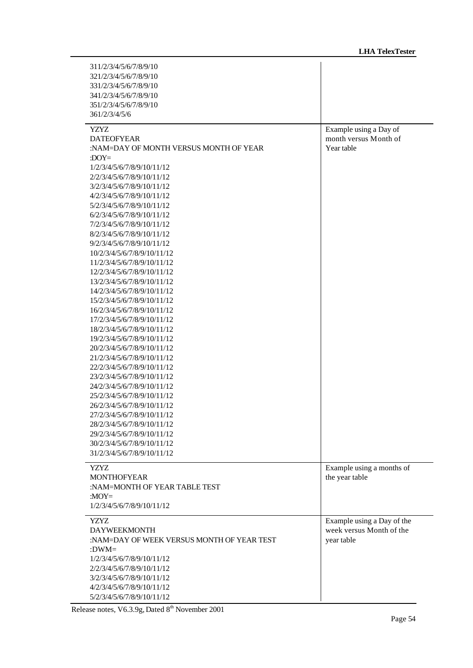| 311/2/3/4/5/6/7/8/9/10<br>321/2/3/4/5/6/7/8/9/10<br>331/2/3/4/5/6/7/8/9/10<br>341/2/3/4/5/6/7/8/9/10<br>351/2/3/4/5/6/7/8/9/10<br>361/2/3/4/5/6                                                                                                                                                                                                                                                                                                                                                                                                                                                                                                                                                                                                                                                                                                                                                                                                                                                                                                 |                                                                      |
|-------------------------------------------------------------------------------------------------------------------------------------------------------------------------------------------------------------------------------------------------------------------------------------------------------------------------------------------------------------------------------------------------------------------------------------------------------------------------------------------------------------------------------------------------------------------------------------------------------------------------------------------------------------------------------------------------------------------------------------------------------------------------------------------------------------------------------------------------------------------------------------------------------------------------------------------------------------------------------------------------------------------------------------------------|----------------------------------------------------------------------|
| <b>YZYZ</b><br><b>DATEOFYEAR</b><br>:NAM=DAY OF MONTH VERSUS MONTH OF YEAR<br>: $DOY=$<br>1/2/3/4/5/6/7/8/9/10/11/12<br>2/2/3/4/5/6/7/8/9/10/11/12<br>3/2/3/4/5/6/7/8/9/10/11/12<br>4/2/3/4/5/6/7/8/9/10/11/12<br>5/2/3/4/5/6/7/8/9/10/11/12<br>6/2/3/4/5/6/7/8/9/10/11/12<br>7/2/3/4/5/6/7/8/9/10/11/12<br>8/2/3/4/5/6/7/8/9/10/11/12<br>9/2/3/4/5/6/7/8/9/10/11/12<br>10/2/3/4/5/6/7/8/9/10/11/12<br>11/2/3/4/5/6/7/8/9/10/11/12<br>12/2/3/4/5/6/7/8/9/10/11/12<br>13/2/3/4/5/6/7/8/9/10/11/12<br>14/2/3/4/5/6/7/8/9/10/11/12<br>15/2/3/4/5/6/7/8/9/10/11/12<br>16/2/3/4/5/6/7/8/9/10/11/12<br>17/2/3/4/5/6/7/8/9/10/11/12<br>18/2/3/4/5/6/7/8/9/10/11/12<br>19/2/3/4/5/6/7/8/9/10/11/12<br>20/2/3/4/5/6/7/8/9/10/11/12<br>21/2/3/4/5/6/7/8/9/10/11/12<br>22/2/3/4/5/6/7/8/9/10/11/12<br>23/2/3/4/5/6/7/8/9/10/11/12<br>24/2/3/4/5/6/7/8/9/10/11/12<br>25/2/3/4/5/6/7/8/9/10/11/12<br>26/2/3/4/5/6/7/8/9/10/11/12<br>27/2/3/4/5/6/7/8/9/10/11/12<br>28/2/3/4/5/6/7/8/9/10/11/12<br>29/2/3/4/5/6/7/8/9/10/11/12<br>30/2/3/4/5/6/7/8/9/10/11/12 | Example using a Day of<br>month versus Month of<br>Year table        |
| 31/2/3/4/5/6/7/8/9/10/11/12<br><b>YZYZ</b><br><b>MONTHOFYEAR</b><br>:NAM=MONTH OF YEAR TABLE TEST<br>: $MOY=$                                                                                                                                                                                                                                                                                                                                                                                                                                                                                                                                                                                                                                                                                                                                                                                                                                                                                                                                   | Example using a months of<br>the year table                          |
| 1/2/3/4/5/6/7/8/9/10/11/12<br><b>YZYZ</b><br><b>DAYWEEKMONTH</b><br>:NAM=DAY OF WEEK VERSUS MONTH OF YEAR TEST<br>: $DWM =$<br>1/2/3/4/5/6/7/8/9/10/11/12<br>2/2/3/4/5/6/7/8/9/10/11/12<br>3/2/3/4/5/6/7/8/9/10/11/12<br>4/2/3/4/5/6/7/8/9/10/11/12<br>5/2/3/4/5/6/7/8/9/10/11/12                                                                                                                                                                                                                                                                                                                                                                                                                                                                                                                                                                                                                                                                                                                                                               | Example using a Day of the<br>week versus Month of the<br>year table |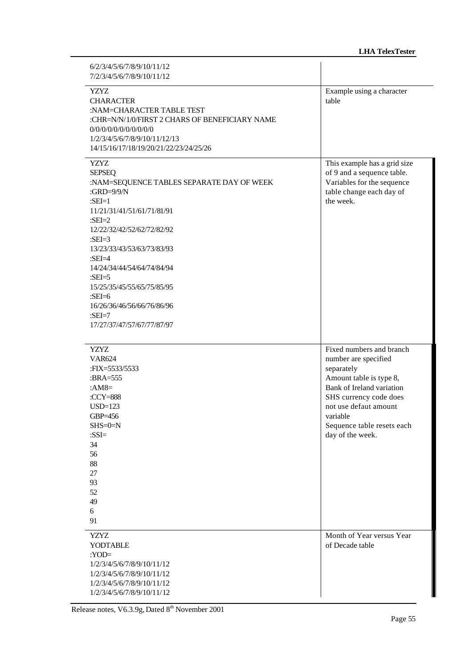| 6/2/3/4/5/6/7/8/9/10/11/12<br>7/2/3/4/5/6/7/8/9/10/11/12                                                                                                                                                                                                                                                                                                                                                    |                                                                                                                                                                                                                                         |
|-------------------------------------------------------------------------------------------------------------------------------------------------------------------------------------------------------------------------------------------------------------------------------------------------------------------------------------------------------------------------------------------------------------|-----------------------------------------------------------------------------------------------------------------------------------------------------------------------------------------------------------------------------------------|
| <b>YZYZ</b><br><b>CHARACTER</b><br>:NAM=CHARACTER TABLE TEST<br>:CHR=N/N/1/0/FIRST 2 CHARS OF BENEFICIARY NAME<br>0/0/0/0/0/0/0/0/0/0/0<br>1/2/3/4/5/6/7/8/9/10/11/12/13<br>14/15/16/17/18/19/20/21/22/23/24/25/26                                                                                                                                                                                          | Example using a character<br>table                                                                                                                                                                                                      |
| <b>YZYZ</b><br><b>SEPSEQ</b><br>:NAM=SEQUENCE TABLES SEPARATE DAY OF WEEK<br>: $GRD=9/9/N$<br>: $SEI=1$<br>11/21/31/41/51/61/71/81/91<br>: $SEI=2$<br>12/22/32/42/52/62/72/82/92<br>: $SEI=3$<br>13/23/33/43/53/63/73/83/93<br>: $SEI = 4$<br>14/24/34/44/54/64/74/84/94<br>: $SEI = 5$<br>15/25/35/45/55/65/75/85/95<br>: $SEI=6$<br>16/26/36/46/56/66/76/86/96<br>: $SEI=7$<br>17/27/37/47/57/67/77/87/97 | This example has a grid size<br>of 9 and a sequence table.<br>Variables for the sequence<br>table change each day of<br>the week.                                                                                                       |
| <b>YZYZ</b><br><b>VAR624</b><br>:FIX=5533/5533<br>: $BRA=555$<br>: $AM8=$<br>:CCY=888<br>$USD=123$<br>GBP=456<br>$SHS = 0 = N$<br>: $SSI=$<br>34<br>56<br>88<br>27<br>93<br>52<br>49<br>6<br>91                                                                                                                                                                                                             | Fixed numbers and branch<br>number are specified<br>separately<br>Amount table is type 8,<br>Bank of Ireland variation<br>SHS currency code does<br>not use defaut amount<br>variable<br>Sequence table resets each<br>day of the week. |
| <b>YZYZ</b><br><b>YODTABLE</b><br>: $YOD =$<br>1/2/3/4/5/6/7/8/9/10/11/12<br>1/2/3/4/5/6/7/8/9/10/11/12<br>1/2/3/4/5/6/7/8/9/10/11/12<br>1/2/3/4/5/6/7/8/9/10/11/12                                                                                                                                                                                                                                         | Month of Year versus Year<br>of Decade table                                                                                                                                                                                            |